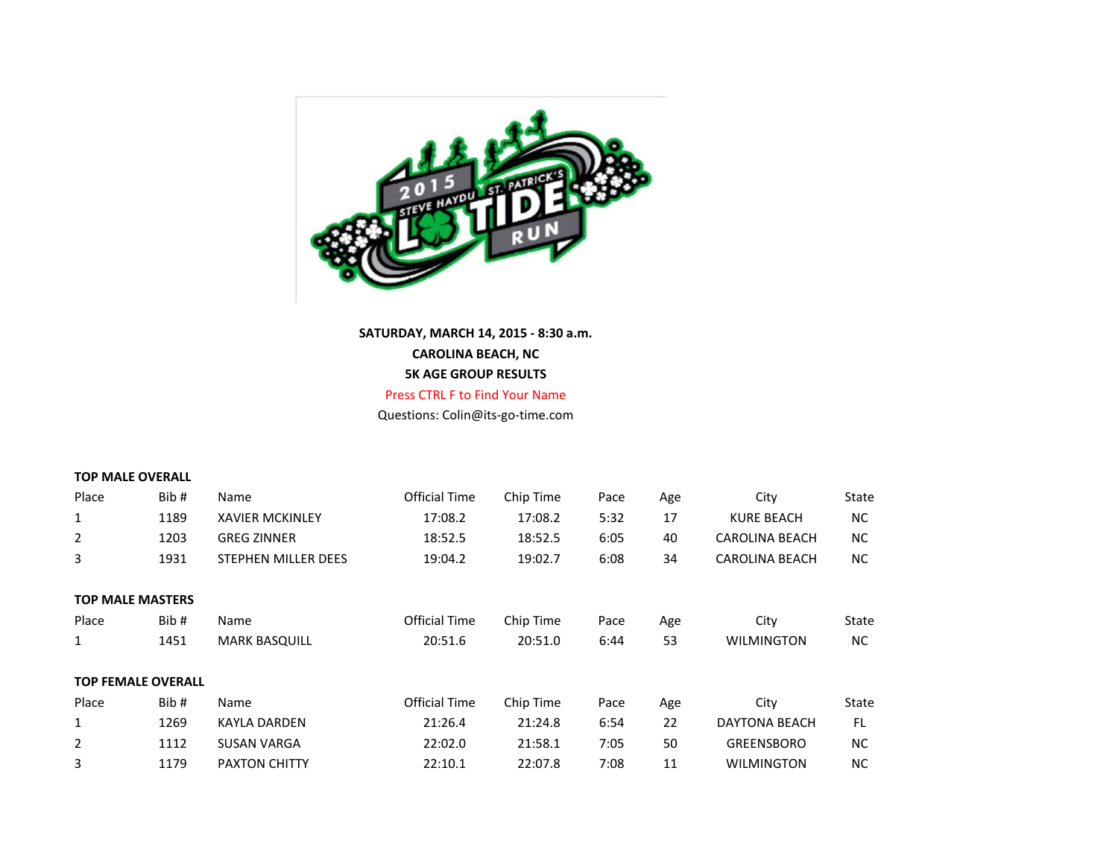

**SATURDAY, MARCH 14, 2015 - 8:30 a.m. CAROLINA BEACH, NC 5K AGE GROUP RESULTS**

Press CTRL F to Find Your Name Questions: Colin@its-go-time.com

### **TOP MALE OVERALL**

| Place                     | Bib# | Name                   | <b>Official Time</b> | Chip Time | Pace | Age | City                  | State     |
|---------------------------|------|------------------------|----------------------|-----------|------|-----|-----------------------|-----------|
| $\mathbf{1}$              | 1189 | <b>XAVIER MCKINLEY</b> | 17:08.2              | 17:08.2   | 5:32 | 17  | <b>KURE BEACH</b>     | <b>NC</b> |
| $\overline{2}$            | 1203 | <b>GREG ZINNER</b>     | 18:52.5              | 18:52.5   | 6:05 | 40  | <b>CAROLINA BEACH</b> | <b>NC</b> |
| 3                         | 1931 | STEPHEN MILLER DEES    | 19:04.2              | 19:02.7   | 6:08 | 34  | <b>CAROLINA BEACH</b> | NC.       |
|                           |      |                        |                      |           |      |     |                       |           |
| <b>TOP MALE MASTERS</b>   |      |                        |                      |           |      |     |                       |           |
| Place                     | Bib# | Name                   | <b>Official Time</b> | Chip Time | Pace | Age | City                  | State     |
| $\mathbf{1}$              | 1451 | <b>MARK BASQUILL</b>   | 20:51.6              | 20:51.0   | 6:44 | 53  | <b>WILMINGTON</b>     | <b>NC</b> |
|                           |      |                        |                      |           |      |     |                       |           |
| <b>TOP FEMALE OVERALL</b> |      |                        |                      |           |      |     |                       |           |
| Place                     | Bib# | Name                   | <b>Official Time</b> | Chip Time | Pace | Age | City                  | State     |
| $\mathbf{1}$              | 1269 | KAYLA DARDEN           | 21:26.4              | 21:24.8   | 6:54 | 22  | <b>DAYTONA BEACH</b>  | FL.       |
| $\overline{2}$            | 1112 | <b>SUSAN VARGA</b>     | 22:02.0              | 21:58.1   | 7:05 | 50  | <b>GREENSBORO</b>     | <b>NC</b> |
| 3                         | 1179 | <b>PAXTON CHITTY</b>   | 22:10.1              | 22:07.8   | 7:08 | 11  | <b>WILMINGTON</b>     | <b>NC</b> |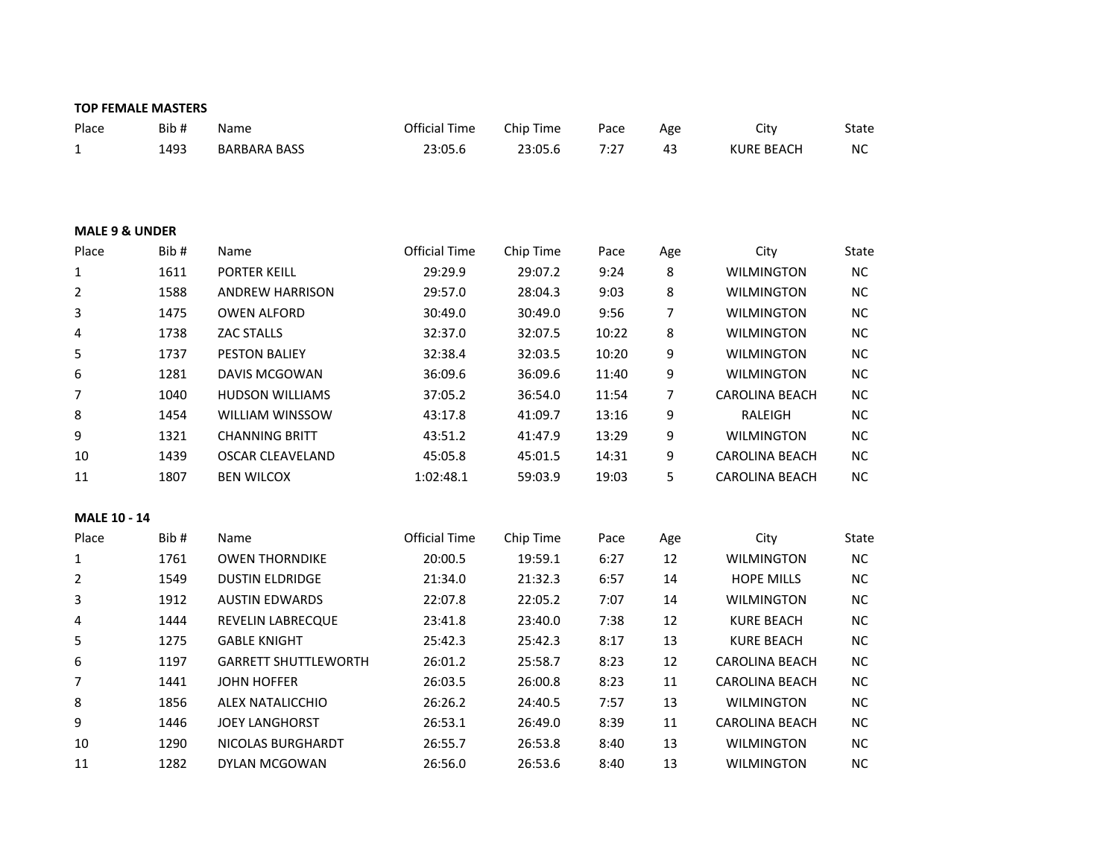|                           | <b>TOP FEMALE MASTERS</b> |                             |                      |           |       |     |                       |           |
|---------------------------|---------------------------|-----------------------------|----------------------|-----------|-------|-----|-----------------------|-----------|
| Place                     | Bib#                      | Name                        | <b>Official Time</b> | Chip Time | Pace  | Age | City                  | State     |
| 1                         | 1493                      | <b>BARBARA BASS</b>         | 23:05.6              | 23:05.6   | 7:27  | 43  | <b>KURE BEACH</b>     | NC        |
|                           |                           |                             |                      |           |       |     |                       |           |
|                           |                           |                             |                      |           |       |     |                       |           |
|                           |                           |                             |                      |           |       |     |                       |           |
| <b>MALE 9 &amp; UNDER</b> |                           |                             |                      |           |       |     |                       |           |
| Place                     | Bib#                      | Name                        | <b>Official Time</b> | Chip Time | Pace  | Age | City                  | State     |
| $\mathbf 1$               | 1611                      | <b>PORTER KEILL</b>         | 29:29.9              | 29:07.2   | 9:24  | 8   | <b>WILMINGTON</b>     | NC        |
| 2                         | 1588                      | <b>ANDREW HARRISON</b>      | 29:57.0              | 28:04.3   | 9:03  | 8   | <b>WILMINGTON</b>     | NC        |
| 3                         | 1475                      | <b>OWEN ALFORD</b>          | 30:49.0              | 30:49.0   | 9:56  | 7   | <b>WILMINGTON</b>     | <b>NC</b> |
| 4                         | 1738                      | <b>ZAC STALLS</b>           | 32:37.0              | 32:07.5   | 10:22 | 8   | <b>WILMINGTON</b>     | NC        |
| 5                         | 1737                      | <b>PESTON BALIEY</b>        | 32:38.4              | 32:03.5   | 10:20 | 9   | <b>WILMINGTON</b>     | NC        |
| 6                         | 1281                      | DAVIS MCGOWAN               | 36:09.6              | 36:09.6   | 11:40 | 9   | <b>WILMINGTON</b>     | NC        |
| $\overline{7}$            | 1040                      | <b>HUDSON WILLIAMS</b>      | 37:05.2              | 36:54.0   | 11:54 | 7   | <b>CAROLINA BEACH</b> | <b>NC</b> |
| 8                         | 1454                      | WILLIAM WINSSOW             | 43:17.8              | 41:09.7   | 13:16 | 9   | RALEIGH               | NC        |
| 9                         | 1321                      | <b>CHANNING BRITT</b>       | 43:51.2              | 41:47.9   | 13:29 | 9   | <b>WILMINGTON</b>     | NC        |
| 10                        | 1439                      | <b>OSCAR CLEAVELAND</b>     | 45:05.8              | 45:01.5   | 14:31 | 9   | <b>CAROLINA BEACH</b> | NC        |
| 11                        | 1807                      | <b>BEN WILCOX</b>           | 1:02:48.1            | 59:03.9   | 19:03 | 5   | <b>CAROLINA BEACH</b> | NC        |
|                           |                           |                             |                      |           |       |     |                       |           |
| <b>MALE 10 - 14</b>       |                           |                             |                      |           |       |     |                       |           |
| Place                     | Bib#                      | Name                        | <b>Official Time</b> | Chip Time | Pace  | Age | City                  | State     |
| $\mathbf{1}$              | 1761                      | <b>OWEN THORNDIKE</b>       | 20:00.5              | 19:59.1   | 6:27  | 12  | <b>WILMINGTON</b>     | NC        |
| 2                         | 1549                      | <b>DUSTIN ELDRIDGE</b>      | 21:34.0              | 21:32.3   | 6:57  | 14  | <b>HOPE MILLS</b>     | <b>NC</b> |
| 3                         | 1912                      | <b>AUSTIN EDWARDS</b>       | 22:07.8              | 22:05.2   | 7:07  | 14  | <b>WILMINGTON</b>     | NC        |
| 4                         | 1444                      | REVELIN LABRECQUE           | 23:41.8              | 23:40.0   | 7:38  | 12  | <b>KURE BEACH</b>     | <b>NC</b> |
| 5                         | 1275                      | <b>GABLE KNIGHT</b>         | 25:42.3              | 25:42.3   | 8:17  | 13  | <b>KURE BEACH</b>     | NC        |
| 6                         | 1197                      | <b>GARRETT SHUTTLEWORTH</b> | 26:01.2              | 25:58.7   | 8:23  | 12  | CAROLINA BEACH        | NC        |
| $\overline{7}$            | 1441                      | <b>JOHN HOFFER</b>          | 26:03.5              | 26:00.8   | 8:23  | 11  | <b>CAROLINA BEACH</b> | NC        |
| 8                         | 1856                      | ALEX NATALICCHIO            | 26:26.2              | 24:40.5   | 7:57  | 13  | <b>WILMINGTON</b>     | NC        |
| 9                         | 1446                      | <b>JOEY LANGHORST</b>       | 26:53.1              | 26:49.0   | 8:39  | 11  | <b>CAROLINA BEACH</b> | NC        |
| 10                        | 1290                      | NICOLAS BURGHARDT           | 26:55.7              | 26:53.8   | 8:40  | 13  | <b>WILMINGTON</b>     | NC        |
| 11                        | 1282                      | DYLAN MCGOWAN               | 26:56.0              | 26:53.6   | 8:40  | 13  | WILMINGTON            | <b>NC</b> |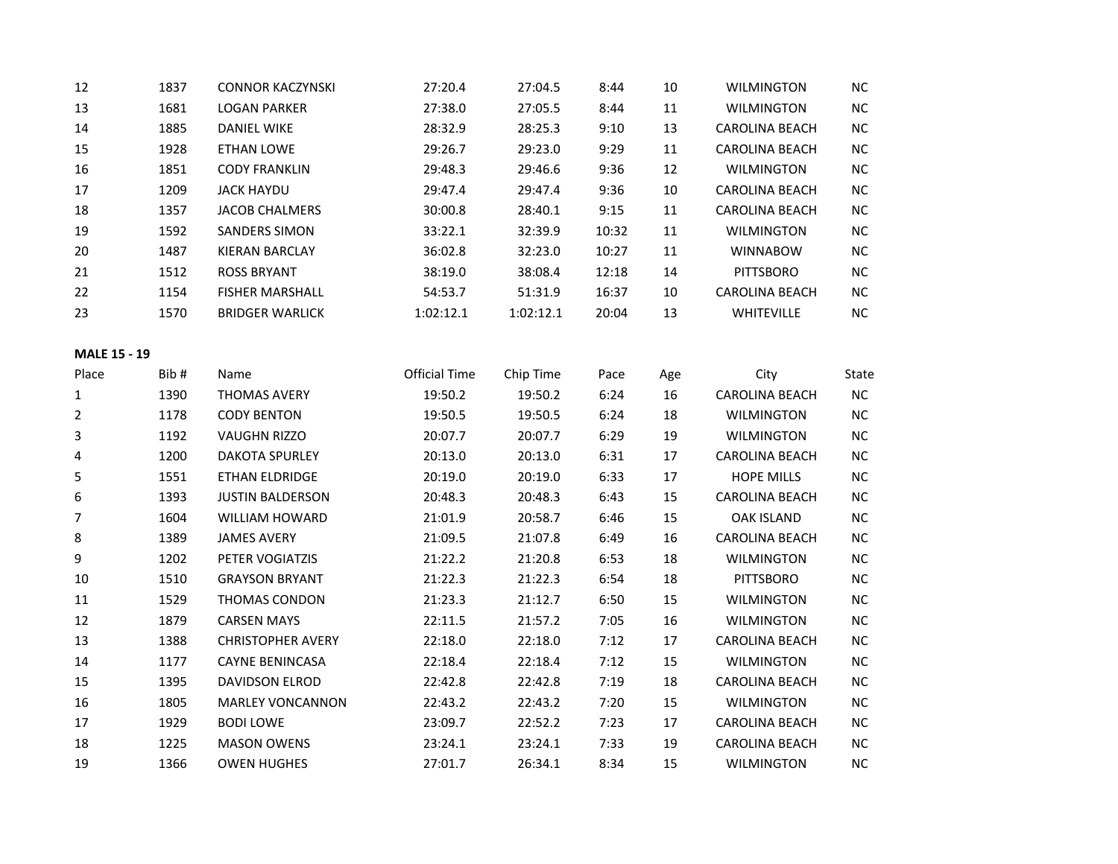| 12                  | 1837 | <b>CONNOR KACZYNSKI</b>  | 27:20.4              | 27:04.5   | 8:44  | $10\,$ | <b>WILMINGTON</b>     | NC        |
|---------------------|------|--------------------------|----------------------|-----------|-------|--------|-----------------------|-----------|
| 13                  | 1681 | <b>LOGAN PARKER</b>      | 27:38.0              | 27:05.5   | 8:44  | 11     | <b>WILMINGTON</b>     | NC        |
| 14                  | 1885 | <b>DANIEL WIKE</b>       | 28:32.9              | 28:25.3   | 9:10  | 13     | <b>CAROLINA BEACH</b> | NC        |
| 15                  | 1928 | <b>ETHAN LOWE</b>        | 29:26.7              | 29:23.0   | 9:29  | 11     | CAROLINA BEACH        | <b>NC</b> |
| 16                  | 1851 | <b>CODY FRANKLIN</b>     | 29:48.3              | 29:46.6   | 9:36  | 12     | <b>WILMINGTON</b>     | $NC$      |
| 17                  | 1209 | <b>JACK HAYDU</b>        | 29:47.4              | 29:47.4   | 9:36  | $10\,$ | CAROLINA BEACH        | NC        |
| 18                  | 1357 | <b>JACOB CHALMERS</b>    | 30:00.8              | 28:40.1   | 9:15  | 11     | CAROLINA BEACH        | NC        |
| 19                  | 1592 | <b>SANDERS SIMON</b>     | 33:22.1              | 32:39.9   | 10:32 | $11\,$ | <b>WILMINGTON</b>     | NC        |
| 20                  | 1487 | <b>KIERAN BARCLAY</b>    | 36:02.8              | 32:23.0   | 10:27 | 11     | <b>WINNABOW</b>       | NC        |
| 21                  | 1512 | <b>ROSS BRYANT</b>       | 38:19.0              | 38:08.4   | 12:18 | $14\,$ | <b>PITTSBORO</b>      | $NC$      |
| 22                  | 1154 | <b>FISHER MARSHALL</b>   | 54:53.7              | 51:31.9   | 16:37 | $10\,$ | CAROLINA BEACH        | NC        |
| 23                  | 1570 | <b>BRIDGER WARLICK</b>   | 1:02:12.1            | 1:02:12.1 | 20:04 | 13     | <b>WHITEVILLE</b>     | $NC$      |
| <b>MALE 15 - 19</b> |      |                          |                      |           |       |        |                       |           |
| Place               | Bib# | Name                     | <b>Official Time</b> | Chip Time | Pace  | Age    | City                  | State     |
| $\mathbf{1}$        | 1390 | <b>THOMAS AVERY</b>      | 19:50.2              | 19:50.2   | 6:24  | 16     | CAROLINA BEACH        | NC        |
| $\overline{2}$      | 1178 | <b>CODY BENTON</b>       | 19:50.5              | 19:50.5   | 6:24  | 18     | <b>WILMINGTON</b>     | $NC$      |
| 3                   | 1192 | <b>VAUGHN RIZZO</b>      | 20:07.7              | 20:07.7   | 6:29  | 19     | <b>WILMINGTON</b>     | $NC$      |
| 4                   | 1200 | <b>DAKOTA SPURLEY</b>    | 20:13.0              | 20:13.0   | 6:31  | 17     | <b>CAROLINA BEACH</b> | <b>NC</b> |
| 5                   | 1551 | ETHAN ELDRIDGE           | 20:19.0              | 20:19.0   | 6:33  | $17\,$ | <b>HOPE MILLS</b>     | NC        |
| 6                   | 1393 | <b>JUSTIN BALDERSON</b>  | 20:48.3              | 20:48.3   | 6:43  | 15     | CAROLINA BEACH        | $NC$      |
| $\overline{7}$      | 1604 | <b>WILLIAM HOWARD</b>    | 21:01.9              | 20:58.7   | 6:46  | 15     | <b>OAK ISLAND</b>     | NC        |
| 8                   | 1389 | <b>JAMES AVERY</b>       | 21:09.5              | 21:07.8   | 6:49  | 16     | CAROLINA BEACH        | $NC$      |
| 9                   | 1202 | PETER VOGIATZIS          | 21:22.2              | 21:20.8   | 6:53  | 18     | <b>WILMINGTON</b>     | NC        |
| 10                  | 1510 | <b>GRAYSON BRYANT</b>    | 21:22.3              | 21:22.3   | 6:54  | 18     | <b>PITTSBORO</b>      | $NC$      |
| $11\,$              | 1529 | THOMAS CONDON            | 21:23.3              | 21:12.7   | 6:50  | 15     | <b>WILMINGTON</b>     | NC        |
| 12                  | 1879 | <b>CARSEN MAYS</b>       | 22:11.5              | 21:57.2   | 7:05  | 16     | <b>WILMINGTON</b>     | NC        |
| 13                  | 1388 | <b>CHRISTOPHER AVERY</b> | 22:18.0              | 22:18.0   | 7:12  | 17     | CAROLINA BEACH        | $NC$      |
| 14                  | 1177 | <b>CAYNE BENINCASA</b>   | 22:18.4              | 22:18.4   | 7:12  | 15     | <b>WILMINGTON</b>     | NC        |
| 15                  | 1395 | DAVIDSON ELROD           | 22:42.8              | 22:42.8   | 7:19  | $18\,$ | CAROLINA BEACH        | NC        |
| 16                  | 1805 | <b>MARLEY VONCANNON</b>  | 22:43.2              | 22:43.2   | 7:20  | 15     | <b>WILMINGTON</b>     | $NC$      |
| 17                  | 1929 | <b>BODI LOWE</b>         | 23:09.7              | 22:52.2   | 7:23  | 17     | <b>CAROLINA BEACH</b> | NC        |
| 18                  | 1225 | <b>MASON OWENS</b>       | 23:24.1              | 23:24.1   | 7:33  | 19     | CAROLINA BEACH        | NC        |
| 19                  | 1366 | <b>OWEN HUGHES</b>       | 27:01.7              | 26:34.1   | 8:34  | 15     | <b>WILMINGTON</b>     | NC        |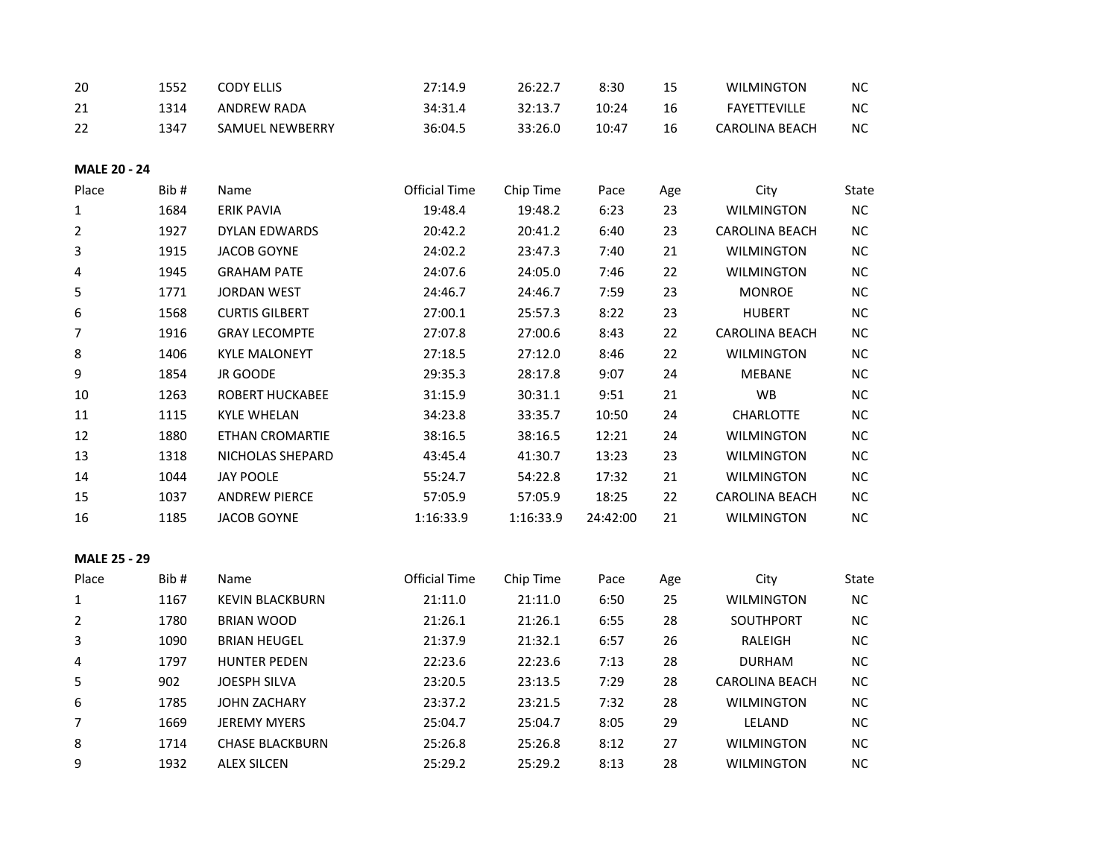| 20                  | 1552 | <b>CODY ELLIS</b>      | 27:14.9              | 26:22.7   | 8:30     | 15  | <b>WILMINGTON</b>     | $NC$     |
|---------------------|------|------------------------|----------------------|-----------|----------|-----|-----------------------|----------|
| 21                  | 1314 | <b>ANDREW RADA</b>     | 34:31.4              | 32:13.7   | 10:24    | 16  | <b>FAYETTEVILLE</b>   | $\sf NC$ |
| 22                  | 1347 | <b>SAMUEL NEWBERRY</b> | 36:04.5              | 33:26.0   | 10:47    | 16  | <b>CAROLINA BEACH</b> | NC       |
| <b>MALE 20 - 24</b> |      |                        |                      |           |          |     |                       |          |
| Place               | Bib# | Name                   | <b>Official Time</b> | Chip Time | Pace     | Age | City                  | State    |
| $\mathbf{1}$        | 1684 | <b>ERIK PAVIA</b>      | 19:48.4              | 19:48.2   | 6:23     | 23  | <b>WILMINGTON</b>     | NC       |
| $\overline{2}$      | 1927 | <b>DYLAN EDWARDS</b>   | 20:42.2              | 20:41.2   | 6:40     | 23  | CAROLINA BEACH        | $NC$     |
| 3                   | 1915 | <b>JACOB GOYNE</b>     | 24:02.2              | 23:47.3   | 7:40     | 21  | <b>WILMINGTON</b>     | NC       |
| 4                   | 1945 | <b>GRAHAM PATE</b>     | 24:07.6              | 24:05.0   | 7:46     | 22  | <b>WILMINGTON</b>     | $NC$     |
| 5                   | 1771 | <b>JORDAN WEST</b>     | 24:46.7              | 24:46.7   | 7:59     | 23  | <b>MONROE</b>         | NC       |
| 6                   | 1568 | <b>CURTIS GILBERT</b>  | 27:00.1              | 25:57.3   | 8:22     | 23  | <b>HUBERT</b>         | $\sf NC$ |
| $\overline{7}$      | 1916 | <b>GRAY LECOMPTE</b>   | 27:07.8              | 27:00.6   | 8:43     | 22  | <b>CAROLINA BEACH</b> | NC       |
| 8                   | 1406 | <b>KYLE MALONEYT</b>   | 27:18.5              | 27:12.0   | 8:46     | 22  | <b>WILMINGTON</b>     | $NC$     |
| 9                   | 1854 | JR GOODE               | 29:35.3              | 28:17.8   | 9:07     | 24  | <b>MEBANE</b>         | NC       |
| 10                  | 1263 | ROBERT HUCKABEE        | 31:15.9              | 30:31.1   | 9:51     | 21  | WB                    | $NC$     |
| 11                  | 1115 | <b>KYLE WHELAN</b>     | 34:23.8              | 33:35.7   | 10:50    | 24  | <b>CHARLOTTE</b>      | NC       |
| 12                  | 1880 | ETHAN CROMARTIE        | 38:16.5              | 38:16.5   | 12:21    | 24  | <b>WILMINGTON</b>     | $NC$     |
| 13                  | 1318 | NICHOLAS SHEPARD       | 43:45.4              | 41:30.7   | 13:23    | 23  | WILMINGTON            | NC       |
| 14                  | 1044 | <b>JAY POOLE</b>       | 55:24.7              | 54:22.8   | 17:32    | 21  | <b>WILMINGTON</b>     | NC       |
| 15                  | 1037 | <b>ANDREW PIERCE</b>   | 57:05.9              | 57:05.9   | 18:25    | 22  | <b>CAROLINA BEACH</b> | NC       |
| 16                  | 1185 | <b>JACOB GOYNE</b>     | 1:16:33.9            | 1:16:33.9 | 24:42:00 | 21  | <b>WILMINGTON</b>     | NC       |
| <b>MALE 25 - 29</b> |      |                        |                      |           |          |     |                       |          |
| Place               | Bib# | Name                   | <b>Official Time</b> | Chip Time | Pace     | Age | City                  | State    |
| $\mathbf{1}$        | 1167 | <b>KEVIN BLACKBURN</b> | 21:11.0              | 21:11.0   | 6:50     | 25  | <b>WILMINGTON</b>     | NC       |
| $\overline{2}$      | 1780 | <b>BRIAN WOOD</b>      | 21:26.1              | 21:26.1   | 6:55     | 28  | SOUTHPORT             | $NC$     |
| 3                   | 1090 | <b>BRIAN HEUGEL</b>    | 21:37.9              | 21:32.1   | 6:57     | 26  | RALEIGH               | NC       |
| 4                   | 1797 | <b>HUNTER PEDEN</b>    | 22:23.6              | 22:23.6   | 7:13     | 28  | <b>DURHAM</b>         | $NC$     |
| 5                   | 902  | JOESPH SILVA           | 23:20.5              | 23:13.5   | 7:29     | 28  | <b>CAROLINA BEACH</b> | NC       |
| 6                   | 1785 | JOHN ZACHARY           | 23:37.2              | 23:21.5   | 7:32     | 28  | <b>WILMINGTON</b>     | $NC$     |
| $\overline{7}$      | 1669 | <b>JEREMY MYERS</b>    | 25:04.7              | 25:04.7   | 8:05     | 29  | LELAND                | NC       |
| 8                   | 1714 | <b>CHASE BLACKBURN</b> | 25:26.8              | 25:26.8   | 8:12     | 27  | <b>WILMINGTON</b>     | $NC$     |
| 9                   | 1932 | <b>ALEX SILCEN</b>     | 25:29.2              | 25:29.2   | 8:13     | 28  | <b>WILMINGTON</b>     | NC       |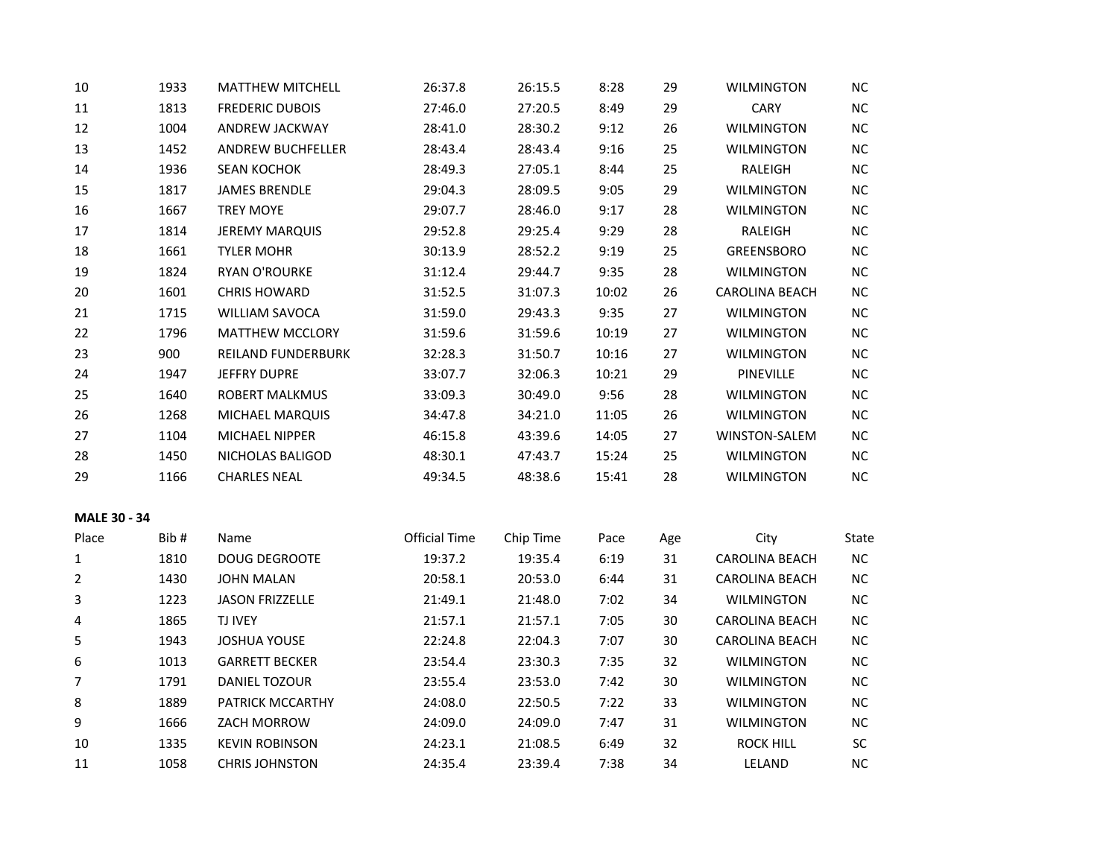| 10             | 1933 | <b>MATTHEW MITCHELL</b>   | 26:37.8       | 26:15.5   | 8:28  | 29  | <b>WILMINGTON</b>     | NC        |
|----------------|------|---------------------------|---------------|-----------|-------|-----|-----------------------|-----------|
| $11\,$         | 1813 | <b>FREDERIC DUBOIS</b>    | 27:46.0       | 27:20.5   | 8:49  | 29  | <b>CARY</b>           | $NC$      |
| 12             | 1004 | ANDREW JACKWAY            | 28:41.0       | 28:30.2   | 9:12  | 26  | <b>WILMINGTON</b>     | NC        |
| 13             | 1452 | <b>ANDREW BUCHFELLER</b>  | 28:43.4       | 28:43.4   | 9:16  | 25  | <b>WILMINGTON</b>     | NC        |
| 14             | 1936 | <b>SEAN KOCHOK</b>        | 28:49.3       | 27:05.1   | 8:44  | 25  | RALEIGH               | NC        |
| 15             | 1817 | <b>JAMES BRENDLE</b>      | 29:04.3       | 28:09.5   | 9:05  | 29  | <b>WILMINGTON</b>     | NC        |
| 16             | 1667 | <b>TREY MOYE</b>          | 29:07.7       | 28:46.0   | 9:17  | 28  | <b>WILMINGTON</b>     | NC        |
| 17             | 1814 | <b>JEREMY MARQUIS</b>     | 29:52.8       | 29:25.4   | 9:29  | 28  | RALEIGH               | NC        |
| 18             | 1661 | <b>TYLER MOHR</b>         | 30:13.9       | 28:52.2   | 9:19  | 25  | <b>GREENSBORO</b>     | NC        |
| 19             | 1824 | RYAN O'ROURKE             | 31:12.4       | 29:44.7   | 9:35  | 28  | <b>WILMINGTON</b>     | NC        |
| 20             | 1601 | <b>CHRIS HOWARD</b>       | 31:52.5       | 31:07.3   | 10:02 | 26  | CAROLINA BEACH        | NC        |
| 21             | 1715 | WILLIAM SAVOCA            | 31:59.0       | 29:43.3   | 9:35  | 27  | <b>WILMINGTON</b>     | NC        |
| 22             | 1796 | MATTHEW MCCLORY           | 31:59.6       | 31:59.6   | 10:19 | 27  | <b>WILMINGTON</b>     | NC        |
| 23             | 900  | <b>REILAND FUNDERBURK</b> | 32:28.3       | 31:50.7   | 10:16 | 27  | <b>WILMINGTON</b>     | NC        |
| 24             | 1947 | <b>JEFFRY DUPRE</b>       | 33:07.7       | 32:06.3   | 10:21 | 29  | PINEVILLE             | NC        |
| 25             | 1640 | ROBERT MALKMUS            | 33:09.3       | 30:49.0   | 9:56  | 28  | <b>WILMINGTON</b>     | NC        |
| 26             | 1268 | MICHAEL MARQUIS           | 34:47.8       | 34:21.0   | 11:05 | 26  | <b>WILMINGTON</b>     | NC        |
| 27             | 1104 | MICHAEL NIPPER            | 46:15.8       | 43:39.6   | 14:05 | 27  | WINSTON-SALEM         | NC        |
| 28             | 1450 | NICHOLAS BALIGOD          | 48:30.1       | 47:43.7   | 15:24 | 25  | <b>WILMINGTON</b>     | <b>NC</b> |
| 29             | 1166 | <b>CHARLES NEAL</b>       | 49:34.5       | 48:38.6   | 15:41 | 28  | <b>WILMINGTON</b>     | NC.       |
| MALE 30 - 34   |      |                           |               |           |       |     |                       |           |
| Place          | Bib# | Name                      | Official Time | Chip Time | Pace  | Age | City                  | State     |
| $\mathbf{1}$   | 1810 | <b>DOUG DEGROOTE</b>      | 19:37.2       | 19:35.4   | 6:19  | 31  | <b>CAROLINA BEACH</b> | NC        |
| $\overline{2}$ | 1430 | <b>JOHN MALAN</b>         | 20:58.1       | 20:53.0   | 6:44  | 31  | <b>CAROLINA BEACH</b> | NC        |
| 3              | 1223 | <b>JASON FRIZZELLE</b>    | 21:49.1       | 21:48.0   | 7:02  | 34  | <b>WILMINGTON</b>     | NC        |
| 4              | 1865 | TJ IVEY                   | 21:57.1       | 21:57.1   | 7:05  | 30  | CAROLINA BEACH        | NC        |
| 5              | 1943 | <b>JOSHUA YOUSE</b>       | 22:24.8       | 22:04.3   | 7:07  | 30  | CAROLINA BEACH        | $\sf NC$  |
| 6              | 1013 | <b>GARRETT BECKER</b>     | 23:54.4       | 23:30.3   | 7:35  | 32  | <b>WILMINGTON</b>     | NC        |
| $\overline{7}$ | 1791 | DANIEL TOZOUR             | 23:55.4       | 23:53.0   | 7:42  | 30  | <b>WILMINGTON</b>     | NC        |
| 8              | 1889 | PATRICK MCCARTHY          | 24:08.0       | 22:50.5   | 7:22  | 33  | <b>WILMINGTON</b>     | $\sf NC$  |
| 9              | 1666 | ZACH MORROW               | 24:09.0       | 24:09.0   | 7:47  | 31  | <b>WILMINGTON</b>     | NC        |
| 10             | 1335 | <b>KEVIN ROBINSON</b>     | 24:23.1       | 21:08.5   | 6:49  | 32  | <b>ROCK HILL</b>      | SC        |
| 11             | 1058 | <b>CHRIS JOHNSTON</b>     | 24:35.4       | 23:39.4   | 7:38  | 34  | LELAND                | NC        |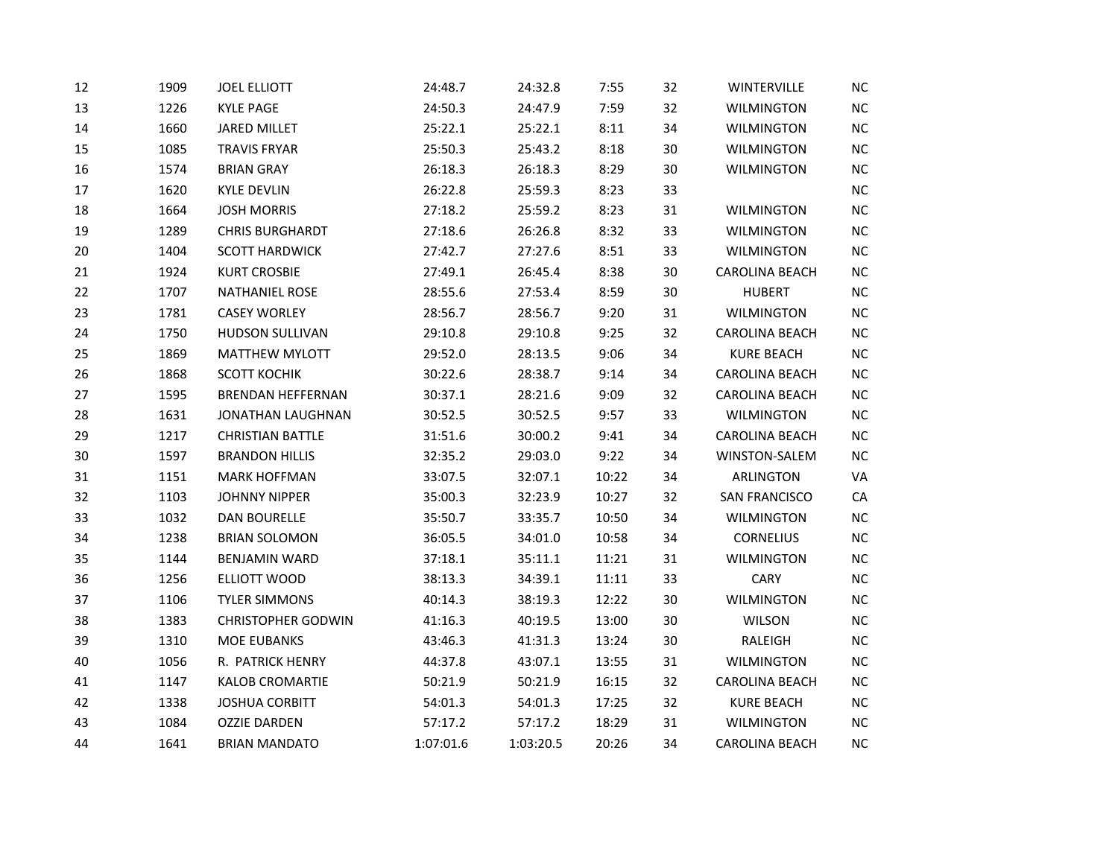| 12 | 1909 | <b>JOEL ELLIOTT</b>       | 24:48.7   | 24:32.8   | 7:55  | 32     | <b>WINTERVILLE</b>    | <b>NC</b>  |
|----|------|---------------------------|-----------|-----------|-------|--------|-----------------------|------------|
| 13 | 1226 | <b>KYLE PAGE</b>          | 24:50.3   | 24:47.9   | 7:59  | 32     | <b>WILMINGTON</b>     | $NC$       |
| 14 | 1660 | <b>JARED MILLET</b>       | 25:22.1   | 25:22.1   | 8:11  | 34     | <b>WILMINGTON</b>     | NC         |
| 15 | 1085 | <b>TRAVIS FRYAR</b>       | 25:50.3   | 25:43.2   | 8:18  | 30     | <b>WILMINGTON</b>     | NC         |
| 16 | 1574 | <b>BRIAN GRAY</b>         | 26:18.3   | 26:18.3   | 8:29  | 30     | <b>WILMINGTON</b>     | NC         |
| 17 | 1620 | <b>KYLE DEVLIN</b>        | 26:22.8   | 25:59.3   | 8:23  | 33     |                       | NC         |
| 18 | 1664 | <b>JOSH MORRIS</b>        | 27:18.2   | 25:59.2   | 8:23  | 31     | WILMINGTON            | NC         |
| 19 | 1289 | <b>CHRIS BURGHARDT</b>    | 27:18.6   | 26:26.8   | 8:32  | 33     | <b>WILMINGTON</b>     | NC         |
| 20 | 1404 | <b>SCOTT HARDWICK</b>     | 27:42.7   | 27:27.6   | 8:51  | 33     | <b>WILMINGTON</b>     | NC         |
| 21 | 1924 | <b>KURT CROSBIE</b>       | 27:49.1   | 26:45.4   | 8:38  | $30\,$ | <b>CAROLINA BEACH</b> | NC         |
| 22 | 1707 | <b>NATHANIEL ROSE</b>     | 28:55.6   | 27:53.4   | 8:59  | 30     | <b>HUBERT</b>         | NC         |
| 23 | 1781 | <b>CASEY WORLEY</b>       | 28:56.7   | 28:56.7   | 9:20  | 31     | <b>WILMINGTON</b>     | NC         |
| 24 | 1750 | HUDSON SULLIVAN           | 29:10.8   | 29:10.8   | 9:25  | 32     | <b>CAROLINA BEACH</b> | NC         |
| 25 | 1869 | MATTHEW MYLOTT            | 29:52.0   | 28:13.5   | 9:06  | 34     | <b>KURE BEACH</b>     | NC         |
| 26 | 1868 | <b>SCOTT KOCHIK</b>       | 30:22.6   | 28:38.7   | 9:14  | 34     | <b>CAROLINA BEACH</b> | NC         |
| 27 | 1595 | <b>BRENDAN HEFFERNAN</b>  | 30:37.1   | 28:21.6   | 9:09  | 32     | <b>CAROLINA BEACH</b> | NC         |
| 28 | 1631 | JONATHAN LAUGHNAN         | 30:52.5   | 30:52.5   | 9:57  | 33     | <b>WILMINGTON</b>     | NC         |
| 29 | 1217 | <b>CHRISTIAN BATTLE</b>   | 31:51.6   | 30:00.2   | 9:41  | 34     | <b>CAROLINA BEACH</b> | NC         |
| 30 | 1597 | <b>BRANDON HILLIS</b>     | 32:35.2   | 29:03.0   | 9:22  | 34     | WINSTON-SALEM         | NC         |
| 31 | 1151 | <b>MARK HOFFMAN</b>       | 33:07.5   | 32:07.1   | 10:22 | 34     | <b>ARLINGTON</b>      | VA         |
| 32 | 1103 | <b>JOHNNY NIPPER</b>      | 35:00.3   | 32:23.9   | 10:27 | 32     | <b>SAN FRANCISCO</b>  | ${\sf CA}$ |
| 33 | 1032 | <b>DAN BOURELLE</b>       | 35:50.7   | 33:35.7   | 10:50 | 34     | <b>WILMINGTON</b>     | NC         |
| 34 | 1238 | <b>BRIAN SOLOMON</b>      | 36:05.5   | 34:01.0   | 10:58 | 34     | <b>CORNELIUS</b>      | NC         |
| 35 | 1144 | <b>BENJAMIN WARD</b>      | 37:18.1   | 35:11.1   | 11:21 | 31     | <b>WILMINGTON</b>     | NC         |
| 36 | 1256 | ELLIOTT WOOD              | 38:13.3   | 34:39.1   | 11:11 | 33     | CARY                  | NC         |
| 37 | 1106 | <b>TYLER SIMMONS</b>      | 40:14.3   | 38:19.3   | 12:22 | 30     | <b>WILMINGTON</b>     | NC         |
| 38 | 1383 | <b>CHRISTOPHER GODWIN</b> | 41:16.3   | 40:19.5   | 13:00 | $30\,$ | <b>WILSON</b>         | NC         |
| 39 | 1310 | MOE EUBANKS               | 43:46.3   | 41:31.3   | 13:24 | 30     | RALEIGH               | NC         |
| 40 | 1056 | R. PATRICK HENRY          | 44:37.8   | 43:07.1   | 13:55 | 31     | <b>WILMINGTON</b>     | <b>NC</b>  |
| 41 | 1147 | <b>KALOB CROMARTIE</b>    | 50:21.9   | 50:21.9   | 16:15 | 32     | <b>CAROLINA BEACH</b> | <b>NC</b>  |
| 42 | 1338 | <b>JOSHUA CORBITT</b>     | 54:01.3   | 54:01.3   | 17:25 | 32     | <b>KURE BEACH</b>     | NC         |
| 43 | 1084 | <b>OZZIE DARDEN</b>       | 57:17.2   | 57:17.2   | 18:29 | 31     | <b>WILMINGTON</b>     | NC         |
| 44 | 1641 | <b>BRIAN MANDATO</b>      | 1:07:01.6 | 1:03:20.5 | 20:26 | 34     | <b>CAROLINA BEACH</b> | NC         |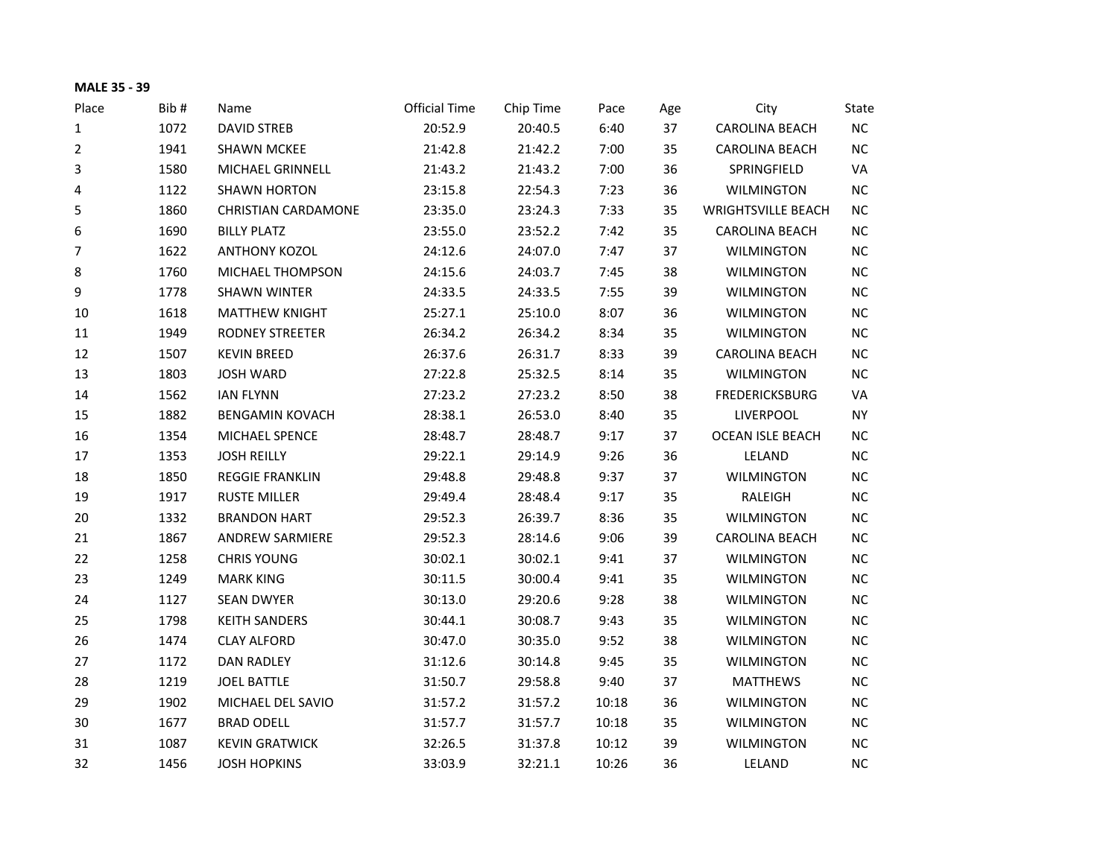| <b>MALE 35 - 39</b> |      |                            |                      |           |       |     |                           |           |
|---------------------|------|----------------------------|----------------------|-----------|-------|-----|---------------------------|-----------|
| Place               | Bib# | Name                       | <b>Official Time</b> | Chip Time | Pace  | Age | City                      | State     |
| 1                   | 1072 | <b>DAVID STREB</b>         | 20:52.9              | 20:40.5   | 6:40  | 37  | <b>CAROLINA BEACH</b>     | NC        |
| $\overline{2}$      | 1941 | <b>SHAWN MCKEE</b>         | 21:42.8              | 21:42.2   | 7:00  | 35  | <b>CAROLINA BEACH</b>     | NC        |
| 3                   | 1580 | MICHAEL GRINNELL           | 21:43.2              | 21:43.2   | 7:00  | 36  | SPRINGFIELD               | VA        |
| 4                   | 1122 | <b>SHAWN HORTON</b>        | 23:15.8              | 22:54.3   | 7:23  | 36  | <b>WILMINGTON</b>         | NC        |
| 5                   | 1860 | <b>CHRISTIAN CARDAMONE</b> | 23:35.0              | 23:24.3   | 7:33  | 35  | <b>WRIGHTSVILLE BEACH</b> | NC        |
| 6                   | 1690 | <b>BILLY PLATZ</b>         | 23:55.0              | 23:52.2   | 7:42  | 35  | <b>CAROLINA BEACH</b>     | NC        |
| 7                   | 1622 | <b>ANTHONY KOZOL</b>       | 24:12.6              | 24:07.0   | 7:47  | 37  | <b>WILMINGTON</b>         | NC        |
| 8                   | 1760 | <b>MICHAEL THOMPSON</b>    | 24:15.6              | 24:03.7   | 7:45  | 38  | <b>WILMINGTON</b>         | NC        |
| 9                   | 1778 | <b>SHAWN WINTER</b>        | 24:33.5              | 24:33.5   | 7:55  | 39  | <b>WILMINGTON</b>         | NC        |
| 10                  | 1618 | <b>MATTHEW KNIGHT</b>      | 25:27.1              | 25:10.0   | 8:07  | 36  | <b>WILMINGTON</b>         | NC        |
| 11                  | 1949 | <b>RODNEY STREETER</b>     | 26:34.2              | 26:34.2   | 8:34  | 35  | <b>WILMINGTON</b>         | NC        |
| 12                  | 1507 | <b>KEVIN BREED</b>         | 26:37.6              | 26:31.7   | 8:33  | 39  | <b>CAROLINA BEACH</b>     | <b>NC</b> |
| 13                  | 1803 | <b>JOSH WARD</b>           | 27:22.8              | 25:32.5   | 8:14  | 35  | <b>WILMINGTON</b>         | NC        |
| 14                  | 1562 | <b>IAN FLYNN</b>           | 27:23.2              | 27:23.2   | 8:50  | 38  | <b>FREDERICKSBURG</b>     | VA        |
| 15                  | 1882 | <b>BENGAMIN KOVACH</b>     | 28:38.1              | 26:53.0   | 8:40  | 35  | <b>LIVERPOOL</b>          | <b>NY</b> |
| 16                  | 1354 | MICHAEL SPENCE             | 28:48.7              | 28:48.7   | 9:17  | 37  | <b>OCEAN ISLE BEACH</b>   | NC        |
| 17                  | 1353 | <b>JOSH REILLY</b>         | 29:22.1              | 29:14.9   | 9:26  | 36  | LELAND                    | NC        |
| 18                  | 1850 | <b>REGGIE FRANKLIN</b>     | 29:48.8              | 29:48.8   | 9:37  | 37  | WILMINGTON                | NC        |
| 19                  | 1917 | <b>RUSTE MILLER</b>        | 29:49.4              | 28:48.4   | 9:17  | 35  | RALEIGH                   | NC        |
| 20                  | 1332 | <b>BRANDON HART</b>        | 29:52.3              | 26:39.7   | 8:36  | 35  | <b>WILMINGTON</b>         | NC        |
| 21                  | 1867 | <b>ANDREW SARMIERE</b>     | 29:52.3              | 28:14.6   | 9:06  | 39  | <b>CAROLINA BEACH</b>     | NC        |
| 22                  | 1258 | <b>CHRIS YOUNG</b>         | 30:02.1              | 30:02.1   | 9:41  | 37  | <b>WILMINGTON</b>         | NC        |
| 23                  | 1249 | <b>MARK KING</b>           | 30:11.5              | 30:00.4   | 9:41  | 35  | <b>WILMINGTON</b>         | NC        |
| 24                  | 1127 | <b>SEAN DWYER</b>          | 30:13.0              | 29:20.6   | 9:28  | 38  | <b>WILMINGTON</b>         | NC        |
| 25                  | 1798 | <b>KEITH SANDERS</b>       | 30:44.1              | 30:08.7   | 9:43  | 35  | <b>WILMINGTON</b>         | NC        |
| 26                  | 1474 | <b>CLAY ALFORD</b>         | 30:47.0              | 30:35.0   | 9:52  | 38  | <b>WILMINGTON</b>         | NC        |
| 27                  | 1172 | <b>DAN RADLEY</b>          | 31:12.6              | 30:14.8   | 9:45  | 35  | <b>WILMINGTON</b>         | <b>NC</b> |
| 28                  | 1219 | <b>JOEL BATTLE</b>         | 31:50.7              | 29:58.8   | 9:40  | 37  | <b>MATTHEWS</b>           | NC        |
| 29                  | 1902 | MICHAEL DEL SAVIO          | 31:57.2              | 31:57.2   | 10:18 | 36  | <b>WILMINGTON</b>         | NC        |
| 30                  | 1677 | <b>BRAD ODELL</b>          | 31:57.7              | 31:57.7   | 10:18 | 35  | <b>WILMINGTON</b>         | NC        |
| 31                  | 1087 | <b>KEVIN GRATWICK</b>      | 32:26.5              | 31:37.8   | 10:12 | 39  | <b>WILMINGTON</b>         | NC        |
| 32                  | 1456 | <b>JOSH HOPKINS</b>        | 33:03.9              | 32:21.1   | 10:26 | 36  | LELAND                    | NC        |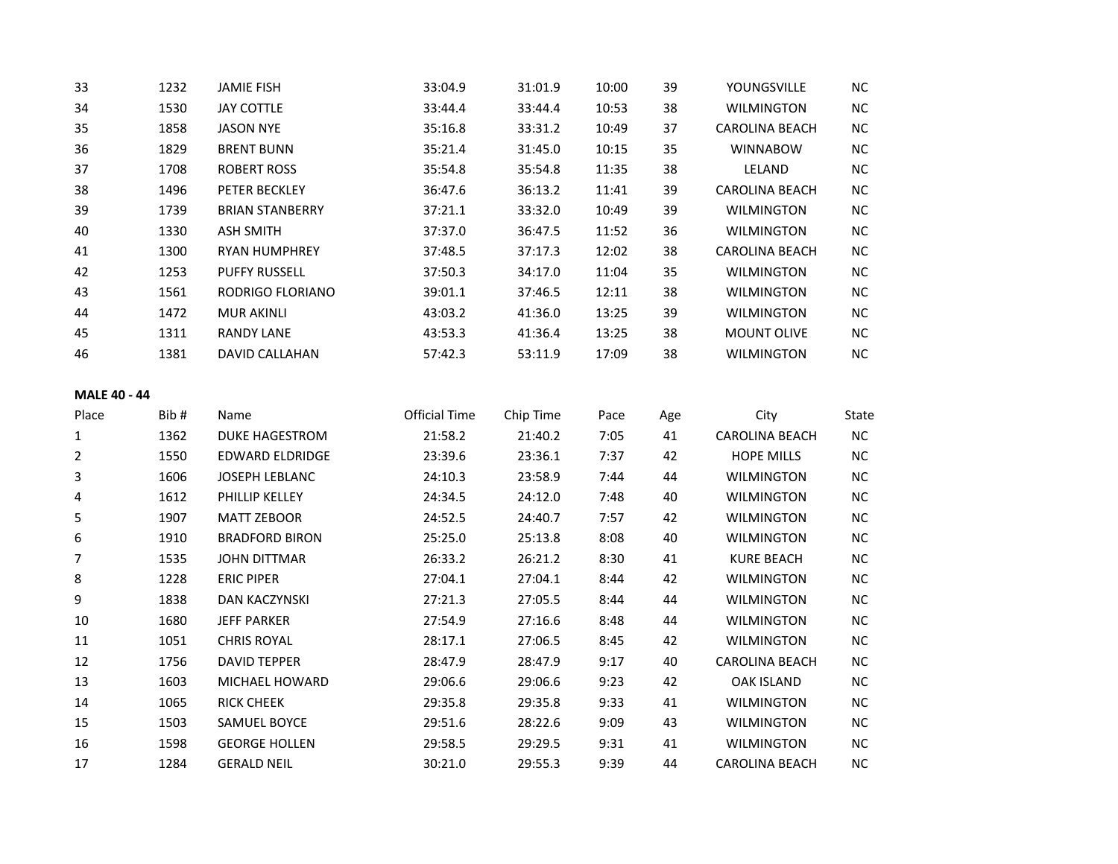| 33 | 1232 | <b>JAMIE FISH</b>      | 33:04.9 | 31:01.9 | 10:00 | 39 | YOUNGSVILLE           | NC.       |
|----|------|------------------------|---------|---------|-------|----|-----------------------|-----------|
| 34 | 1530 | <b>JAY COTTLE</b>      | 33:44.4 | 33:44.4 | 10:53 | 38 | <b>WILMINGTON</b>     | <b>NC</b> |
| 35 | 1858 | <b>JASON NYE</b>       | 35:16.8 | 33:31.2 | 10:49 | 37 | CAROLINA BEACH        | <b>NC</b> |
| 36 | 1829 | <b>BRENT BUNN</b>      | 35:21.4 | 31:45.0 | 10:15 | 35 | <b>WINNABOW</b>       | NC.       |
| 37 | 1708 | ROBERT ROSS            | 35:54.8 | 35:54.8 | 11:35 | 38 | LELAND                | NC.       |
| 38 | 1496 | PETER BECKLEY          | 36:47.6 | 36:13.2 | 11:41 | 39 | CAROLINA BEACH        | <b>NC</b> |
| 39 | 1739 | <b>BRIAN STANBERRY</b> | 37:21.1 | 33:32.0 | 10:49 | 39 | <b>WILMINGTON</b>     | <b>NC</b> |
| 40 | 1330 | ASH SMITH              | 37:37.0 | 36:47.5 | 11:52 | 36 | <b>WILMINGTON</b>     | NC.       |
| 41 | 1300 | <b>RYAN HUMPHREY</b>   | 37:48.5 | 37:17.3 | 12:02 | 38 | <b>CAROLINA BEACH</b> | <b>NC</b> |
| 42 | 1253 | <b>PUFFY RUSSELL</b>   | 37:50.3 | 34:17.0 | 11:04 | 35 | <b>WILMINGTON</b>     | NC.       |
| 43 | 1561 | RODRIGO FLORIANO       | 39:01.1 | 37:46.5 | 12:11 | 38 | <b>WILMINGTON</b>     | NC.       |
| 44 | 1472 | <b>MUR AKINLI</b>      | 43:03.2 | 41:36.0 | 13:25 | 39 | <b>WILMINGTON</b>     | <b>NC</b> |
| 45 | 1311 | <b>RANDY LANE</b>      | 43:53.3 | 41:36.4 | 13:25 | 38 | <b>MOUNT OLIVE</b>    | <b>NC</b> |
| 46 | 1381 | DAVID CALLAHAN         | 57:42.3 | 53:11.9 | 17:09 | 38 | <b>WILMINGTON</b>     | NC.       |
|    |      |                        |         |         |       |    |                       |           |

# **MALE 40 - 44**

| Place | Bib# | Name                   | <b>Official Time</b> | Chip Time | Pace | Age | City                  | State |
|-------|------|------------------------|----------------------|-----------|------|-----|-----------------------|-------|
| 1     | 1362 | <b>DUKE HAGESTROM</b>  | 21:58.2              | 21:40.2   | 7:05 | 41  | <b>CAROLINA BEACH</b> | NC.   |
| 2     | 1550 | <b>EDWARD ELDRIDGE</b> | 23:39.6              | 23:36.1   | 7:37 | 42  | <b>HOPE MILLS</b>     | NC.   |
| 3     | 1606 | <b>JOSEPH LEBLANC</b>  | 24:10.3              | 23:58.9   | 7:44 | 44  | <b>WILMINGTON</b>     | NC.   |
| 4     | 1612 | PHILLIP KELLEY         | 24:34.5              | 24:12.0   | 7:48 | 40  | <b>WILMINGTON</b>     | NC.   |
| 5     | 1907 | <b>MATT ZEBOOR</b>     | 24:52.5              | 24:40.7   | 7:57 | 42  | <b>WILMINGTON</b>     | NC.   |
| 6     | 1910 | <b>BRADFORD BIRON</b>  | 25:25.0              | 25:13.8   | 8:08 | 40  | <b>WILMINGTON</b>     | NC.   |
| 7     | 1535 | <b>JOHN DITTMAR</b>    | 26:33.2              | 26:21.2   | 8:30 | 41  | <b>KURE BEACH</b>     | NC.   |
| 8     | 1228 | <b>ERIC PIPER</b>      | 27:04.1              | 27:04.1   | 8:44 | 42  | <b>WILMINGTON</b>     | NC.   |
| 9     | 1838 | <b>DAN KACZYNSKI</b>   | 27:21.3              | 27:05.5   | 8:44 | 44  | <b>WILMINGTON</b>     | NC.   |
| 10    | 1680 | <b>JEFF PARKER</b>     | 27:54.9              | 27:16.6   | 8:48 | 44  | <b>WILMINGTON</b>     | NC.   |
| 11    | 1051 | <b>CHRIS ROYAL</b>     | 28:17.1              | 27:06.5   | 8:45 | 42  | <b>WILMINGTON</b>     | NC.   |
| 12    | 1756 | <b>DAVID TEPPER</b>    | 28:47.9              | 28:47.9   | 9:17 | 40  | <b>CAROLINA BEACH</b> | NC.   |
| 13    | 1603 | MICHAEL HOWARD         | 29:06.6              | 29:06.6   | 9:23 | 42  | <b>OAK ISLAND</b>     | NC.   |
| 14    | 1065 | <b>RICK CHEEK</b>      | 29:35.8              | 29:35.8   | 9:33 | 41  | <b>WILMINGTON</b>     | NC.   |
| 15    | 1503 | <b>SAMUEL BOYCE</b>    | 29:51.6              | 28:22.6   | 9:09 | 43  | <b>WILMINGTON</b>     | NC.   |
| 16    | 1598 | <b>GEORGE HOLLEN</b>   | 29:58.5              | 29:29.5   | 9:31 | 41  | <b>WILMINGTON</b>     | NC.   |
| 17    | 1284 | <b>GERALD NEIL</b>     | 30:21.0              | 29:55.3   | 9:39 | 44  | <b>CAROLINA BEACH</b> | NC.   |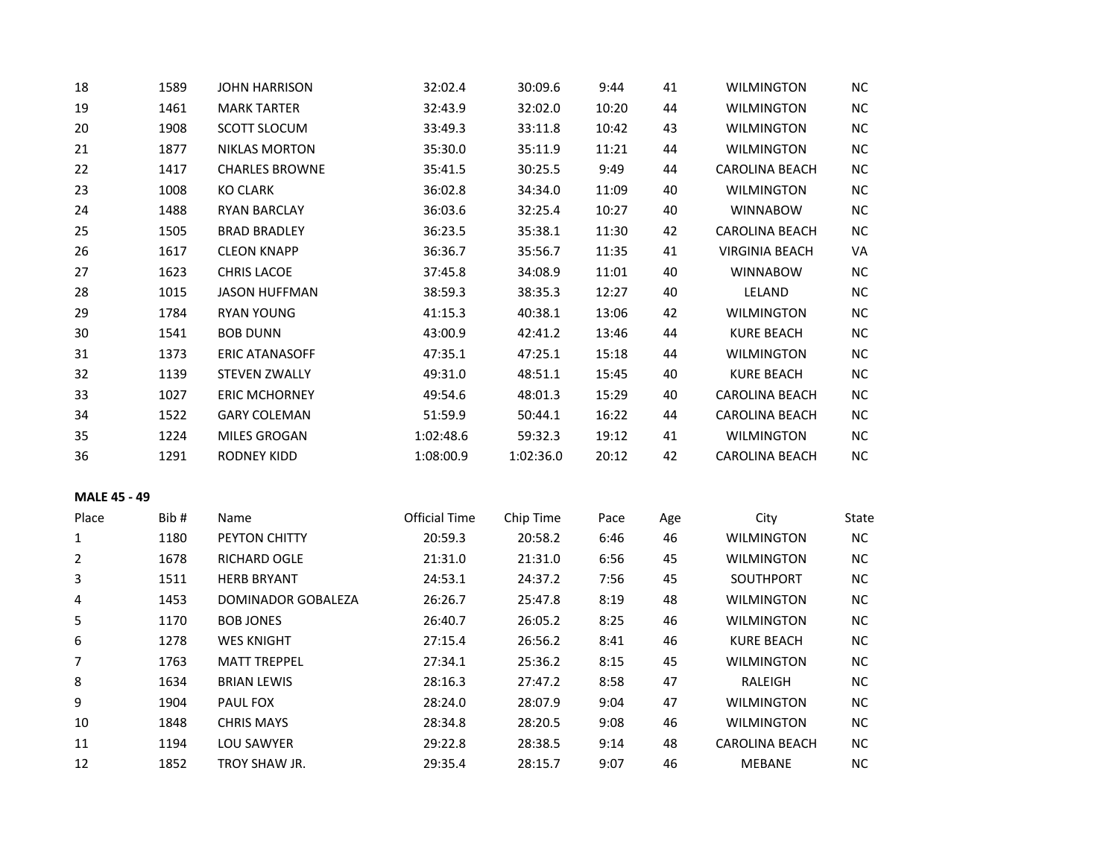| 18                  | 1589 | <b>JOHN HARRISON</b>  | 32:02.4              | 30:09.6   | 9:44  | 41  | <b>WILMINGTON</b>     | <b>NC</b>  |
|---------------------|------|-----------------------|----------------------|-----------|-------|-----|-----------------------|------------|
| 19                  | 1461 | <b>MARK TARTER</b>    | 32:43.9              | 32:02.0   | 10:20 | 44  | <b>WILMINGTON</b>     | $\sf NC$   |
| 20                  | 1908 | SCOTT SLOCUM          | 33:49.3              | 33:11.8   | 10:42 | 43  | <b>WILMINGTON</b>     | $NC$       |
| 21                  | 1877 | <b>NIKLAS MORTON</b>  | 35:30.0              | 35:11.9   | 11:21 | 44  | <b>WILMINGTON</b>     | NC         |
| 22                  | 1417 | <b>CHARLES BROWNE</b> | 35:41.5              | 30:25.5   | 9:49  | 44  | <b>CAROLINA BEACH</b> | NC         |
| 23                  | 1008 | <b>KO CLARK</b>       | 36:02.8              | 34:34.0   | 11:09 | 40  | <b>WILMINGTON</b>     | $NC$       |
| 24                  | 1488 | <b>RYAN BARCLAY</b>   | 36:03.6              | 32:25.4   | 10:27 | 40  | <b>WINNABOW</b>       | $NC$       |
| 25                  | 1505 | <b>BRAD BRADLEY</b>   | 36:23.5              | 35:38.1   | 11:30 | 42  | CAROLINA BEACH        | NC         |
| 26                  | 1617 | <b>CLEON KNAPP</b>    | 36:36.7              | 35:56.7   | 11:35 | 41  | <b>VIRGINIA BEACH</b> | VA         |
| 27                  | 1623 | <b>CHRIS LACOE</b>    | 37:45.8              | 34:08.9   | 11:01 | 40  | <b>WINNABOW</b>       | $NC$       |
| 28                  | 1015 | <b>JASON HUFFMAN</b>  | 38:59.3              | 38:35.3   | 12:27 | 40  | LELAND                | $\sf NC$   |
| 29                  | 1784 | <b>RYAN YOUNG</b>     | 41:15.3              | 40:38.1   | 13:06 | 42  | <b>WILMINGTON</b>     | $NC$       |
| 30                  | 1541 | <b>BOB DUNN</b>       | 43:00.9              | 42:41.2   | 13:46 | 44  | <b>KURE BEACH</b>     | NC         |
| 31                  | 1373 | <b>ERIC ATANASOFF</b> | 47:35.1              | 47:25.1   | 15:18 | 44  | <b>WILMINGTON</b>     | NC         |
| 32                  | 1139 | <b>STEVEN ZWALLY</b>  | 49:31.0              | 48:51.1   | 15:45 | 40  | <b>KURE BEACH</b>     | $NC$       |
| 33                  | 1027 | <b>ERIC MCHORNEY</b>  | 49:54.6              | 48:01.3   | 15:29 | 40  | CAROLINA BEACH        | $NC$       |
| 34                  | 1522 | <b>GARY COLEMAN</b>   | 51:59.9              | 50:44.1   | 16:22 | 44  | <b>CAROLINA BEACH</b> | NC         |
| 35                  | 1224 | MILES GROGAN          | 1:02:48.6            | 59:32.3   | 19:12 | 41  | <b>WILMINGTON</b>     | NC         |
| 36                  | 1291 | <b>RODNEY KIDD</b>    | 1:08:00.9            | 1:02:36.0 | 20:12 | 42  | CAROLINA BEACH        | NC         |
| <b>MALE 45 - 49</b> |      |                       |                      |           |       |     |                       |            |
| Place               | Bib# | Name                  | <b>Official Time</b> | Chip Time | Pace  | Age | City                  | State      |
| $\mathbf{1}$        | 1180 | PEYTON CHITTY         | 20:59.3              | 20:58.2   | 6:46  | 46  | <b>WILMINGTON</b>     | ${\sf NC}$ |
| 2                   | 1678 | RICHARD OGLE          | 21:31.0              | 21:31.0   | 6:56  | 45  | <b>WILMINGTON</b>     | NC         |
| 3                   | 1511 | <b>HERB BRYANT</b>    | 24:53.1              | 24:37.2   | 7:56  | 45  | SOUTHPORT             | $NC$       |
| 4                   | 1453 | DOMINADOR GOBALEZA    | 26:26.7              | 25:47.8   | 8:19  | 48  | <b>WILMINGTON</b>     | NC         |
| 5                   | 1170 | <b>BOB JONES</b>      | 26:40.7              | 26:05.2   | 8:25  | 46  | <b>WILMINGTON</b>     | $NC$       |
| 6                   | 1278 | <b>WES KNIGHT</b>     | 27:15.4              | 26:56.2   | 8:41  | 46  | <b>KURE BEACH</b>     | $NC$       |
| 7                   | 1763 | <b>MATT TREPPEL</b>   | 27:34.1              | 25:36.2   | 8:15  | 45  | <b>WILMINGTON</b>     | <b>NC</b>  |
| 8                   | 1634 | <b>BRIAN LEWIS</b>    | 28:16.3              | 27:47.2   | 8:58  | 47  | RALEIGH               | $NC$       |
| 9                   | 1904 | PAUL FOX              | 28:24.0              | 28:07.9   | 9:04  | 47  | <b>WILMINGTON</b>     | NC         |
| 10                  | 1848 | <b>CHRIS MAYS</b>     | 28:34.8              | 28:20.5   | 9:08  | 46  | <b>WILMINGTON</b>     | NC.        |
| 11                  | 1194 | LOU SAWYER            | 29:22.8              | 28:38.5   | 9:14  | 48  | <b>CAROLINA BEACH</b> | NC         |
| 12                  | 1852 | TROY SHAW JR.         | 29:35.4              | 28:15.7   | 9:07  | 46  | <b>MEBANE</b>         | NC         |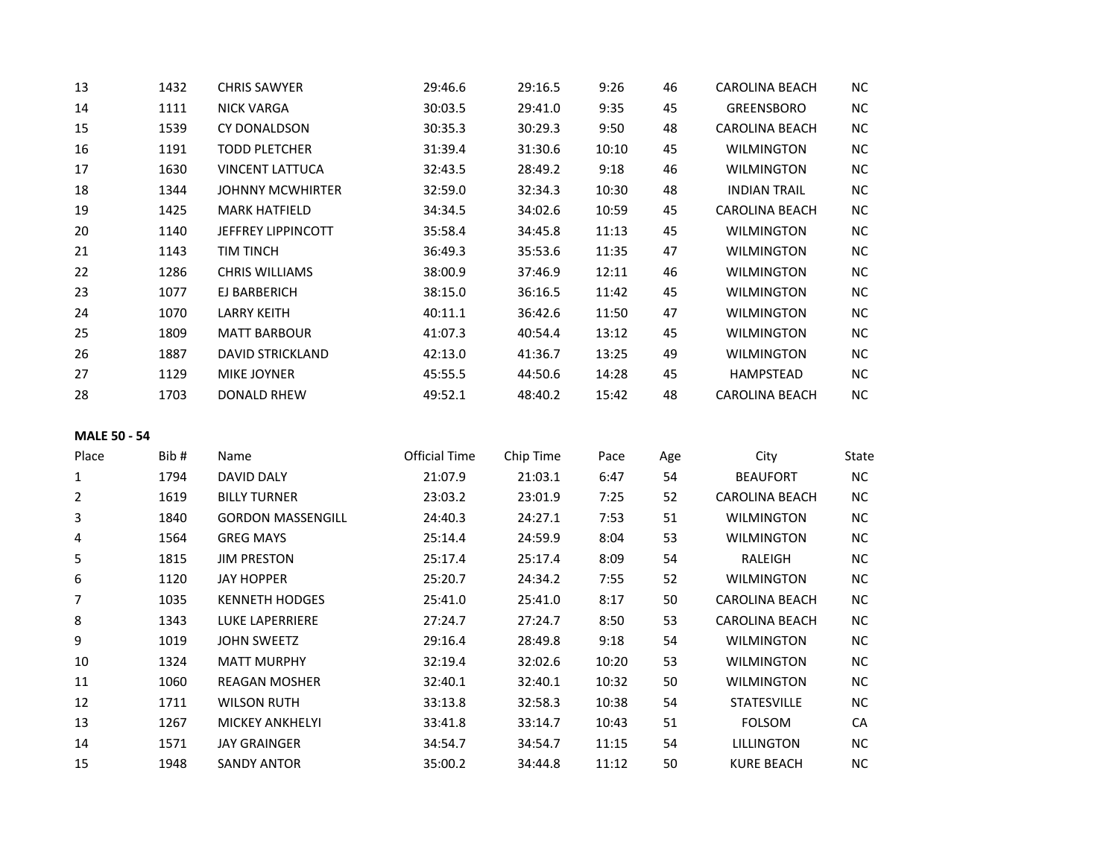| 13 | 1432 | <b>CHRIS SAWYER</b>       | 29:46.6 | 29:16.5 | 9:26  | 46 | <b>CAROLINA BEACH</b> | NC.       |
|----|------|---------------------------|---------|---------|-------|----|-----------------------|-----------|
| 14 | 1111 | NICK VARGA                | 30:03.5 | 29:41.0 | 9:35  | 45 | <b>GREENSBORO</b>     | <b>NC</b> |
| 15 | 1539 | CY DONALDSON              | 30:35.3 | 30:29.3 | 9:50  | 48 | <b>CAROLINA BEACH</b> | <b>NC</b> |
| 16 | 1191 | <b>TODD PLETCHER</b>      | 31:39.4 | 31:30.6 | 10:10 | 45 | <b>WILMINGTON</b>     | <b>NC</b> |
| 17 | 1630 | VINCENT LATTUCA           | 32:43.5 | 28:49.2 | 9:18  | 46 | <b>WILMINGTON</b>     | <b>NC</b> |
| 18 | 1344 | <b>JOHNNY MCWHIRTER</b>   | 32:59.0 | 32:34.3 | 10:30 | 48 | <b>INDIAN TRAIL</b>   | <b>NC</b> |
| 19 | 1425 | <b>MARK HATFIELD</b>      | 34:34.5 | 34:02.6 | 10:59 | 45 | <b>CAROLINA BEACH</b> | <b>NC</b> |
| 20 | 1140 | <b>JEFFREY LIPPINCOTT</b> | 35:58.4 | 34:45.8 | 11:13 | 45 | <b>WILMINGTON</b>     | <b>NC</b> |
| 21 | 1143 | <b>TIM TINCH</b>          | 36:49.3 | 35:53.6 | 11:35 | 47 | <b>WILMINGTON</b>     | NC        |
| 22 | 1286 | <b>CHRIS WILLIAMS</b>     | 38:00.9 | 37:46.9 | 12:11 | 46 | <b>WILMINGTON</b>     | <b>NC</b> |
| 23 | 1077 | EJ BARBERICH              | 38:15.0 | 36:16.5 | 11:42 | 45 | <b>WILMINGTON</b>     | <b>NC</b> |
| 24 | 1070 | <b>LARRY KEITH</b>        | 40:11.1 | 36:42.6 | 11:50 | 47 | <b>WILMINGTON</b>     | <b>NC</b> |
| 25 | 1809 | <b>MATT BARBOUR</b>       | 41:07.3 | 40:54.4 | 13:12 | 45 | <b>WILMINGTON</b>     | <b>NC</b> |
| 26 | 1887 | <b>DAVID STRICKLAND</b>   | 42:13.0 | 41:36.7 | 13:25 | 49 | <b>WILMINGTON</b>     | NC.       |
| 27 | 1129 | <b>MIKE JOYNER</b>        | 45:55.5 | 44:50.6 | 14:28 | 45 | <b>HAMPSTEAD</b>      | <b>NC</b> |
| 28 | 1703 | <b>DONALD RHEW</b>        | 49:52.1 | 48:40.2 | 15:42 | 48 | <b>CAROLINA BEACH</b> | <b>NC</b> |

# **MALE 50 - 54**

| Place | Bib# | Name                     | Official Time | Chip Time | Pace  | Age | City                  | State |
|-------|------|--------------------------|---------------|-----------|-------|-----|-----------------------|-------|
|       | 1794 | <b>DAVID DALY</b>        | 21:07.9       | 21:03.1   | 6:47  | 54  | <b>BEAUFORT</b>       | NC    |
| 2     | 1619 | <b>BILLY TURNER</b>      | 23:03.2       | 23:01.9   | 7:25  | 52  | <b>CAROLINA BEACH</b> | NC    |
| 3     | 1840 | <b>GORDON MASSENGILL</b> | 24:40.3       | 24:27.1   | 7:53  | 51  | <b>WILMINGTON</b>     | NC    |
| 4     | 1564 | <b>GREG MAYS</b>         | 25:14.4       | 24:59.9   | 8:04  | 53  | <b>WILMINGTON</b>     | NC    |
| 5     | 1815 | <b>JIM PRESTON</b>       | 25:17.4       | 25:17.4   | 8:09  | 54  | RALEIGH               | NC    |
| 6     | 1120 | <b>JAY HOPPER</b>        | 25:20.7       | 24:34.2   | 7:55  | 52  | <b>WILMINGTON</b>     | NC    |
| 7     | 1035 | <b>KENNETH HODGES</b>    | 25:41.0       | 25:41.0   | 8:17  | 50  | <b>CAROLINA BEACH</b> | NC    |
| 8     | 1343 | LUKE LAPERRIERE          | 27:24.7       | 27:24.7   | 8:50  | 53  | CAROLINA BEACH        | NC    |
| 9     | 1019 | <b>JOHN SWEETZ</b>       | 29:16.4       | 28:49.8   | 9:18  | 54  | <b>WILMINGTON</b>     | NC    |
| 10    | 1324 | <b>MATT MURPHY</b>       | 32:19.4       | 32:02.6   | 10:20 | 53  | <b>WILMINGTON</b>     | NC.   |
| 11    | 1060 | <b>REAGAN MOSHER</b>     | 32:40.1       | 32:40.1   | 10:32 | 50  | <b>WILMINGTON</b>     | NC    |
| 12    | 1711 | <b>WILSON RUTH</b>       | 33:13.8       | 32:58.3   | 10:38 | 54  | <b>STATESVILLE</b>    | NC    |
| 13    | 1267 | <b>MICKEY ANKHELYI</b>   | 33:41.8       | 33:14.7   | 10:43 | 51  | <b>FOLSOM</b>         | CA    |
| 14    | 1571 | <b>JAY GRAINGER</b>      | 34:54.7       | 34:54.7   | 11:15 | 54  | <b>LILLINGTON</b>     | NC    |
| 15    | 1948 | <b>SANDY ANTOR</b>       | 35:00.2       | 34:44.8   | 11:12 | 50  | <b>KURE BEACH</b>     | NC.   |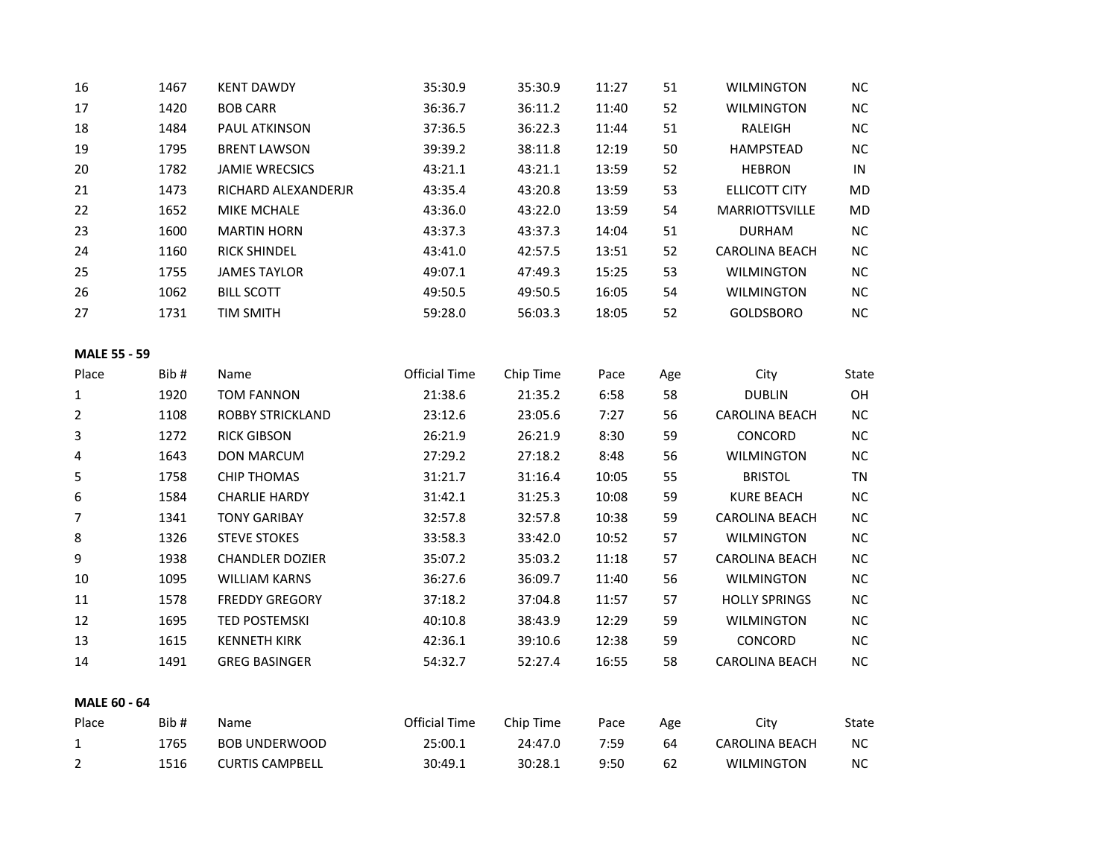| 16                  | 1467 | <b>KENT DAWDY</b>       | 35:30.9              | 35:30.9   | 11:27 | 51  | <b>WILMINGTON</b>     | NC         |
|---------------------|------|-------------------------|----------------------|-----------|-------|-----|-----------------------|------------|
| 17                  | 1420 | <b>BOB CARR</b>         | 36:36.7              | 36:11.2   | 11:40 | 52  | <b>WILMINGTON</b>     | $NC$       |
| 18                  | 1484 | PAUL ATKINSON           | 37:36.5              | 36:22.3   | 11:44 | 51  | RALEIGH               | NC         |
| 19                  | 1795 | <b>BRENT LAWSON</b>     | 39:39.2              | 38:11.8   | 12:19 | 50  | <b>HAMPSTEAD</b>      | NC         |
| 20                  | 1782 | <b>JAMIE WRECSICS</b>   | 43:21.1              | 43:21.1   | 13:59 | 52  | <b>HEBRON</b>         | ${\sf IN}$ |
| 21                  | 1473 | RICHARD ALEXANDERJR     | 43:35.4              | 43:20.8   | 13:59 | 53  | ELLICOTT CITY         | <b>MD</b>  |
| 22                  | 1652 | <b>MIKE MCHALE</b>      | 43:36.0              | 43:22.0   | 13:59 | 54  | MARRIOTTSVILLE        | MD         |
| 23                  | 1600 | <b>MARTIN HORN</b>      | 43:37.3              | 43:37.3   | 14:04 | 51  | <b>DURHAM</b>         | $NC$       |
| 24                  | 1160 | <b>RICK SHINDEL</b>     | 43:41.0              | 42:57.5   | 13:51 | 52  | <b>CAROLINA BEACH</b> | NC         |
| 25                  | 1755 | <b>JAMES TAYLOR</b>     | 49:07.1              | 47:49.3   | 15:25 | 53  | <b>WILMINGTON</b>     | NC         |
| 26                  | 1062 | <b>BILL SCOTT</b>       | 49:50.5              | 49:50.5   | 16:05 | 54  | <b>WILMINGTON</b>     | $NC$       |
| 27                  | 1731 | <b>TIM SMITH</b>        | 59:28.0              | 56:03.3   | 18:05 | 52  | <b>GOLDSBORO</b>      | $\sf NC$   |
| <b>MALE 55 - 59</b> |      |                         |                      |           |       |     |                       |            |
| Place               | Bib# | Name                    | <b>Official Time</b> | Chip Time | Pace  | Age | City                  | State      |
| $\mathbf{1}$        | 1920 | <b>TOM FANNON</b>       | 21:38.6              | 21:35.2   | 6:58  | 58  | <b>DUBLIN</b>         | OH         |
| $\overline{2}$      | 1108 | <b>ROBBY STRICKLAND</b> | 23:12.6              | 23:05.6   | 7:27  | 56  | <b>CAROLINA BEACH</b> | $NC$       |
| 3                   | 1272 | <b>RICK GIBSON</b>      | 26:21.9              | 26:21.9   | 8:30  | 59  | CONCORD               | $NC$       |
| 4                   | 1643 | <b>DON MARCUM</b>       | 27:29.2              | 27:18.2   | 8:48  | 56  | <b>WILMINGTON</b>     | NC         |
| 5                   | 1758 | <b>CHIP THOMAS</b>      | 31:21.7              | 31:16.4   | 10:05 | 55  | <b>BRISTOL</b>        | TN         |
| 6                   | 1584 | <b>CHARLIE HARDY</b>    | 31:42.1              | 31:25.3   | 10:08 | 59  | <b>KURE BEACH</b>     | NC         |
| $\overline{7}$      | 1341 | <b>TONY GARIBAY</b>     | 32:57.8              | 32:57.8   | 10:38 | 59  | <b>CAROLINA BEACH</b> | NC         |
| 8                   | 1326 | <b>STEVE STOKES</b>     | 33:58.3              | 33:42.0   | 10:52 | 57  | <b>WILMINGTON</b>     | $NC$       |
| 9                   | 1938 | <b>CHANDLER DOZIER</b>  | 35:07.2              | 35:03.2   | 11:18 | 57  | CAROLINA BEACH        | $NC$       |
| 10                  | 1095 | <b>WILLIAM KARNS</b>    | 36:27.6              | 36:09.7   | 11:40 | 56  | WILMINGTON            | NC         |
| 11                  | 1578 | <b>FREDDY GREGORY</b>   | 37:18.2              | 37:04.8   | 11:57 | 57  | <b>HOLLY SPRINGS</b>  | NC         |
| 12                  | 1695 | <b>TED POSTEMSKI</b>    | 40:10.8              | 38:43.9   | 12:29 | 59  | <b>WILMINGTON</b>     | $NC$       |
| 13                  | 1615 | <b>KENNETH KIRK</b>     | 42:36.1              | 39:10.6   | 12:38 | 59  | CONCORD               | NC         |
| 14                  | 1491 | <b>GREG BASINGER</b>    | 54:32.7              | 52:27.4   | 16:55 | 58  | <b>CAROLINA BEACH</b> | NC         |
| <b>MALE 60 - 64</b> |      |                         |                      |           |       |     |                       |            |
| Place               | Bib# | Name                    | <b>Official Time</b> | Chip Time | Pace  | Age | City                  | State      |
| $\mathbf{1}$        | 1765 | <b>BOB UNDERWOOD</b>    | 25:00.1              | 24:47.0   | 7:59  | 64  | <b>CAROLINA BEACH</b> | NC         |
| $\overline{2}$      | 1516 | <b>CURTIS CAMPBELL</b>  | 30:49.1              | 30:28.1   | 9:50  | 62  | <b>WILMINGTON</b>     | $NC$       |
|                     |      |                         |                      |           |       |     |                       |            |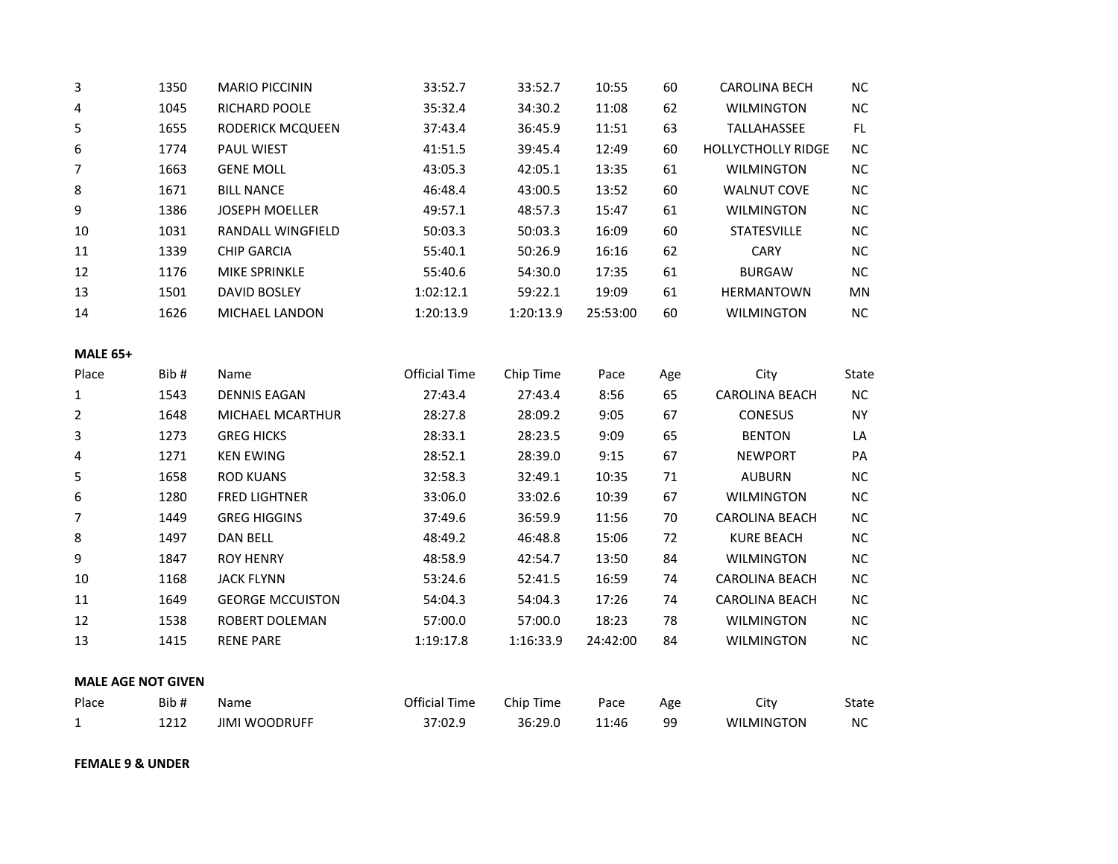| 3               | 1350                      | <b>MARIO PICCININ</b>   | 33:52.7              | 33:52.7   | 10:55    | 60  | <b>CAROLINA BECH</b>      | $NC$      |
|-----------------|---------------------------|-------------------------|----------------------|-----------|----------|-----|---------------------------|-----------|
| 4               | 1045                      | RICHARD POOLE           | 35:32.4              | 34:30.2   | 11:08    | 62  | <b>WILMINGTON</b>         | $NC$      |
| 5               | 1655                      | RODERICK MCQUEEN        | 37:43.4              | 36:45.9   | 11:51    | 63  | TALLAHASSEE               | FL.       |
| 6               | 1774                      | PAUL WIEST              | 41:51.5              | 39:45.4   | 12:49    | 60  | <b>HOLLYCTHOLLY RIDGE</b> | NC        |
| $\overline{7}$  | 1663                      | <b>GENE MOLL</b>        | 43:05.3              | 42:05.1   | 13:35    | 61  | <b>WILMINGTON</b>         | $NC$      |
| 8               | 1671                      | <b>BILL NANCE</b>       | 46:48.4              | 43:00.5   | 13:52    | 60  | <b>WALNUT COVE</b>        | $NC$      |
| 9               | 1386                      | <b>JOSEPH MOELLER</b>   | 49:57.1              | 48:57.3   | 15:47    | 61  | <b>WILMINGTON</b>         | $\sf NC$  |
| 10              | 1031                      | RANDALL WINGFIELD       | 50:03.3              | 50:03.3   | 16:09    | 60  | <b>STATESVILLE</b>        | NC        |
| 11              | 1339                      | <b>CHIP GARCIA</b>      | 55:40.1              | 50:26.9   | 16:16    | 62  | <b>CARY</b>               | $NC$      |
| 12              | 1176                      | MIKE SPRINKLE           | 55:40.6              | 54:30.0   | 17:35    | 61  | <b>BURGAW</b>             | $\sf NC$  |
| 13              | 1501                      | <b>DAVID BOSLEY</b>     | 1:02:12.1            | 59:22.1   | 19:09    | 61  | <b>HERMANTOWN</b>         | MN        |
| 14              | 1626                      | MICHAEL LANDON          | 1:20:13.9            | 1:20:13.9 | 25:53:00 | 60  | WILMINGTON                | <b>NC</b> |
| <b>MALE 65+</b> |                           |                         |                      |           |          |     |                           |           |
| Place           | Bib#                      | Name                    | <b>Official Time</b> | Chip Time | Pace     | Age | City                      | State     |
| 1               | 1543                      | <b>DENNIS EAGAN</b>     | 27:43.4              | 27:43.4   | 8:56     | 65  | <b>CAROLINA BEACH</b>     | NC        |
| $\overline{2}$  | 1648                      | MICHAEL MCARTHUR        | 28:27.8              | 28:09.2   | 9:05     | 67  | <b>CONESUS</b>            | <b>NY</b> |
| 3               | 1273                      | <b>GREG HICKS</b>       | 28:33.1              | 28:23.5   | 9:09     | 65  | <b>BENTON</b>             | LA        |
| 4               | 1271                      | <b>KEN EWING</b>        | 28:52.1              | 28:39.0   | 9:15     | 67  | <b>NEWPORT</b>            | PA        |
| 5               | 1658                      | <b>ROD KUANS</b>        | 32:58.3              | 32:49.1   | 10:35    | 71  | <b>AUBURN</b>             | NC        |
| 6               | 1280                      | <b>FRED LIGHTNER</b>    | 33:06.0              | 33:02.6   | 10:39    | 67  | <b>WILMINGTON</b>         | $NC$      |
| $\overline{7}$  | 1449                      | <b>GREG HIGGINS</b>     | 37:49.6              | 36:59.9   | 11:56    | 70  | CAROLINA BEACH            | NC        |
| 8               | 1497                      | <b>DAN BELL</b>         | 48:49.2              | 46:48.8   | 15:06    | 72  | <b>KURE BEACH</b>         | NC        |
| 9               | 1847                      | <b>ROY HENRY</b>        | 48:58.9              | 42:54.7   | 13:50    | 84  | <b>WILMINGTON</b>         | NC        |
| 10              | 1168                      | <b>JACK FLYNN</b>       | 53:24.6              | 52:41.5   | 16:59    | 74  | CAROLINA BEACH            | $NC$      |
| $11\,$          | 1649                      | <b>GEORGE MCCUISTON</b> | 54:04.3              | 54:04.3   | 17:26    | 74  | CAROLINA BEACH            | $\sf NC$  |
| 12              | 1538                      | ROBERT DOLEMAN          | 57:00.0              | 57:00.0   | 18:23    | 78  | <b>WILMINGTON</b>         | $NC$      |
| 13              | 1415                      | <b>RENE PARE</b>        | 1:19:17.8            | 1:16:33.9 | 24:42:00 | 84  | <b>WILMINGTON</b>         | NC        |
|                 | <b>MALE AGE NOT GIVEN</b> |                         |                      |           |          |     |                           |           |
| Place           | Bib#                      | Name                    | <b>Official Time</b> | Chip Time | Pace     | Age | City                      | State     |
| $\mathbf{1}$    | 1212                      | <b>JIMI WOODRUFF</b>    | 37:02.9              | 36:29.0   | 11:46    | 99  | <b>WILMINGTON</b>         | NC        |

**FEMALE 9 & UNDER**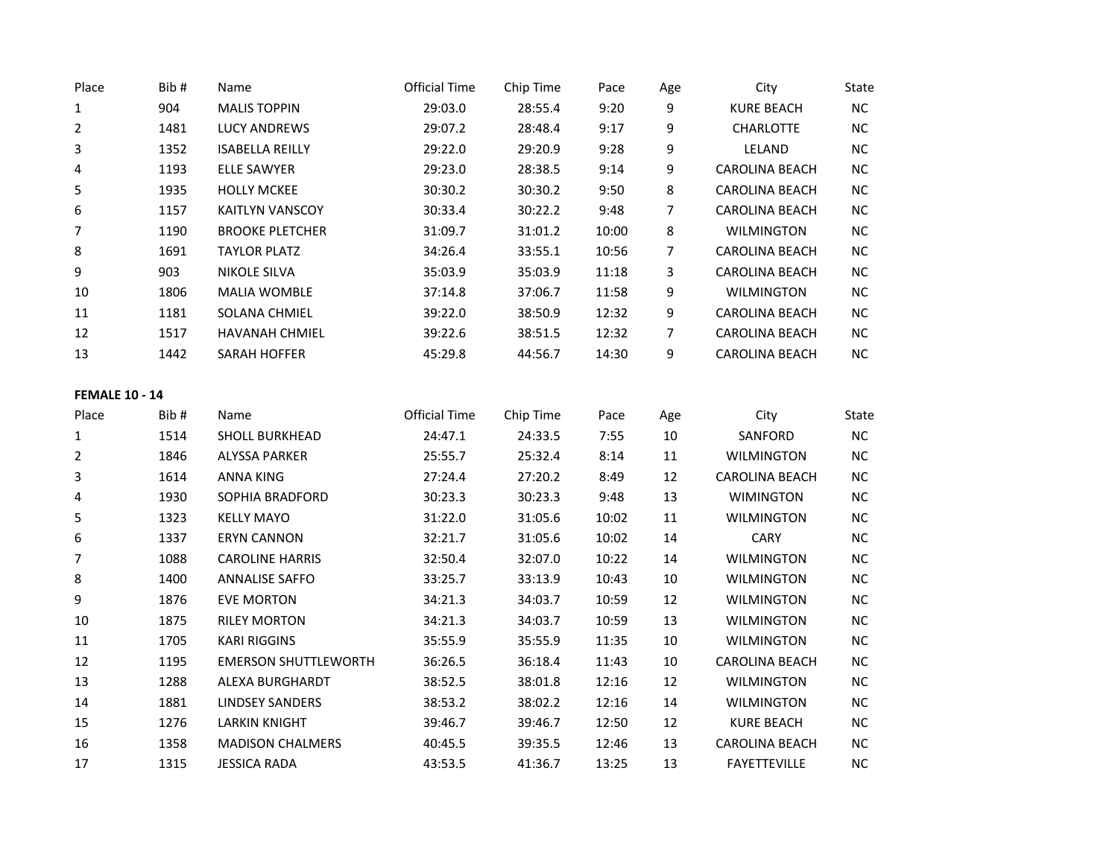| Place                 | Bib# | Name                        | <b>Official Time</b> | Chip Time | Pace  | Age            | City                  | State      |
|-----------------------|------|-----------------------------|----------------------|-----------|-------|----------------|-----------------------|------------|
| $\mathbf{1}$          | 904  | <b>MALIS TOPPIN</b>         | 29:03.0              | 28:55.4   | 9:20  | 9              | <b>KURE BEACH</b>     | ${\sf NC}$ |
| $\overline{2}$        | 1481 | <b>LUCY ANDREWS</b>         | 29:07.2              | 28:48.4   | 9:17  | 9              | <b>CHARLOTTE</b>      | ${\sf NC}$ |
| 3                     | 1352 | <b>ISABELLA REILLY</b>      | 29:22.0              | 29:20.9   | 9:28  | 9              | LELAND                | NC         |
| 4                     | 1193 | <b>ELLE SAWYER</b>          | 29:23.0              | 28:38.5   | 9:14  | 9              | <b>CAROLINA BEACH</b> | $NC$       |
| 5                     | 1935 | <b>HOLLY MCKEE</b>          | 30:30.2              | 30:30.2   | 9:50  | 8              | <b>CAROLINA BEACH</b> | $NC$       |
| 6                     | 1157 | <b>KAITLYN VANSCOY</b>      | 30:33.4              | 30:22.2   | 9:48  | $\overline{7}$ | <b>CAROLINA BEACH</b> | NC         |
| 7                     | 1190 | <b>BROOKE PLETCHER</b>      | 31:09.7              | 31:01.2   | 10:00 | 8              | <b>WILMINGTON</b>     | $NC$       |
| 8                     | 1691 | <b>TAYLOR PLATZ</b>         | 34:26.4              | 33:55.1   | 10:56 | $\overline{7}$ | <b>CAROLINA BEACH</b> | NC         |
| 9                     | 903  | <b>NIKOLE SILVA</b>         | 35:03.9              | 35:03.9   | 11:18 | 3              | <b>CAROLINA BEACH</b> | NC         |
| 10                    | 1806 | <b>MALIA WOMBLE</b>         | 37:14.8              | 37:06.7   | 11:58 | 9              | <b>WILMINGTON</b>     | $NC$       |
| $11\,$                | 1181 | SOLANA CHMIEL               | 39:22.0              | 38:50.9   | 12:32 | 9              | <b>CAROLINA BEACH</b> | $NC$       |
| 12                    | 1517 | HAVANAH CHMIEL              | 39:22.6              | 38:51.5   | 12:32 | 7              | CAROLINA BEACH        | NC         |
| 13                    | 1442 | SARAH HOFFER                | 45:29.8              | 44:56.7   | 14:30 | 9              | CAROLINA BEACH        | NC         |
| <b>FEMALE 10 - 14</b> |      |                             |                      |           |       |                |                       |            |
| Place                 | Bib# | Name                        | <b>Official Time</b> | Chip Time | Pace  | Age            | City                  | State      |
| $\mathbf{1}$          | 1514 | <b>SHOLL BURKHEAD</b>       | 24:47.1              | 24:33.5   | 7:55  | $10\,$         | SANFORD               | NC         |
| $\overline{2}$        | 1846 | <b>ALYSSA PARKER</b>        | 25:55.7              | 25:32.4   | 8:14  | 11             | <b>WILMINGTON</b>     | $NC$       |
| 3                     | 1614 | <b>ANNA KING</b>            | 27:24.4              | 27:20.2   | 8:49  | 12             | CAROLINA BEACH        | $NC$       |
| 4                     | 1930 | SOPHIA BRADFORD             | 30:23.3              | 30:23.3   | 9:48  | 13             | <b>WIMINGTON</b>      | NC         |
| 5                     | 1323 | <b>KELLY MAYO</b>           | 31:22.0              | 31:05.6   | 10:02 | 11             | <b>WILMINGTON</b>     | $NC$       |
| 6                     | 1337 | <b>ERYN CANNON</b>          | 32:21.7              | 31:05.6   | 10:02 | 14             | CARY                  | $NC$       |
| 7                     | 1088 | <b>CAROLINE HARRIS</b>      | 32:50.4              | 32:07.0   | 10:22 | 14             | <b>WILMINGTON</b>     | NC         |
| 8                     | 1400 | <b>ANNALISE SAFFO</b>       | 33:25.7              | 33:13.9   | 10:43 | 10             | <b>WILMINGTON</b>     | $NC$       |
| 9                     | 1876 | <b>EVE MORTON</b>           | 34:21.3              | 34:03.7   | 10:59 | 12             | <b>WILMINGTON</b>     | $\sf NC$   |
| 10                    | 1875 | <b>RILEY MORTON</b>         | 34:21.3              | 34:03.7   | 10:59 | 13             | <b>WILMINGTON</b>     | $NC$       |
| 11                    | 1705 | <b>KARI RIGGINS</b>         | 35:55.9              | 35:55.9   | 11:35 | 10             | <b>WILMINGTON</b>     | NC         |
| 12                    | 1195 | <b>EMERSON SHUTTLEWORTH</b> | 36:26.5              | 36:18.4   | 11:43 | 10             | <b>CAROLINA BEACH</b> | <b>NC</b>  |
| 13                    | 1288 | ALEXA BURGHARDT             | 38:52.5              | 38:01.8   | 12:16 | 12             | <b>WILMINGTON</b>     | $NC$       |
| 14                    | 1881 | <b>LINDSEY SANDERS</b>      | 38:53.2              | 38:02.2   | 12:16 | 14             | <b>WILMINGTON</b>     | $NC$       |
| 15                    | 1276 | <b>LARKIN KNIGHT</b>        | 39:46.7              | 39:46.7   | 12:50 | 12             | <b>KURE BEACH</b>     | <b>NC</b>  |
| 16                    | 1358 | <b>MADISON CHALMERS</b>     | 40:45.5              | 39:35.5   | 12:46 | 13             | CAROLINA BEACH        | NC         |
| 17                    | 1315 | <b>JESSICA RADA</b>         | 43:53.5              | 41:36.7   | 13:25 | 13             | <b>FAYETTEVILLE</b>   | NC         |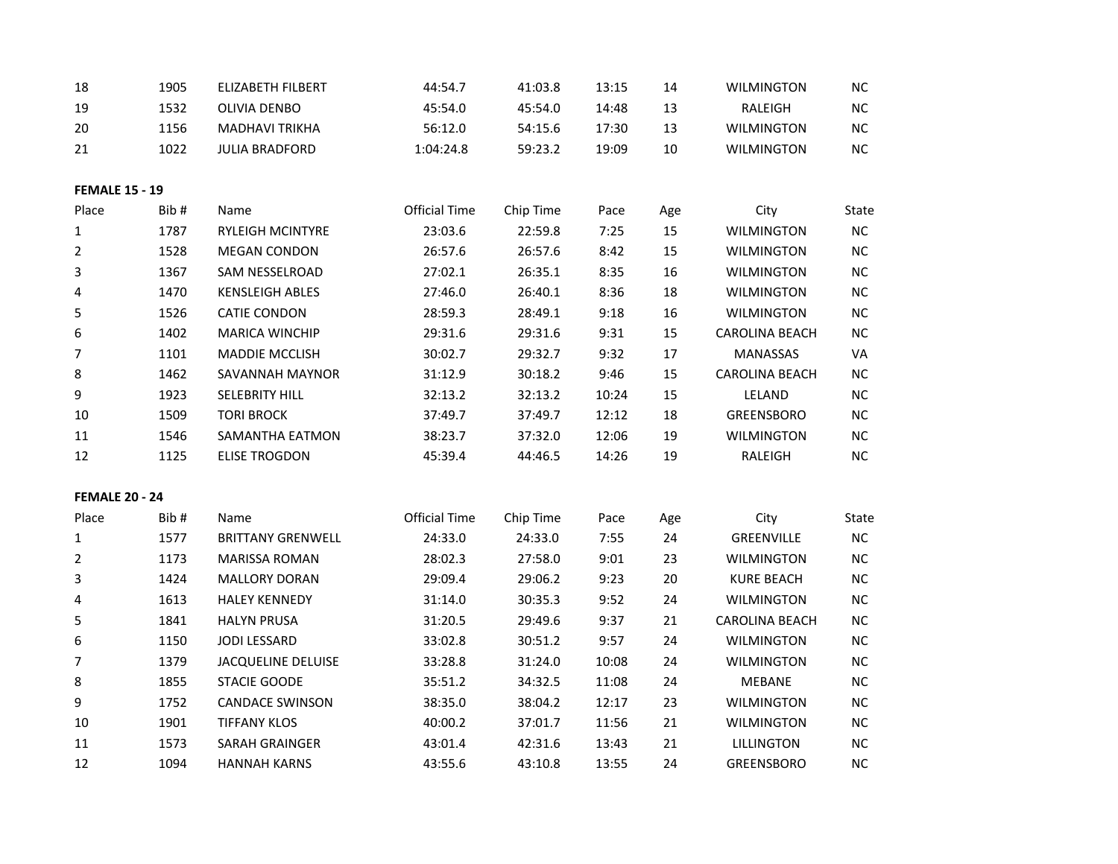| 18                    | 1905 | ELIZABETH FILBERT         | 44:54.7              | 41:03.8   | 13:15 | 14  | <b>WILMINGTON</b>     | NC           |
|-----------------------|------|---------------------------|----------------------|-----------|-------|-----|-----------------------|--------------|
| 19                    | 1532 | <b>OLIVIA DENBO</b>       | 45:54.0              | 45:54.0   | 14:48 | 13  | RALEIGH               | NC           |
| 20                    | 1156 | <b>MADHAVI TRIKHA</b>     | 56:12.0              | 54:15.6   | 17:30 | 13  | <b>WILMINGTON</b>     | NC           |
| 21                    | 1022 | <b>JULIA BRADFORD</b>     | 1:04:24.8            | 59:23.2   | 19:09 | 10  | <b>WILMINGTON</b>     | NC           |
| <b>FEMALE 15 - 19</b> |      |                           |                      |           |       |     |                       |              |
| Place                 | Bib# | Name                      | <b>Official Time</b> | Chip Time | Pace  | Age | City                  | <b>State</b> |
| $\mathbf 1$           | 1787 | <b>RYLEIGH MCINTYRE</b>   | 23:03.6              | 22:59.8   | 7:25  | 15  | <b>WILMINGTON</b>     | $NC$         |
| 2                     | 1528 | <b>MEGAN CONDON</b>       | 26:57.6              | 26:57.6   | 8:42  | 15  | <b>WILMINGTON</b>     | NC           |
| 3                     | 1367 | SAM NESSELROAD            | 27:02.1              | 26:35.1   | 8:35  | 16  | <b>WILMINGTON</b>     | NC           |
| 4                     | 1470 | <b>KENSLEIGH ABLES</b>    | 27:46.0              | 26:40.1   | 8:36  | 18  | <b>WILMINGTON</b>     | $NC$         |
| 5                     | 1526 | <b>CATIE CONDON</b>       | 28:59.3              | 28:49.1   | 9:18  | 16  | WILMINGTON            | NC           |
| 6                     | 1402 | <b>MARICA WINCHIP</b>     | 29:31.6              | 29:31.6   | 9:31  | 15  | CAROLINA BEACH        | NC           |
| 7                     | 1101 | <b>MADDIE MCCLISH</b>     | 30:02.7              | 29:32.7   | 9:32  | 17  | MANASSAS              | VA           |
| 8                     | 1462 | SAVANNAH MAYNOR           | 31:12.9              | 30:18.2   | 9:46  | 15  | <b>CAROLINA BEACH</b> | NC           |
| 9                     | 1923 | SELEBRITY HILL            | 32:13.2              | 32:13.2   | 10:24 | 15  | LELAND                | NC           |
| 10                    | 1509 | <b>TORI BROCK</b>         | 37:49.7              | 37:49.7   | 12:12 | 18  | <b>GREENSBORO</b>     | NC           |
| 11                    | 1546 | SAMANTHA EATMON           | 38:23.7              | 37:32.0   | 12:06 | 19  | <b>WILMINGTON</b>     | NC           |
| 12                    | 1125 | <b>ELISE TROGDON</b>      | 45:39.4              | 44:46.5   | 14:26 | 19  | RALEIGH               | NC           |
| <b>FEMALE 20 - 24</b> |      |                           |                      |           |       |     |                       |              |
| Place                 | Bib# | Name                      | <b>Official Time</b> | Chip Time | Pace  | Age | City                  | State        |
| 1                     | 1577 | <b>BRITTANY GRENWELL</b>  | 24:33.0              | 24:33.0   | 7:55  | 24  | GREENVILLE            | NC           |
| 2                     | 1173 | <b>MARISSA ROMAN</b>      | 28:02.3              | 27:58.0   | 9:01  | 23  | <b>WILMINGTON</b>     | NC           |
| 3                     | 1424 | <b>MALLORY DORAN</b>      | 29:09.4              | 29:06.2   | 9:23  | 20  | <b>KURE BEACH</b>     | $NC$         |
| 4                     | 1613 | <b>HALEY KENNEDY</b>      | 31:14.0              | 30:35.3   | 9:52  | 24  | <b>WILMINGTON</b>     | NC           |
| 5                     | 1841 | <b>HALYN PRUSA</b>        | 31:20.5              | 29:49.6   | 9:37  | 21  | CAROLINA BEACH        | <b>NC</b>    |
| 6                     | 1150 | <b>JODI LESSARD</b>       | 33:02.8              | 30:51.2   | 9:57  | 24  | <b>WILMINGTON</b>     | NC           |
| 7                     | 1379 | <b>JACQUELINE DELUISE</b> | 33:28.8              | 31:24.0   | 10:08 | 24  | <b>WILMINGTON</b>     | <b>NC</b>    |
| 8                     | 1855 | <b>STACIE GOODE</b>       | 35:51.2              | 34:32.5   | 11:08 | 24  | <b>MEBANE</b>         | $NC$         |
| 9                     | 1752 | <b>CANDACE SWINSON</b>    | 38:35.0              | 38:04.2   | 12:17 | 23  | <b>WILMINGTON</b>     | NC           |
| 10                    | 1901 | <b>TIFFANY KLOS</b>       | 40:00.2              | 37:01.7   | 11:56 | 21  | <b>WILMINGTON</b>     | NC           |
| $11\,$                | 1573 | SARAH GRAINGER            | 43:01.4              | 42:31.6   | 13:43 | 21  | LILLINGTON            | NC           |
| 12                    | 1094 | <b>HANNAH KARNS</b>       | 43:55.6              | 43:10.8   | 13:55 | 24  | <b>GREENSBORO</b>     | NC           |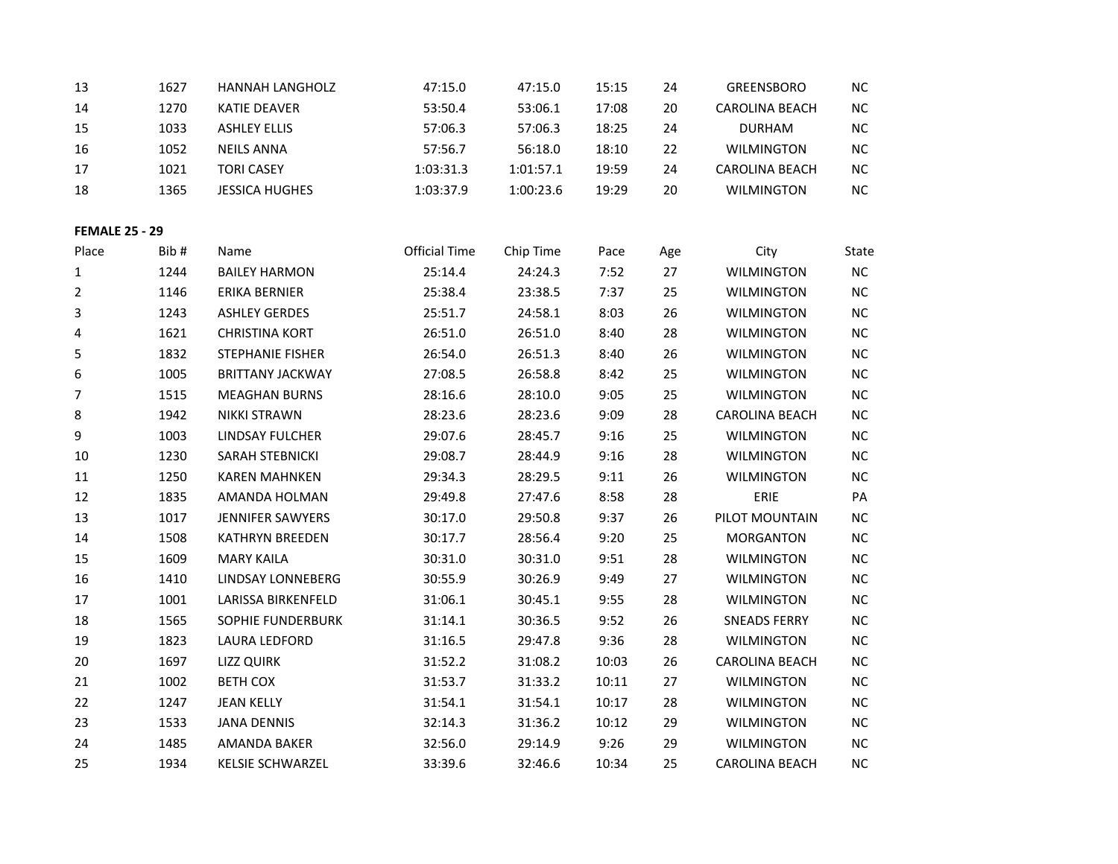| 13                    | 1627 | HANNAH LANGHOLZ          | 47:15.0              | 47:15.0   | 15:15 | 24     | <b>GREENSBORO</b>     | <b>NC</b> |
|-----------------------|------|--------------------------|----------------------|-----------|-------|--------|-----------------------|-----------|
| 14                    | 1270 | KATIE DEAVER             | 53:50.4              | 53:06.1   | 17:08 | $20\,$ | CAROLINA BEACH        | $NC$      |
| 15                    | 1033 | <b>ASHLEY ELLIS</b>      | 57:06.3              | 57:06.3   | 18:25 | 24     | <b>DURHAM</b>         | NC        |
| 16                    | 1052 | <b>NEILS ANNA</b>        | 57:56.7              | 56:18.0   | 18:10 | 22     | <b>WILMINGTON</b>     | $\sf NC$  |
| 17                    | 1021 | <b>TORI CASEY</b>        | 1:03:31.3            | 1:01:57.1 | 19:59 | 24     | CAROLINA BEACH        | NC        |
| 18                    | 1365 | <b>JESSICA HUGHES</b>    | 1:03:37.9            | 1:00:23.6 | 19:29 | 20     | <b>WILMINGTON</b>     | $NC$      |
|                       |      |                          |                      |           |       |        |                       |           |
| <b>FEMALE 25 - 29</b> |      |                          |                      |           |       |        |                       |           |
| Place                 | Bib# | Name                     | <b>Official Time</b> | Chip Time | Pace  | Age    | City                  | State     |
| 1                     | 1244 | <b>BAILEY HARMON</b>     | 25:14.4              | 24:24.3   | 7:52  | 27     | <b>WILMINGTON</b>     | $NC$      |
| 2                     | 1146 | ERIKA BERNIER            | 25:38.4              | 23:38.5   | 7:37  | 25     | <b>WILMINGTON</b>     | $NC$      |
| 3                     | 1243 | <b>ASHLEY GERDES</b>     | 25:51.7              | 24:58.1   | 8:03  | 26     | <b>WILMINGTON</b>     | $NC$      |
| 4                     | 1621 | <b>CHRISTINA KORT</b>    | 26:51.0              | 26:51.0   | 8:40  | 28     | <b>WILMINGTON</b>     | NC        |
| 5                     | 1832 | STEPHANIE FISHER         | 26:54.0              | 26:51.3   | 8:40  | 26     | <b>WILMINGTON</b>     | $NC$      |
| 6                     | 1005 | <b>BRITTANY JACKWAY</b>  | 27:08.5              | 26:58.8   | 8:42  | 25     | <b>WILMINGTON</b>     | NC        |
| 7                     | 1515 | <b>MEAGHAN BURNS</b>     | 28:16.6              | 28:10.0   | 9:05  | 25     | <b>WILMINGTON</b>     | $NC$      |
| 8                     | 1942 | <b>NIKKI STRAWN</b>      | 28:23.6              | 28:23.6   | 9:09  | 28     | <b>CAROLINA BEACH</b> | NC        |
| 9                     | 1003 | LINDSAY FULCHER          | 29:07.6              | 28:45.7   | 9:16  | 25     | <b>WILMINGTON</b>     | NC        |
| $10\,$                | 1230 | <b>SARAH STEBNICKI</b>   | 29:08.7              | 28:44.9   | 9:16  | 28     | <b>WILMINGTON</b>     | $NC$      |
| $11\,$                | 1250 | <b>KAREN MAHNKEN</b>     | 29:34.3              | 28:29.5   | 9:11  | 26     | <b>WILMINGTON</b>     | NC        |
| 12                    | 1835 | AMANDA HOLMAN            | 29:49.8              | 27:47.6   | 8:58  | 28     | ERIE                  | PA        |
| 13                    | 1017 | <b>JENNIFER SAWYERS</b>  | 30:17.0              | 29:50.8   | 9:37  | 26     | PILOT MOUNTAIN        | NC        |
| 14                    | 1508 | <b>KATHRYN BREEDEN</b>   | 30:17.7              | 28:56.4   | 9:20  | 25     | <b>MORGANTON</b>      | $NC$      |
| 15                    | 1609 | <b>MARY KAILA</b>        | 30:31.0              | 30:31.0   | 9:51  | 28     | <b>WILMINGTON</b>     | $NC$      |
| 16                    | 1410 | LINDSAY LONNEBERG        | 30:55.9              | 30:26.9   | 9:49  | 27     | <b>WILMINGTON</b>     | NC        |
| 17                    | 1001 | LARISSA BIRKENFELD       | 31:06.1              | 30:45.1   | 9:55  | 28     | <b>WILMINGTON</b>     | $NC$      |
| 18                    | 1565 | <b>SOPHIE FUNDERBURK</b> | 31:14.1              | 30:36.5   | 9:52  | 26     | <b>SNEADS FERRY</b>   | NC        |
| 19                    | 1823 | LAURA LEDFORD            | 31:16.5              | 29:47.8   | 9:36  | 28     | <b>WILMINGTON</b>     | $NC$      |
| 20                    | 1697 | <b>LIZZ QUIRK</b>        | 31:52.2              | 31:08.2   | 10:03 | 26     | CAROLINA BEACH        | $NC$      |
| 21                    | 1002 | <b>BETH COX</b>          | 31:53.7              | 31:33.2   | 10:11 | 27     | WILMINGTON            | NC        |
| 22                    | 1247 | <b>JEAN KELLY</b>        | 31:54.1              | 31:54.1   | 10:17 | 28     | WILMINGTON            | $NC$      |
| 23                    | 1533 | <b>JANA DENNIS</b>       | 32:14.3              | 31:36.2   | 10:12 | 29     | <b>WILMINGTON</b>     | NC        |
| 24                    | 1485 | AMANDA BAKER             | 32:56.0              | 29:14.9   | 9:26  | 29     | <b>WILMINGTON</b>     | $NC$      |
| 25                    | 1934 | <b>KELSIE SCHWARZEL</b>  | 33:39.6              | 32:46.6   | 10:34 | 25     | <b>CAROLINA BEACH</b> | NC        |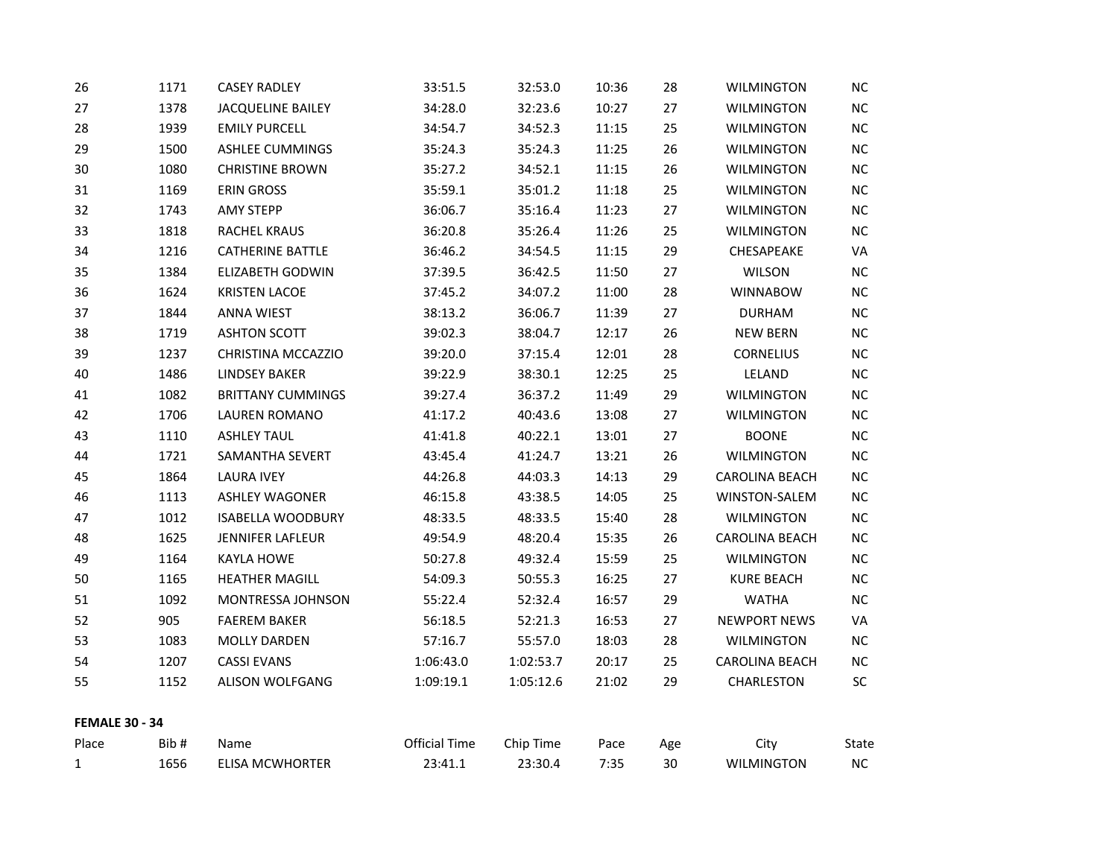| 26                    | 1171 | <b>CASEY RADLEY</b>      | 33:51.5              | 32:53.0   | 10:36 | 28  | WILMINGTON            | $NC$       |
|-----------------------|------|--------------------------|----------------------|-----------|-------|-----|-----------------------|------------|
| 27                    | 1378 | <b>JACQUELINE BAILEY</b> | 34:28.0              | 32:23.6   | 10:27 | 27  | <b>WILMINGTON</b>     | NC         |
| 28                    | 1939 | <b>EMILY PURCELL</b>     | 34:54.7              | 34:52.3   | 11:15 | 25  | <b>WILMINGTON</b>     | NC         |
| 29                    | 1500 | <b>ASHLEE CUMMINGS</b>   | 35:24.3              | 35:24.3   | 11:25 | 26  | <b>WILMINGTON</b>     | NC         |
| 30                    | 1080 | <b>CHRISTINE BROWN</b>   | 35:27.2              | 34:52.1   | 11:15 | 26  | <b>WILMINGTON</b>     | $\sf NC$   |
| 31                    | 1169 | <b>ERIN GROSS</b>        | 35:59.1              | 35:01.2   | 11:18 | 25  | <b>WILMINGTON</b>     | NC         |
| 32                    | 1743 | <b>AMY STEPP</b>         | 36:06.7              | 35:16.4   | 11:23 | 27  | <b>WILMINGTON</b>     | NC         |
| 33                    | 1818 | RACHEL KRAUS             | 36:20.8              | 35:26.4   | 11:26 | 25  | <b>WILMINGTON</b>     | NC         |
| 34                    | 1216 | <b>CATHERINE BATTLE</b>  | 36:46.2              | 34:54.5   | 11:15 | 29  | CHESAPEAKE            | VA         |
| 35                    | 1384 | <b>ELIZABETH GODWIN</b>  | 37:39.5              | 36:42.5   | 11:50 | 27  | <b>WILSON</b>         | NC         |
| 36                    | 1624 | <b>KRISTEN LACOE</b>     | 37:45.2              | 34:07.2   | 11:00 | 28  | <b>WINNABOW</b>       | NC         |
| 37                    | 1844 | <b>ANNA WIEST</b>        | 38:13.2              | 36:06.7   | 11:39 | 27  | <b>DURHAM</b>         | NC         |
| 38                    | 1719 | <b>ASHTON SCOTT</b>      | 39:02.3              | 38:04.7   | 12:17 | 26  | <b>NEW BERN</b>       | NC         |
| 39                    | 1237 | CHRISTINA MCCAZZIO       | 39:20.0              | 37:15.4   | 12:01 | 28  | <b>CORNELIUS</b>      | NC         |
| 40                    | 1486 | <b>LINDSEY BAKER</b>     | 39:22.9              | 38:30.1   | 12:25 | 25  | LELAND                | NC         |
| 41                    | 1082 | <b>BRITTANY CUMMINGS</b> | 39:27.4              | 36:37.2   | 11:49 | 29  | <b>WILMINGTON</b>     | NC         |
| 42                    | 1706 | <b>LAUREN ROMANO</b>     | 41:17.2              | 40:43.6   | 13:08 | 27  | <b>WILMINGTON</b>     | NC         |
| 43                    | 1110 | <b>ASHLEY TAUL</b>       | 41:41.8              | 40:22.1   | 13:01 | 27  | <b>BOONE</b>          | NC         |
| 44                    | 1721 | SAMANTHA SEVERT          | 43:45.4              | 41:24.7   | 13:21 | 26  | <b>WILMINGTON</b>     | NC         |
| 45                    | 1864 | <b>LAURA IVEY</b>        | 44:26.8              | 44:03.3   | 14:13 | 29  | <b>CAROLINA BEACH</b> | ${\sf NC}$ |
| 46                    | 1113 | <b>ASHLEY WAGONER</b>    | 46:15.8              | 43:38.5   | 14:05 | 25  | WINSTON-SALEM         | NC         |
| 47                    | 1012 | <b>ISABELLA WOODBURY</b> | 48:33.5              | 48:33.5   | 15:40 | 28  | <b>WILMINGTON</b>     | NC         |
| 48                    | 1625 | JENNIFER LAFLEUR         | 49:54.9              | 48:20.4   | 15:35 | 26  | CAROLINA BEACH        | NC         |
| 49                    | 1164 | <b>KAYLA HOWE</b>        | 50:27.8              | 49:32.4   | 15:59 | 25  | <b>WILMINGTON</b>     | NC         |
| 50                    | 1165 | <b>HEATHER MAGILL</b>    | 54:09.3              | 50:55.3   | 16:25 | 27  | <b>KURE BEACH</b>     | NC         |
| 51                    | 1092 | MONTRESSA JOHNSON        | 55:22.4              | 52:32.4   | 16:57 | 29  | <b>WATHA</b>          | NC         |
| 52                    | 905  | <b>FAEREM BAKER</b>      | 56:18.5              | 52:21.3   | 16:53 | 27  | <b>NEWPORT NEWS</b>   | VA         |
| 53                    | 1083 | <b>MOLLY DARDEN</b>      | 57:16.7              | 55:57.0   | 18:03 | 28  | <b>WILMINGTON</b>     | NC         |
| 54                    | 1207 | <b>CASSI EVANS</b>       | 1:06:43.0            | 1:02:53.7 | 20:17 | 25  | CAROLINA BEACH        | NC         |
| 55                    | 1152 | ALISON WOLFGANG          | 1:09:19.1            | 1:05:12.6 | 21:02 | 29  | CHARLESTON            | SC         |
| <b>FEMALE 30 - 34</b> |      |                          |                      |           |       |     |                       |            |
| Place                 | Bib# | Name                     | <b>Official Time</b> | Chip Time | Pace  | Age | City                  | State      |
| $\mathbf{1}$          | 1656 | <b>ELISA MCWHORTER</b>   | 23:41.1              | 23:30.4   | 7:35  | 30  | <b>WILMINGTON</b>     | NC         |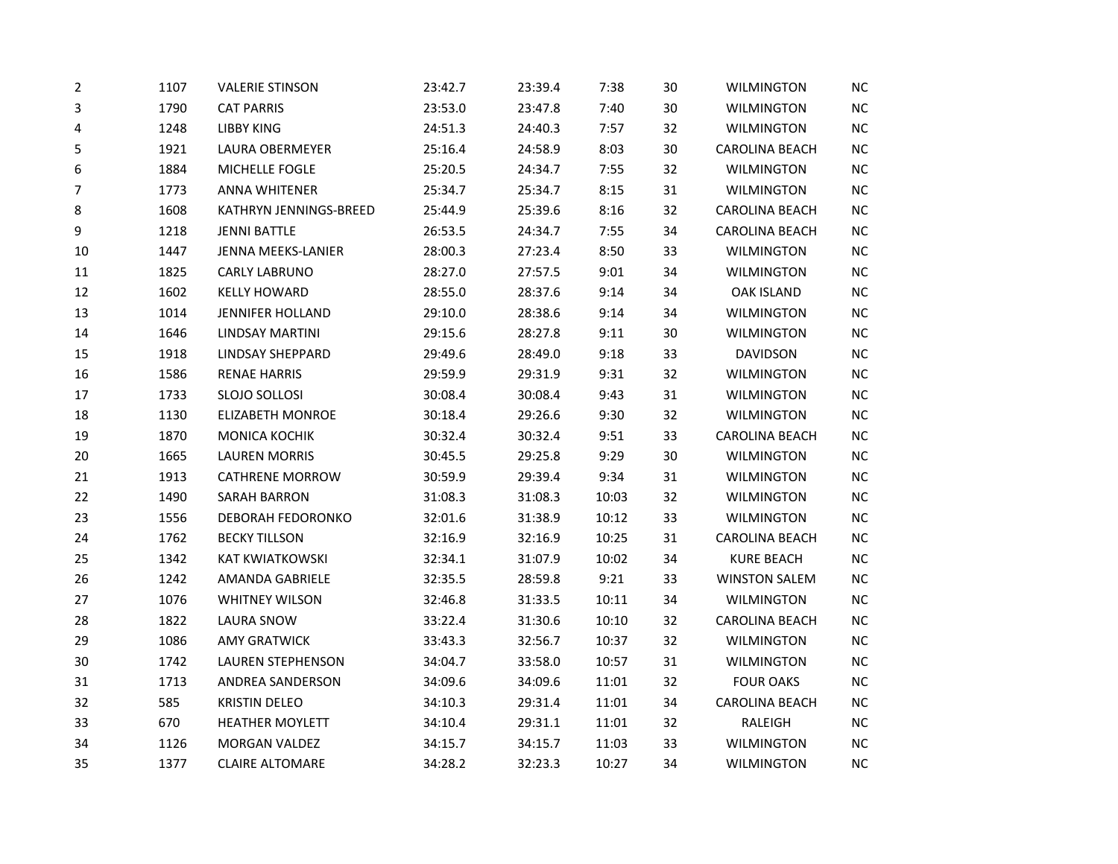| 2      | 1107 | <b>VALERIE STINSON</b>  | 23:42.7 | 23:39.4 | 7:38  | 30 | <b>WILMINGTON</b>     | NC        |
|--------|------|-------------------------|---------|---------|-------|----|-----------------------|-----------|
| 3      | 1790 | <b>CAT PARRIS</b>       | 23:53.0 | 23:47.8 | 7:40  | 30 | <b>WILMINGTON</b>     | NC        |
| 4      | 1248 | <b>LIBBY KING</b>       | 24:51.3 | 24:40.3 | 7:57  | 32 | <b>WILMINGTON</b>     | <b>NC</b> |
| 5      | 1921 | <b>LAURA OBERMEYER</b>  | 25:16.4 | 24:58.9 | 8:03  | 30 | <b>CAROLINA BEACH</b> | NC        |
| 6      | 1884 | MICHELLE FOGLE          | 25:20.5 | 24:34.7 | 7:55  | 32 | <b>WILMINGTON</b>     | <b>NC</b> |
| 7      | 1773 | <b>ANNA WHITENER</b>    | 25:34.7 | 25:34.7 | 8:15  | 31 | <b>WILMINGTON</b>     | NC        |
| 8      | 1608 | KATHRYN JENNINGS-BREED  | 25:44.9 | 25:39.6 | 8:16  | 32 | <b>CAROLINA BEACH</b> | <b>NC</b> |
| 9      | 1218 | <b>JENNI BATTLE</b>     | 26:53.5 | 24:34.7 | 7:55  | 34 | CAROLINA BEACH        | NC        |
| 10     | 1447 | JENNA MEEKS-LANIER      | 28:00.3 | 27:23.4 | 8:50  | 33 | <b>WILMINGTON</b>     | NC        |
| $11\,$ | 1825 | <b>CARLY LABRUNO</b>    | 28:27.0 | 27:57.5 | 9:01  | 34 | <b>WILMINGTON</b>     | <b>NC</b> |
| 12     | 1602 | <b>KELLY HOWARD</b>     | 28:55.0 | 28:37.6 | 9:14  | 34 | <b>OAK ISLAND</b>     | NC        |
| 13     | 1014 | <b>JENNIFER HOLLAND</b> | 29:10.0 | 28:38.6 | 9:14  | 34 | <b>WILMINGTON</b>     | <b>NC</b> |
| 14     | 1646 | LINDSAY MARTINI         | 29:15.6 | 28:27.8 | 9:11  | 30 | <b>WILMINGTON</b>     | <b>NC</b> |
| 15     | 1918 | LINDSAY SHEPPARD        | 29:49.6 | 28:49.0 | 9:18  | 33 | <b>DAVIDSON</b>       | NC        |
| 16     | 1586 | <b>RENAE HARRIS</b>     | 29:59.9 | 29:31.9 | 9:31  | 32 | <b>WILMINGTON</b>     | NC        |
| 17     | 1733 | SLOJO SOLLOSI           | 30:08.4 | 30:08.4 | 9:43  | 31 | WILMINGTON            | <b>NC</b> |
| 18     | 1130 | <b>ELIZABETH MONROE</b> | 30:18.4 | 29:26.6 | 9:30  | 32 | <b>WILMINGTON</b>     | NC        |
| 19     | 1870 | MONICA KOCHIK           | 30:32.4 | 30:32.4 | 9:51  | 33 | <b>CAROLINA BEACH</b> | NC        |
| 20     | 1665 | <b>LAUREN MORRIS</b>    | 30:45.5 | 29:25.8 | 9:29  | 30 | <b>WILMINGTON</b>     | NC        |
| 21     | 1913 | <b>CATHRENE MORROW</b>  | 30:59.9 | 29:39.4 | 9:34  | 31 | <b>WILMINGTON</b>     | NC        |
| 22     | 1490 | <b>SARAH BARRON</b>     | 31:08.3 | 31:08.3 | 10:03 | 32 | <b>WILMINGTON</b>     | <b>NC</b> |
| 23     | 1556 | DEBORAH FEDORONKO       | 32:01.6 | 31:38.9 | 10:12 | 33 | <b>WILMINGTON</b>     | NC        |
| 24     | 1762 | <b>BECKY TILLSON</b>    | 32:16.9 | 32:16.9 | 10:25 | 31 | <b>CAROLINA BEACH</b> | NC        |
| 25     | 1342 | KAT KWIATKOWSKI         | 32:34.1 | 31:07.9 | 10:02 | 34 | <b>KURE BEACH</b>     | NC        |
| 26     | 1242 | AMANDA GABRIELE         | 32:35.5 | 28:59.8 | 9:21  | 33 | <b>WINSTON SALEM</b>  | NC        |
| 27     | 1076 | <b>WHITNEY WILSON</b>   | 32:46.8 | 31:33.5 | 10:11 | 34 | <b>WILMINGTON</b>     | <b>NC</b> |
| 28     | 1822 | <b>LAURA SNOW</b>       | 33:22.4 | 31:30.6 | 10:10 | 32 | <b>CAROLINA BEACH</b> | <b>NC</b> |
| 29     | 1086 | <b>AMY GRATWICK</b>     | 33:43.3 | 32:56.7 | 10:37 | 32 | <b>WILMINGTON</b>     | NC        |
| 30     | 1742 | LAUREN STEPHENSON       | 34:04.7 | 33:58.0 | 10:57 | 31 | <b>WILMINGTON</b>     | NC        |
| 31     | 1713 | ANDREA SANDERSON        | 34:09.6 | 34:09.6 | 11:01 | 32 | <b>FOUR OAKS</b>      | <b>NC</b> |
| 32     | 585  | <b>KRISTIN DELEO</b>    | 34:10.3 | 29:31.4 | 11:01 | 34 | <b>CAROLINA BEACH</b> | <b>NC</b> |
| 33     | 670  | <b>HEATHER MOYLETT</b>  | 34:10.4 | 29:31.1 | 11:01 | 32 | RALEIGH               | <b>NC</b> |
| 34     | 1126 | <b>MORGAN VALDEZ</b>    | 34:15.7 | 34:15.7 | 11:03 | 33 | <b>WILMINGTON</b>     | NC        |
| 35     | 1377 | <b>CLAIRE ALTOMARE</b>  | 34:28.2 | 32:23.3 | 10:27 | 34 | <b>WILMINGTON</b>     | <b>NC</b> |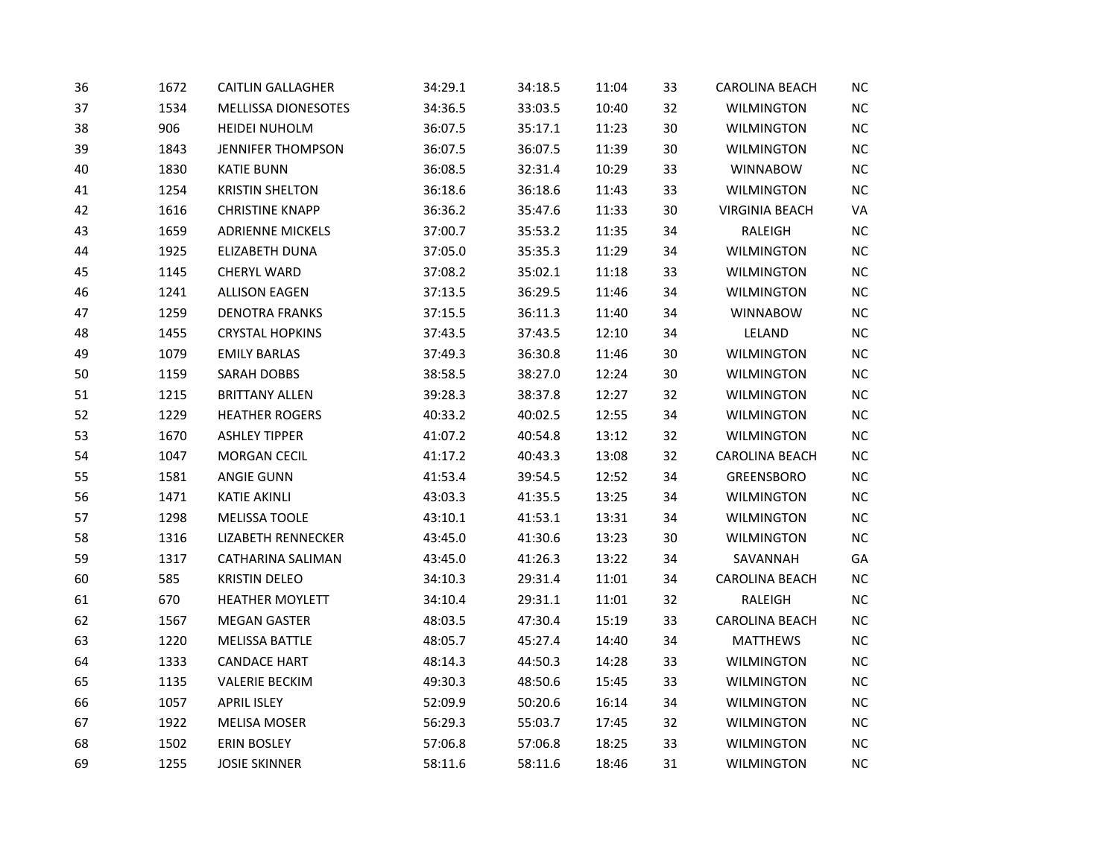| 36 | 1672 | <b>CAITLIN GALLAGHER</b>   | 34:29.1 | 34:18.5 | 11:04 | 33 | CAROLINA BEACH        | NC        |
|----|------|----------------------------|---------|---------|-------|----|-----------------------|-----------|
| 37 | 1534 | <b>MELLISSA DIONESOTES</b> | 34:36.5 | 33:03.5 | 10:40 | 32 | <b>WILMINGTON</b>     | $NC$      |
| 38 | 906  | <b>HEIDEI NUHOLM</b>       | 36:07.5 | 35:17.1 | 11:23 | 30 | <b>WILMINGTON</b>     | NC        |
| 39 | 1843 | <b>JENNIFER THOMPSON</b>   | 36:07.5 | 36:07.5 | 11:39 | 30 | WILMINGTON            | NC        |
| 40 | 1830 | <b>KATIE BUNN</b>          | 36:08.5 | 32:31.4 | 10:29 | 33 | <b>WINNABOW</b>       | $\sf NC$  |
| 41 | 1254 | <b>KRISTIN SHELTON</b>     | 36:18.6 | 36:18.6 | 11:43 | 33 | <b>WILMINGTON</b>     | $NC$      |
| 42 | 1616 | <b>CHRISTINE KNAPP</b>     | 36:36.2 | 35:47.6 | 11:33 | 30 | <b>VIRGINIA BEACH</b> | VA        |
| 43 | 1659 | <b>ADRIENNE MICKELS</b>    | 37:00.7 | 35:53.2 | 11:35 | 34 | RALEIGH               | NC        |
| 44 | 1925 | ELIZABETH DUNA             | 37:05.0 | 35:35.3 | 11:29 | 34 | <b>WILMINGTON</b>     | NC        |
| 45 | 1145 | <b>CHERYL WARD</b>         | 37:08.2 | 35:02.1 | 11:18 | 33 | <b>WILMINGTON</b>     | $NC$      |
| 46 | 1241 | <b>ALLISON EAGEN</b>       | 37:13.5 | 36:29.5 | 11:46 | 34 | <b>WILMINGTON</b>     | NC        |
| 47 | 1259 | <b>DENOTRA FRANKS</b>      | 37:15.5 | 36:11.3 | 11:40 | 34 | <b>WINNABOW</b>       | NC        |
| 48 | 1455 | <b>CRYSTAL HOPKINS</b>     | 37:43.5 | 37:43.5 | 12:10 | 34 | LELAND                | NC        |
| 49 | 1079 | <b>EMILY BARLAS</b>        | 37:49.3 | 36:30.8 | 11:46 | 30 | <b>WILMINGTON</b>     | NC        |
| 50 | 1159 | <b>SARAH DOBBS</b>         | 38:58.5 | 38:27.0 | 12:24 | 30 | <b>WILMINGTON</b>     | $NC$      |
| 51 | 1215 | <b>BRITTANY ALLEN</b>      | 39:28.3 | 38:37.8 | 12:27 | 32 | WILMINGTON            | $NC$      |
| 52 | 1229 | <b>HEATHER ROGERS</b>      | 40:33.2 | 40:02.5 | 12:55 | 34 | <b>WILMINGTON</b>     | <b>NC</b> |
| 53 | 1670 | <b>ASHLEY TIPPER</b>       | 41:07.2 | 40:54.8 | 13:12 | 32 | <b>WILMINGTON</b>     | NC        |
| 54 | 1047 | MORGAN CECIL               | 41:17.2 | 40:43.3 | 13:08 | 32 | CAROLINA BEACH        | NC        |
| 55 | 1581 | <b>ANGIE GUNN</b>          | 41:53.4 | 39:54.5 | 12:52 | 34 | GREENSBORO            | NC        |
| 56 | 1471 | <b>KATIE AKINLI</b>        | 43:03.3 | 41:35.5 | 13:25 | 34 | <b>WILMINGTON</b>     | NC        |
| 57 | 1298 | <b>MELISSA TOOLE</b>       | 43:10.1 | 41:53.1 | 13:31 | 34 | <b>WILMINGTON</b>     | NC        |
| 58 | 1316 | <b>LIZABETH RENNECKER</b>  | 43:45.0 | 41:30.6 | 13:23 | 30 | <b>WILMINGTON</b>     | $NC$      |
| 59 | 1317 | <b>CATHARINA SALIMAN</b>   | 43:45.0 | 41:26.3 | 13:22 | 34 | SAVANNAH              | GA        |
| 60 | 585  | <b>KRISTIN DELEO</b>       | 34:10.3 | 29:31.4 | 11:01 | 34 | CAROLINA BEACH        | NC        |
| 61 | 670  | HEATHER MOYLETT            | 34:10.4 | 29:31.1 | 11:01 | 32 | RALEIGH               | NC        |
| 62 | 1567 | <b>MEGAN GASTER</b>        | 48:03.5 | 47:30.4 | 15:19 | 33 | CAROLINA BEACH        | NC        |
| 63 | 1220 | MELISSA BATTLE             | 48:05.7 | 45:27.4 | 14:40 | 34 | <b>MATTHEWS</b>       | NC        |
| 64 | 1333 | <b>CANDACE HART</b>        | 48:14.3 | 44:50.3 | 14:28 | 33 | <b>WILMINGTON</b>     | $NC$      |
| 65 | 1135 | <b>VALERIE BECKIM</b>      | 49:30.3 | 48:50.6 | 15:45 | 33 | WILMINGTON            | $NC$      |
| 66 | 1057 | <b>APRIL ISLEY</b>         | 52:09.9 | 50:20.6 | 16:14 | 34 | <b>WILMINGTON</b>     | NC        |
| 67 | 1922 | <b>MELISA MOSER</b>        | 56:29.3 | 55:03.7 | 17:45 | 32 | <b>WILMINGTON</b>     | $NC$      |
| 68 | 1502 | <b>ERIN BOSLEY</b>         | 57:06.8 | 57:06.8 | 18:25 | 33 | <b>WILMINGTON</b>     | NC        |
| 69 | 1255 | <b>JOSIE SKINNER</b>       | 58:11.6 | 58:11.6 | 18:46 | 31 | <b>WILMINGTON</b>     | $NC$      |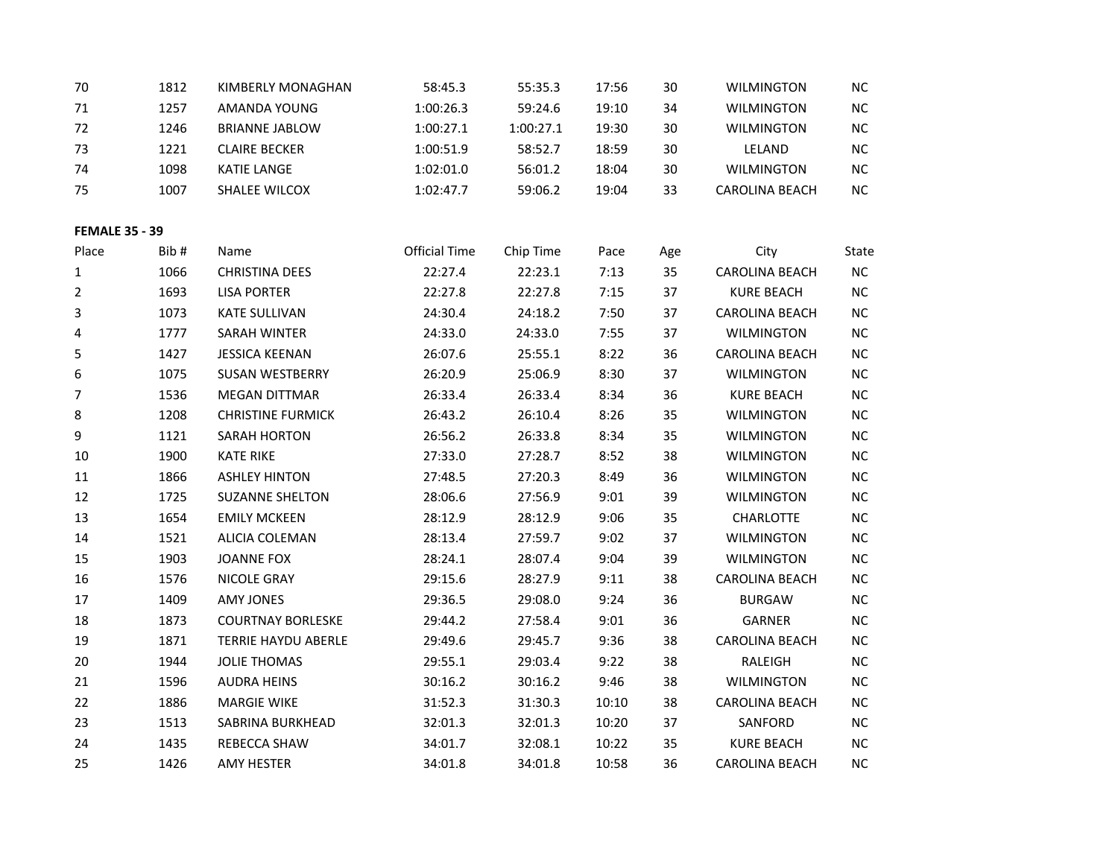| 70                    | 1812 | KIMBERLY MONAGHAN          | 58:45.3              | 55:35.3   | 17:56 | 30  | <b>WILMINGTON</b>     | NC        |
|-----------------------|------|----------------------------|----------------------|-----------|-------|-----|-----------------------|-----------|
| 71                    | 1257 | AMANDA YOUNG               | 1:00:26.3            | 59:24.6   | 19:10 | 34  | <b>WILMINGTON</b>     | NC        |
| 72                    | 1246 | <b>BRIANNE JABLOW</b>      | 1:00:27.1            | 1:00:27.1 | 19:30 | 30  | <b>WILMINGTON</b>     | NC        |
| 73                    | 1221 | <b>CLAIRE BECKER</b>       | 1:00:51.9            | 58:52.7   | 18:59 | 30  | LELAND                | NC        |
| 74                    | 1098 | <b>KATIE LANGE</b>         | 1:02:01.0            | 56:01.2   | 18:04 | 30  | <b>WILMINGTON</b>     | NC        |
| 75                    | 1007 | SHALEE WILCOX              | 1:02:47.7            | 59:06.2   | 19:04 | 33  | CAROLINA BEACH        | NC        |
|                       |      |                            |                      |           |       |     |                       |           |
| <b>FEMALE 35 - 39</b> |      |                            |                      |           |       |     |                       |           |
| Place                 | Bib# | Name                       | <b>Official Time</b> | Chip Time | Pace  | Age | City                  | State     |
| $\mathbf{1}$          | 1066 | <b>CHRISTINA DEES</b>      | 22:27.4              | 22:23.1   | 7:13  | 35  | <b>CAROLINA BEACH</b> | NC        |
| $\overline{2}$        | 1693 | <b>LISA PORTER</b>         | 22:27.8              | 22:27.8   | 7:15  | 37  | <b>KURE BEACH</b>     | NC        |
| 3                     | 1073 | <b>KATE SULLIVAN</b>       | 24:30.4              | 24:18.2   | 7:50  | 37  | <b>CAROLINA BEACH</b> | NC        |
| 4                     | 1777 | SARAH WINTER               | 24:33.0              | 24:33.0   | 7:55  | 37  | <b>WILMINGTON</b>     | NC        |
| 5                     | 1427 | <b>JESSICA KEENAN</b>      | 26:07.6              | 25:55.1   | 8:22  | 36  | <b>CAROLINA BEACH</b> | NC        |
| 6                     | 1075 | SUSAN WESTBERRY            | 26:20.9              | 25:06.9   | 8:30  | 37  | <b>WILMINGTON</b>     | $NC$      |
| 7                     | 1536 | <b>MEGAN DITTMAR</b>       | 26:33.4              | 26:33.4   | 8:34  | 36  | <b>KURE BEACH</b>     | NC        |
| 8                     | 1208 | <b>CHRISTINE FURMICK</b>   | 26:43.2              | 26:10.4   | 8:26  | 35  | <b>WILMINGTON</b>     | $NC$      |
| 9                     | 1121 | <b>SARAH HORTON</b>        | 26:56.2              | 26:33.8   | 8:34  | 35  | <b>WILMINGTON</b>     | NC        |
| 10                    | 1900 | <b>KATE RIKE</b>           | 27:33.0              | 27:28.7   | 8:52  | 38  | <b>WILMINGTON</b>     | $NC$      |
| 11                    | 1866 | <b>ASHLEY HINTON</b>       | 27:48.5              | 27:20.3   | 8:49  | 36  | <b>WILMINGTON</b>     | $NC$      |
| 12                    | 1725 | <b>SUZANNE SHELTON</b>     | 28:06.6              | 27:56.9   | 9:01  | 39  | <b>WILMINGTON</b>     | NC        |
| 13                    | 1654 | <b>EMILY MCKEEN</b>        | 28:12.9              | 28:12.9   | 9:06  | 35  | CHARLOTTE             | $NC$      |
| 14                    | 1521 | ALICIA COLEMAN             | 28:13.4              | 27:59.7   | 9:02  | 37  | <b>WILMINGTON</b>     | NC        |
| 15                    | 1903 | <b>JOANNE FOX</b>          | 28:24.1              | 28:07.4   | 9:04  | 39  | <b>WILMINGTON</b>     | $NC$      |
| 16                    | 1576 | <b>NICOLE GRAY</b>         | 29:15.6              | 28:27.9   | 9:11  | 38  | CAROLINA BEACH        | NC        |
| 17                    | 1409 | <b>AMY JONES</b>           | 29:36.5              | 29:08.0   | 9:24  | 36  | <b>BURGAW</b>         | NC        |
| 18                    | 1873 | <b>COURTNAY BORLESKE</b>   | 29:44.2              | 27:58.4   | 9:01  | 36  | <b>GARNER</b>         | $NC$      |
| 19                    | 1871 | <b>TERRIE HAYDU ABERLE</b> | 29:49.6              | 29:45.7   | 9:36  | 38  | CAROLINA BEACH        | NC        |
| 20                    | 1944 | <b>JOLIE THOMAS</b>        | 29:55.1              | 29:03.4   | 9:22  | 38  | RALEIGH               | NC        |
| 21                    | 1596 | <b>AUDRA HEINS</b>         | 30:16.2              | 30:16.2   | 9:46  | 38  | <b>WILMINGTON</b>     | <b>NC</b> |
| 22                    | 1886 | <b>MARGIE WIKE</b>         | 31:52.3              | 31:30.3   | 10:10 | 38  | CAROLINA BEACH        | NC        |
| 23                    | 1513 | SABRINA BURKHEAD           | 32:01.3              | 32:01.3   | 10:20 | 37  | SANFORD               | NC        |
| 24                    | 1435 | REBECCA SHAW               | 34:01.7              | 32:08.1   | 10:22 | 35  | <b>KURE BEACH</b>     | $NC$      |
| 25                    | 1426 | <b>AMY HESTER</b>          | 34:01.8              | 34:01.8   | 10:58 | 36  | <b>CAROLINA BEACH</b> | <b>NC</b> |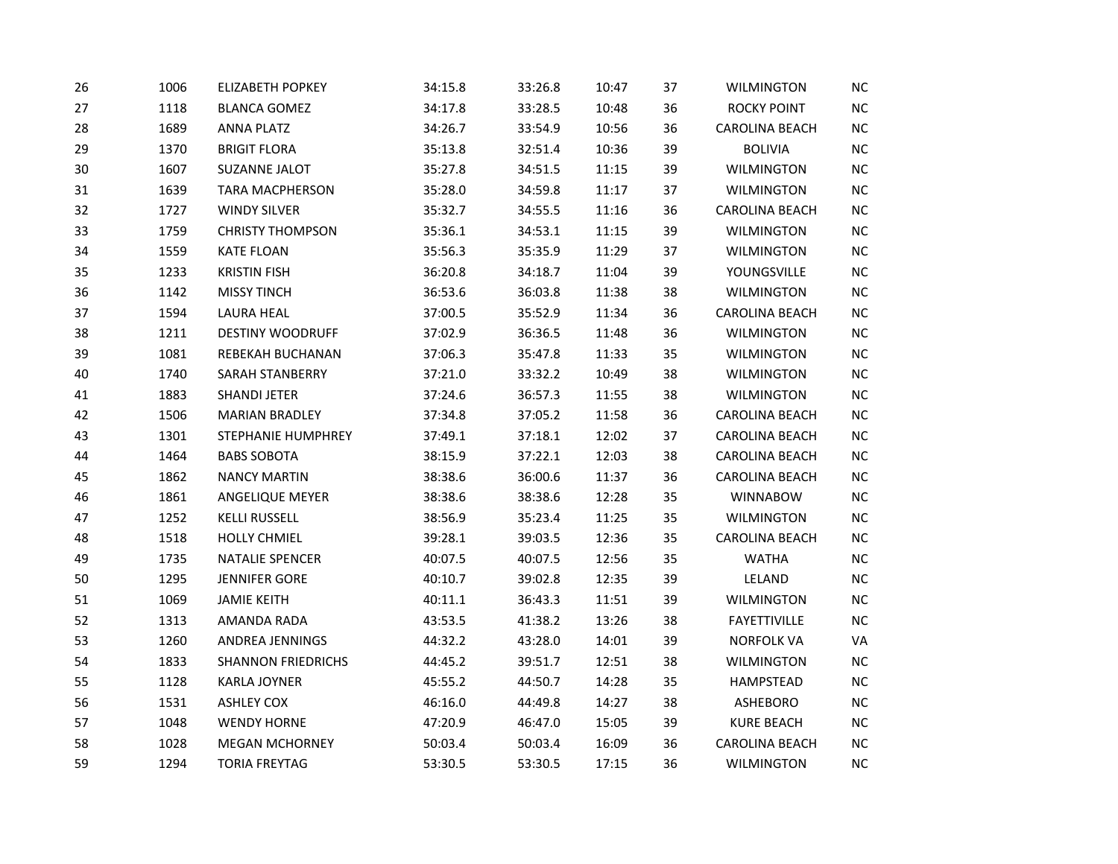| 26 | 1006 | <b>ELIZABETH POPKEY</b>   | 34:15.8 | 33:26.8 | 10:47 | 37 | <b>WILMINGTON</b>     | <b>NC</b> |
|----|------|---------------------------|---------|---------|-------|----|-----------------------|-----------|
| 27 | 1118 | <b>BLANCA GOMEZ</b>       | 34:17.8 | 33:28.5 | 10:48 | 36 | <b>ROCKY POINT</b>    | $\sf NC$  |
| 28 | 1689 | <b>ANNA PLATZ</b>         | 34:26.7 | 33:54.9 | 10:56 | 36 | CAROLINA BEACH        | $NC$      |
| 29 | 1370 | <b>BRIGIT FLORA</b>       | 35:13.8 | 32:51.4 | 10:36 | 39 | <b>BOLIVIA</b>        | NC        |
| 30 | 1607 | SUZANNE JALOT             | 35:27.8 | 34:51.5 | 11:15 | 39 | <b>WILMINGTON</b>     | $NC$      |
| 31 | 1639 | <b>TARA MACPHERSON</b>    | 35:28.0 | 34:59.8 | 11:17 | 37 | <b>WILMINGTON</b>     | $NC$      |
| 32 | 1727 | <b>WINDY SILVER</b>       | 35:32.7 | 34:55.5 | 11:16 | 36 | <b>CAROLINA BEACH</b> | NC        |
| 33 | 1759 | <b>CHRISTY THOMPSON</b>   | 35:36.1 | 34:53.1 | 11:15 | 39 | <b>WILMINGTON</b>     | $NC$      |
| 34 | 1559 | <b>KATE FLOAN</b>         | 35:56.3 | 35:35.9 | 11:29 | 37 | <b>WILMINGTON</b>     | $NC$      |
| 35 | 1233 | <b>KRISTIN FISH</b>       | 36:20.8 | 34:18.7 | 11:04 | 39 | YOUNGSVILLE           | $NC$      |
| 36 | 1142 | <b>MISSY TINCH</b>        | 36:53.6 | 36:03.8 | 11:38 | 38 | <b>WILMINGTON</b>     | $NC$      |
| 37 | 1594 | <b>LAURA HEAL</b>         | 37:00.5 | 35:52.9 | 11:34 | 36 | <b>CAROLINA BEACH</b> | NC        |
| 38 | 1211 | <b>DESTINY WOODRUFF</b>   | 37:02.9 | 36:36.5 | 11:48 | 36 | <b>WILMINGTON</b>     | $NC$      |
| 39 | 1081 | REBEKAH BUCHANAN          | 37:06.3 | 35:47.8 | 11:33 | 35 | <b>WILMINGTON</b>     | $NC$      |
| 40 | 1740 | SARAH STANBERRY           | 37:21.0 | 33:32.2 | 10:49 | 38 | WILMINGTON            | $NC$      |
| 41 | 1883 | <b>SHANDI JETER</b>       | 37:24.6 | 36:57.3 | 11:55 | 38 | <b>WILMINGTON</b>     | $NC$      |
| 42 | 1506 | <b>MARIAN BRADLEY</b>     | 37:34.8 | 37:05.2 | 11:58 | 36 | <b>CAROLINA BEACH</b> | NC        |
| 43 | 1301 | STEPHANIE HUMPHREY        | 37:49.1 | 37:18.1 | 12:02 | 37 | CAROLINA BEACH        | $NC$      |
| 44 | 1464 | <b>BABS SOBOTA</b>        | 38:15.9 | 37:22.1 | 12:03 | 38 | <b>CAROLINA BEACH</b> | $NC$      |
| 45 | 1862 | <b>NANCY MARTIN</b>       | 38:38.6 | 36:00.6 | 11:37 | 36 | <b>CAROLINA BEACH</b> | NC        |
| 46 | 1861 | ANGELIQUE MEYER           | 38:38.6 | 38:38.6 | 12:28 | 35 | <b>WINNABOW</b>       | $NC$      |
| 47 | 1252 | <b>KELLI RUSSELL</b>      | 38:56.9 | 35:23.4 | 11:25 | 35 | <b>WILMINGTON</b>     | NC        |
| 48 | 1518 | <b>HOLLY CHMIEL</b>       | 39:28.1 | 39:03.5 | 12:36 | 35 | CAROLINA BEACH        | $NC$      |
| 49 | 1735 | <b>NATALIE SPENCER</b>    | 40:07.5 | 40:07.5 | 12:56 | 35 | <b>WATHA</b>          | $NC$      |
| 50 | 1295 | <b>JENNIFER GORE</b>      | 40:10.7 | 39:02.8 | 12:35 | 39 | LELAND                | NC        |
| 51 | 1069 | <b>JAMIE KEITH</b>        | 40:11.1 | 36:43.3 | 11:51 | 39 | <b>WILMINGTON</b>     | $NC$      |
| 52 | 1313 | AMANDA RADA               | 43:53.5 | 41:38.2 | 13:26 | 38 | <b>FAYETTIVILLE</b>   | <b>NC</b> |
| 53 | 1260 | ANDREA JENNINGS           | 44:32.2 | 43:28.0 | 14:01 | 39 | <b>NORFOLK VA</b>     | VA        |
| 54 | 1833 | <b>SHANNON FRIEDRICHS</b> | 44:45.2 | 39:51.7 | 12:51 | 38 | <b>WILMINGTON</b>     | $NC$      |
| 55 | 1128 | <b>KARLA JOYNER</b>       | 45:55.2 | 44:50.7 | 14:28 | 35 | HAMPSTEAD             | NC        |
| 56 | 1531 | <b>ASHLEY COX</b>         | 46:16.0 | 44:49.8 | 14:27 | 38 | ASHEBORO              | $NC$      |
| 57 | 1048 | <b>WENDY HORNE</b>        | 47:20.9 | 46:47.0 | 15:05 | 39 | <b>KURE BEACH</b>     | $NC$      |
| 58 | 1028 | <b>MEGAN MCHORNEY</b>     | 50:03.4 | 50:03.4 | 16:09 | 36 | <b>CAROLINA BEACH</b> | NC        |
| 59 | 1294 | <b>TORIA FREYTAG</b>      | 53:30.5 | 53:30.5 | 17:15 | 36 | <b>WILMINGTON</b>     | $NC$      |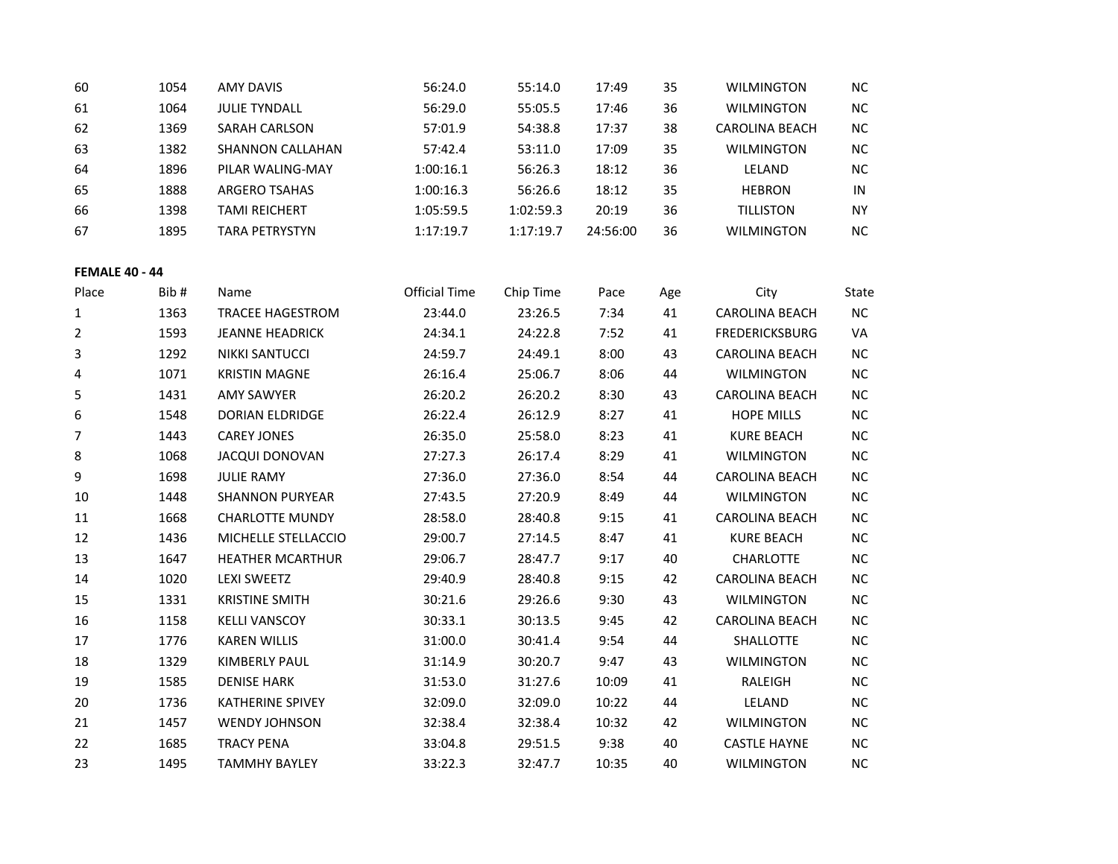| 60 | 1054 | AMY DAVIS             | 56:24.0   | 55:14.0   | 17:49    | 35 | <b>WILMINGTON</b>     | NC.       |
|----|------|-----------------------|-----------|-----------|----------|----|-----------------------|-----------|
| 61 | 1064 | <b>JULIE TYNDALL</b>  | 56:29.0   | 55:05.5   | 17:46    | 36 | <b>WILMINGTON</b>     | <b>NC</b> |
| 62 | 1369 | SARAH CARLSON         | 57:01.9   | 54:38.8   | 17:37    | 38 | <b>CAROLINA BEACH</b> | NC.       |
| 63 | 1382 | SHANNON CALLAHAN      | 57:42.4   | 53:11.0   | 17:09    | 35 | <b>WILMINGTON</b>     | <b>NC</b> |
| 64 | 1896 | PILAR WALING-MAY      | 1:00:16.1 | 56:26.3   | 18:12    | 36 | LELAND                | <b>NC</b> |
| 65 | 1888 | ARGERO TSAHAS         | 1:00:16.3 | 56:26.6   | 18:12    | 35 | <b>HEBRON</b>         | IN        |
| 66 | 1398 | <b>TAMI REICHERT</b>  | 1:05:59.5 | 1:02:59.3 | 20:19    | 36 | <b>TILLISTON</b>      | <b>NY</b> |
| 67 | 1895 | <b>TARA PETRYSTYN</b> | 1:17:19.7 | 1:17:19.7 | 24:56:00 | 36 | <b>WILMINGTON</b>     | <b>NC</b> |

**FEMALE 40 - 44**

| Place | Bib# | Name                    | <b>Official Time</b> | Chip Time | Pace  | Age | City                  | State     |
|-------|------|-------------------------|----------------------|-----------|-------|-----|-----------------------|-----------|
| 1     | 1363 | <b>TRACEE HAGESTROM</b> | 23:44.0              | 23:26.5   | 7:34  | 41  | <b>CAROLINA BEACH</b> | <b>NC</b> |
| 2     | 1593 | <b>JEANNE HEADRICK</b>  | 24:34.1              | 24:22.8   | 7:52  | 41  | <b>FREDERICKSBURG</b> | VA        |
| 3     | 1292 | <b>NIKKI SANTUCCI</b>   | 24:59.7              | 24:49.1   | 8:00  | 43  | <b>CAROLINA BEACH</b> | $NC$      |
| 4     | 1071 | <b>KRISTIN MAGNE</b>    | 26:16.4              | 25:06.7   | 8:06  | 44  | <b>WILMINGTON</b>     | $NC$      |
| 5     | 1431 | <b>AMY SAWYER</b>       | 26:20.2              | 26:20.2   | 8:30  | 43  | <b>CAROLINA BEACH</b> | <b>NC</b> |
| 6     | 1548 | <b>DORIAN ELDRIDGE</b>  | 26:22.4              | 26:12.9   | 8:27  | 41  | <b>HOPE MILLS</b>     | $NC$      |
| 7     | 1443 | <b>CAREY JONES</b>      | 26:35.0              | 25:58.0   | 8:23  | 41  | <b>KURE BEACH</b>     | NC        |
| 8     | 1068 | <b>JACQUI DONOVAN</b>   | 27:27.3              | 26:17.4   | 8:29  | 41  | <b>WILMINGTON</b>     | NC        |
| 9     | 1698 | <b>JULIE RAMY</b>       | 27:36.0              | 27:36.0   | 8:54  | 44  | <b>CAROLINA BEACH</b> | <b>NC</b> |
| 10    | 1448 | <b>SHANNON PURYEAR</b>  | 27:43.5              | 27:20.9   | 8:49  | 44  | <b>WILMINGTON</b>     | NC        |
| 11    | 1668 | <b>CHARLOTTE MUNDY</b>  | 28:58.0              | 28:40.8   | 9:15  | 41  | <b>CAROLINA BEACH</b> | NC        |
| 12    | 1436 | MICHELLE STELLACCIO     | 29:00.7              | 27:14.5   | 8:47  | 41  | <b>KURE BEACH</b>     | <b>NC</b> |
| 13    | 1647 | <b>HEATHER MCARTHUR</b> | 29:06.7              | 28:47.7   | 9:17  | 40  | <b>CHARLOTTE</b>      | NC        |
| 14    | 1020 | <b>LEXI SWEETZ</b>      | 29:40.9              | 28:40.8   | 9:15  | 42  | <b>CAROLINA BEACH</b> | NC        |
| 15    | 1331 | <b>KRISTINE SMITH</b>   | 30:21.6              | 29:26.6   | 9:30  | 43  | <b>WILMINGTON</b>     | <b>NC</b> |
| 16    | 1158 | <b>KELLI VANSCOY</b>    | 30:33.1              | 30:13.5   | 9:45  | 42  | <b>CAROLINA BEACH</b> | $NC$      |
| 17    | 1776 | <b>KAREN WILLIS</b>     | 31:00.0              | 30:41.4   | 9:54  | 44  | <b>SHALLOTTE</b>      | NC        |
| 18    | 1329 | <b>KIMBERLY PAUL</b>    | 31:14.9              | 30:20.7   | 9:47  | 43  | <b>WILMINGTON</b>     | <b>NC</b> |
| 19    | 1585 | <b>DENISE HARK</b>      | 31:53.0              | 31:27.6   | 10:09 | 41  | RALEIGH               | <b>NC</b> |
| 20    | 1736 | <b>KATHERINE SPIVEY</b> | 32:09.0              | 32:09.0   | 10:22 | 44  | LELAND                | <b>NC</b> |
| 21    | 1457 | <b>WENDY JOHNSON</b>    | 32:38.4              | 32:38.4   | 10:32 | 42  | <b>WILMINGTON</b>     | <b>NC</b> |
| 22    | 1685 | <b>TRACY PENA</b>       | 33:04.8              | 29:51.5   | 9:38  | 40  | <b>CASTLE HAYNE</b>   | <b>NC</b> |
| 23    | 1495 | <b>TAMMHY BAYLEY</b>    | 33:22.3              | 32:47.7   | 10:35 | 40  | <b>WILMINGTON</b>     | <b>NC</b> |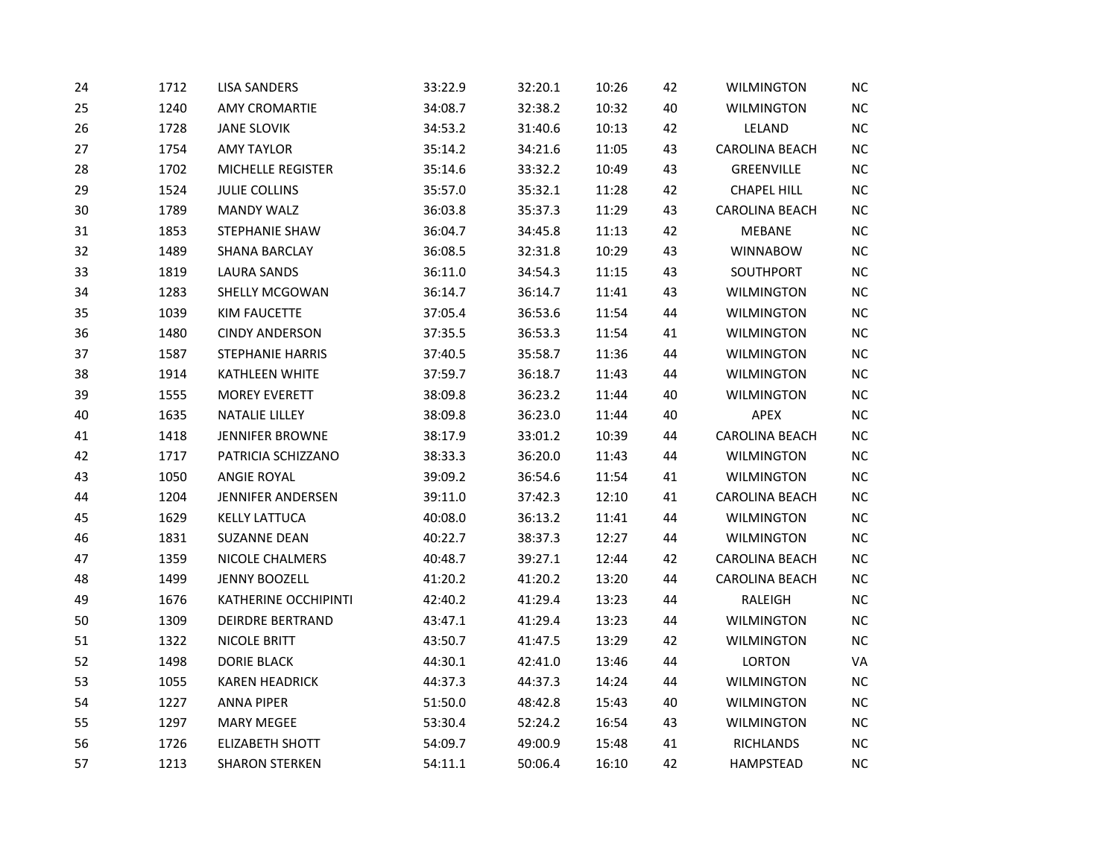| 24 | 1712 | <b>LISA SANDERS</b>      | 33:22.9 | 32:20.1 | 10:26 | 42 | <b>WILMINGTON</b>     | NC        |
|----|------|--------------------------|---------|---------|-------|----|-----------------------|-----------|
| 25 | 1240 | <b>AMY CROMARTIE</b>     | 34:08.7 | 32:38.2 | 10:32 | 40 | <b>WILMINGTON</b>     | $NC$      |
| 26 | 1728 | <b>JANE SLOVIK</b>       | 34:53.2 | 31:40.6 | 10:13 | 42 | LELAND                | NC        |
| 27 | 1754 | <b>AMY TAYLOR</b>        | 35:14.2 | 34:21.6 | 11:05 | 43 | CAROLINA BEACH        | NC        |
| 28 | 1702 | MICHELLE REGISTER        | 35:14.6 | 33:32.2 | 10:49 | 43 | GREENVILLE            | NC        |
| 29 | 1524 | <b>JULIE COLLINS</b>     | 35:57.0 | 35:32.1 | 11:28 | 42 | <b>CHAPEL HILL</b>    | NC        |
| 30 | 1789 | <b>MANDY WALZ</b>        | 36:03.8 | 35:37.3 | 11:29 | 43 | CAROLINA BEACH        | <b>NC</b> |
| 31 | 1853 | STEPHANIE SHAW           | 36:04.7 | 34:45.8 | 11:13 | 42 | <b>MEBANE</b>         | <b>NC</b> |
| 32 | 1489 | <b>SHANA BARCLAY</b>     | 36:08.5 | 32:31.8 | 10:29 | 43 | <b>WINNABOW</b>       | NC        |
| 33 | 1819 | <b>LAURA SANDS</b>       | 36:11.0 | 34:54.3 | 11:15 | 43 | SOUTHPORT             | NC        |
| 34 | 1283 | SHELLY MCGOWAN           | 36:14.7 | 36:14.7 | 11:41 | 43 | <b>WILMINGTON</b>     | NC        |
| 35 | 1039 | <b>KIM FAUCETTE</b>      | 37:05.4 | 36:53.6 | 11:54 | 44 | <b>WILMINGTON</b>     | NC        |
| 36 | 1480 | <b>CINDY ANDERSON</b>    | 37:35.5 | 36:53.3 | 11:54 | 41 | <b>WILMINGTON</b>     | NC        |
| 37 | 1587 | <b>STEPHANIE HARRIS</b>  | 37:40.5 | 35:58.7 | 11:36 | 44 | <b>WILMINGTON</b>     | $NC$      |
| 38 | 1914 | <b>KATHLEEN WHITE</b>    | 37:59.7 | 36:18.7 | 11:43 | 44 | <b>WILMINGTON</b>     | NC        |
| 39 | 1555 | <b>MOREY EVERETT</b>     | 38:09.8 | 36:23.2 | 11:44 | 40 | <b>WILMINGTON</b>     | $NC$      |
| 40 | 1635 | <b>NATALIE LILLEY</b>    | 38:09.8 | 36:23.0 | 11:44 | 40 | APEX                  | <b>NC</b> |
| 41 | 1418 | <b>JENNIFER BROWNE</b>   | 38:17.9 | 33:01.2 | 10:39 | 44 | CAROLINA BEACH        | NC        |
| 42 | 1717 | PATRICIA SCHIZZANO       | 38:33.3 | 36:20.0 | 11:43 | 44 | <b>WILMINGTON</b>     | NC        |
| 43 | 1050 | <b>ANGIE ROYAL</b>       | 39:09.2 | 36:54.6 | 11:54 | 41 | <b>WILMINGTON</b>     | NC        |
| 44 | 1204 | <b>JENNIFER ANDERSEN</b> | 39:11.0 | 37:42.3 | 12:10 | 41 | <b>CAROLINA BEACH</b> | NC        |
| 45 | 1629 | <b>KELLY LATTUCA</b>     | 40:08.0 | 36:13.2 | 11:41 | 44 | <b>WILMINGTON</b>     | NC        |
| 46 | 1831 | <b>SUZANNE DEAN</b>      | 40:22.7 | 38:37.3 | 12:27 | 44 | <b>WILMINGTON</b>     | NC        |
| 47 | 1359 | NICOLE CHALMERS          | 40:48.7 | 39:27.1 | 12:44 | 42 | <b>CAROLINA BEACH</b> | $NC$      |
| 48 | 1499 | <b>JENNY BOOZELL</b>     | 41:20.2 | 41:20.2 | 13:20 | 44 | CAROLINA BEACH        | NC        |
| 49 | 1676 | KATHERINE OCCHIPINTI     | 42:40.2 | 41:29.4 | 13:23 | 44 | RALEIGH               | NC        |
| 50 | 1309 | <b>DEIRDRE BERTRAND</b>  | 43:47.1 | 41:29.4 | 13:23 | 44 | <b>WILMINGTON</b>     | <b>NC</b> |
| 51 | 1322 | NICOLE BRITT             | 43:50.7 | 41:47.5 | 13:29 | 42 | <b>WILMINGTON</b>     | NC        |
| 52 | 1498 | <b>DORIE BLACK</b>       | 44:30.1 | 42:41.0 | 13:46 | 44 | <b>LORTON</b>         | VA        |
| 53 | 1055 | <b>KAREN HEADRICK</b>    | 44:37.3 | 44:37.3 | 14:24 | 44 | <b>WILMINGTON</b>     | NC        |
| 54 | 1227 | <b>ANNA PIPER</b>        | 51:50.0 | 48:42.8 | 15:43 | 40 | <b>WILMINGTON</b>     | NC        |
| 55 | 1297 | <b>MARY MEGEE</b>        | 53:30.4 | 52:24.2 | 16:54 | 43 | <b>WILMINGTON</b>     | $NC$      |
| 56 | 1726 | <b>ELIZABETH SHOTT</b>   | 54:09.7 | 49:00.9 | 15:48 | 41 | <b>RICHLANDS</b>      | NC        |
| 57 | 1213 | <b>SHARON STERKEN</b>    | 54:11.1 | 50:06.4 | 16:10 | 42 | <b>HAMPSTEAD</b>      | NC        |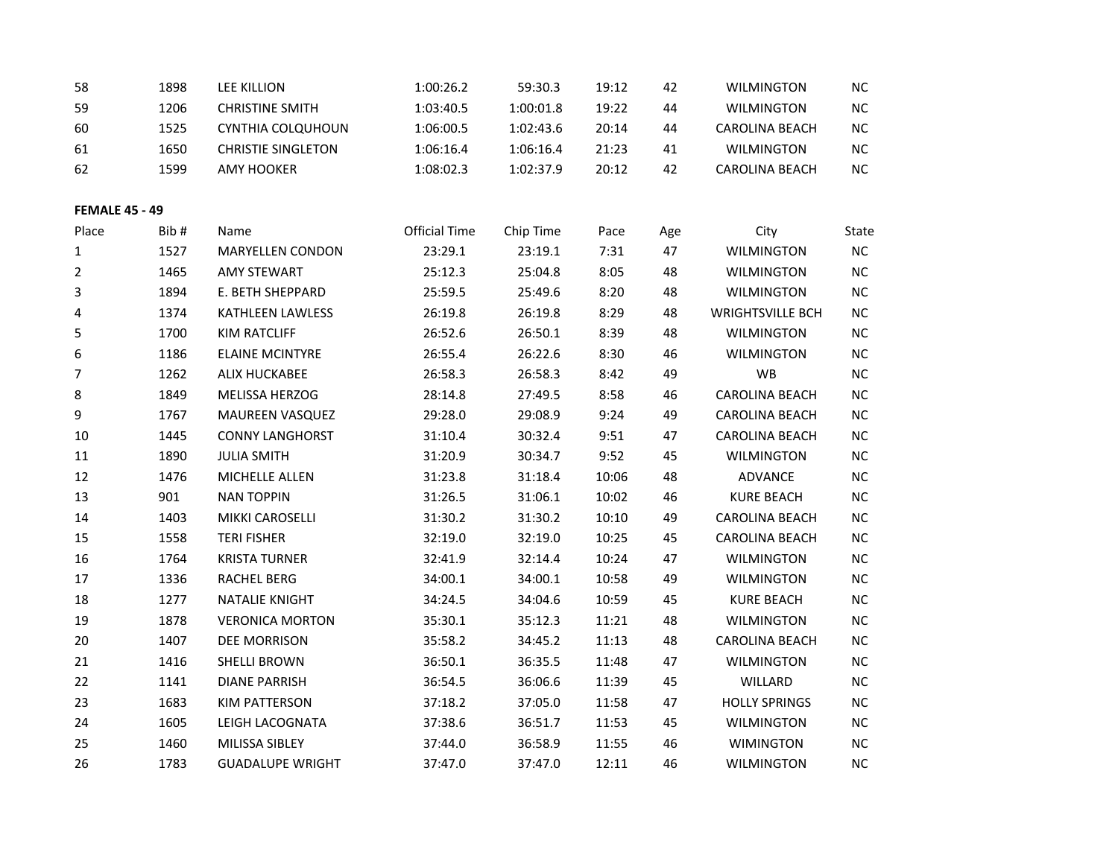| 58                    | 1898 | <b>LEE KILLION</b>        | 1:00:26.2            | 59:30.3   | 19:12 | 42  | <b>WILMINGTON</b>       | NC        |
|-----------------------|------|---------------------------|----------------------|-----------|-------|-----|-------------------------|-----------|
| 59                    | 1206 | <b>CHRISTINE SMITH</b>    | 1:03:40.5            | 1:00:01.8 | 19:22 | 44  | <b>WILMINGTON</b>       | NC        |
| 60                    | 1525 | CYNTHIA COLQUHOUN         | 1:06:00.5            | 1:02:43.6 | 20:14 | 44  | <b>CAROLINA BEACH</b>   | NC        |
| 61                    | 1650 | <b>CHRISTIE SINGLETON</b> | 1:06:16.4            | 1:06:16.4 | 21:23 | 41  | <b>WILMINGTON</b>       | <b>NC</b> |
| 62                    | 1599 | <b>AMY HOOKER</b>         | 1:08:02.3            | 1:02:37.9 | 20:12 | 42  | CAROLINA BEACH          | NC        |
| <b>FEMALE 45 - 49</b> |      |                           |                      |           |       |     |                         |           |
| Place                 | Bib# | Name                      | <b>Official Time</b> | Chip Time | Pace  | Age | City                    | State     |
| 1                     | 1527 | <b>MARYELLEN CONDON</b>   | 23:29.1              | 23:19.1   | 7:31  | 47  | <b>WILMINGTON</b>       | NC        |
| 2                     | 1465 | <b>AMY STEWART</b>        | 25:12.3              | 25:04.8   | 8:05  | 48  | <b>WILMINGTON</b>       | NC        |
| 3                     | 1894 | E. BETH SHEPPARD          | 25:59.5              | 25:49.6   | 8:20  | 48  | <b>WILMINGTON</b>       | NC        |
| 4                     | 1374 | KATHLEEN LAWLESS          | 26:19.8              | 26:19.8   | 8:29  | 48  | <b>WRIGHTSVILLE BCH</b> | NC        |
| 5                     | 1700 | <b>KIM RATCLIFF</b>       | 26:52.6              | 26:50.1   | 8:39  | 48  | <b>WILMINGTON</b>       | <b>NC</b> |
| 6                     | 1186 | <b>ELAINE MCINTYRE</b>    | 26:55.4              | 26:22.6   | 8:30  | 46  | <b>WILMINGTON</b>       | NC        |
| 7                     | 1262 | ALIX HUCKABEE             | 26:58.3              | 26:58.3   | 8:42  | 49  | WB                      | $NC$      |
| 8                     | 1849 | MELISSA HERZOG            | 28:14.8              | 27:49.5   | 8:58  | 46  | CAROLINA BEACH          | <b>NC</b> |
| 9                     | 1767 | MAUREEN VASQUEZ           | 29:28.0              | 29:08.9   | 9:24  | 49  | CAROLINA BEACH          | NC        |
| 10                    | 1445 | <b>CONNY LANGHORST</b>    | 31:10.4              | 30:32.4   | 9:51  | 47  | CAROLINA BEACH          | NC        |
| 11                    | 1890 | <b>JULIA SMITH</b>        | 31:20.9              | 30:34.7   | 9:52  | 45  | <b>WILMINGTON</b>       | <b>NC</b> |
| 12                    | 1476 | MICHELLE ALLEN            | 31:23.8              | 31:18.4   | 10:06 | 48  | ADVANCE                 | $NC$      |
| 13                    | 901  | <b>NAN TOPPIN</b>         | 31:26.5              | 31:06.1   | 10:02 | 46  | <b>KURE BEACH</b>       | NC        |
| 14                    | 1403 | MIKKI CAROSELLI           | 31:30.2              | 31:30.2   | 10:10 | 49  | <b>CAROLINA BEACH</b>   | <b>NC</b> |
| 15                    | 1558 | <b>TERI FISHER</b>        | 32:19.0              | 32:19.0   | 10:25 | 45  | CAROLINA BEACH          | NC        |
| 16                    | 1764 | <b>KRISTA TURNER</b>      | 32:41.9              | 32:14.4   | 10:24 | 47  | <b>WILMINGTON</b>       | NC        |
| 17                    | 1336 | <b>RACHEL BERG</b>        | 34:00.1              | 34:00.1   | 10:58 | 49  | <b>WILMINGTON</b>       | $NC$      |
| 18                    | 1277 | <b>NATALIE KNIGHT</b>     | 34:24.5              | 34:04.6   | 10:59 | 45  | <b>KURE BEACH</b>       | NC        |
| 19                    | 1878 | <b>VERONICA MORTON</b>    | 35:30.1              | 35:12.3   | 11:21 | 48  | <b>WILMINGTON</b>       | NC        |
| 20                    | 1407 | DEE MORRISON              | 35:58.2              | 34:45.2   | 11:13 | 48  | CAROLINA BEACH          | NC        |
| 21                    | 1416 | SHELLI BROWN              | 36:50.1              | 36:35.5   | 11:48 | 47  | <b>WILMINGTON</b>       | NC        |
| 22                    | 1141 | <b>DIANE PARRISH</b>      | 36:54.5              | 36:06.6   | 11:39 | 45  | WILLARD                 | NC        |
| 23                    | 1683 | <b>KIM PATTERSON</b>      | 37:18.2              | 37:05.0   | 11:58 | 47  | <b>HOLLY SPRINGS</b>    | NC        |
| 24                    | 1605 | LEIGH LACOGNATA           | 37:38.6              | 36:51.7   | 11:53 | 45  | <b>WILMINGTON</b>       | NC        |
| 25                    | 1460 | MILISSA SIBLEY            | 37:44.0              | 36:58.9   | 11:55 | 46  | <b>WIMINGTON</b>        | NC        |
| 26                    | 1783 | <b>GUADALUPE WRIGHT</b>   | 37:47.0              | 37:47.0   | 12:11 | 46  | <b>WILMINGTON</b>       | <b>NC</b> |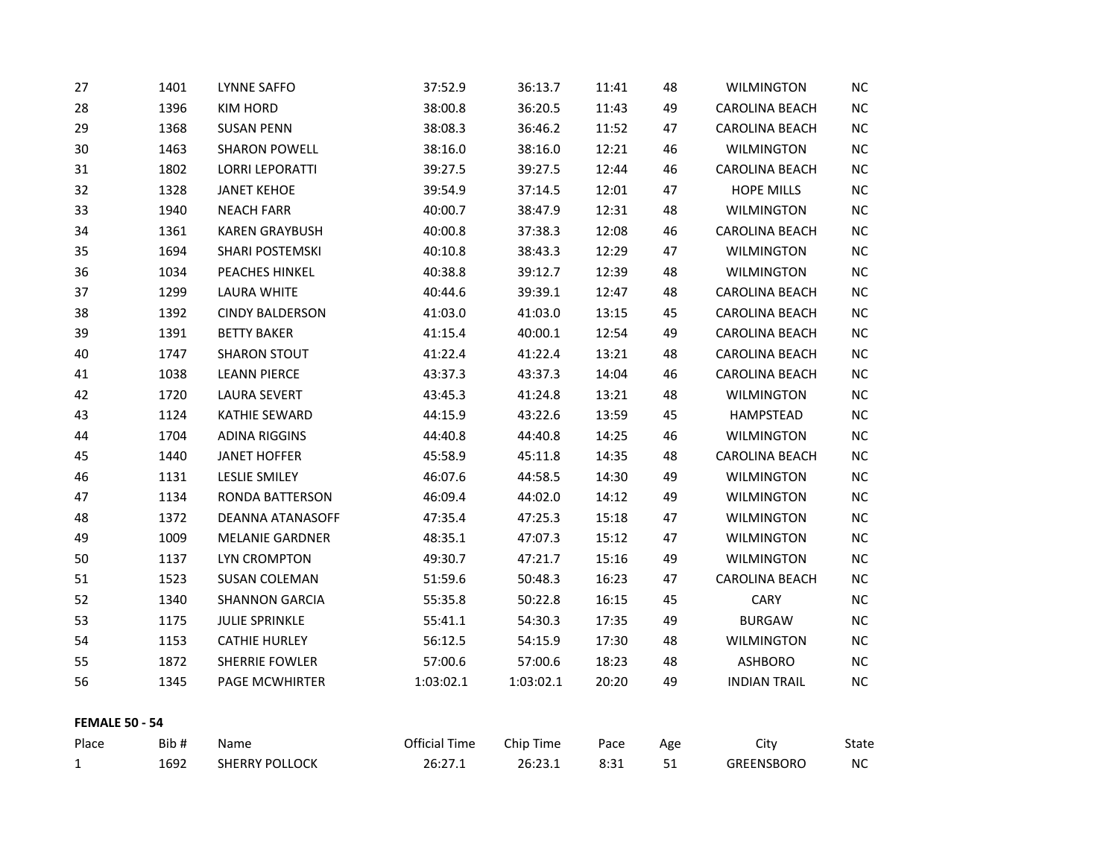| 27                    | 1401 | LYNNE SAFFO            | 37:52.9              | 36:13.7   | 11:41 | 48  | <b>WILMINGTON</b>     | <b>NC</b> |
|-----------------------|------|------------------------|----------------------|-----------|-------|-----|-----------------------|-----------|
| 28                    | 1396 | <b>KIM HORD</b>        | 38:00.8              | 36:20.5   | 11:43 | 49  | <b>CAROLINA BEACH</b> | <b>NC</b> |
| 29                    | 1368 | SUSAN PENN             | 38:08.3              | 36:46.2   | 11:52 | 47  | CAROLINA BEACH        | ΝC        |
| 30                    | 1463 | <b>SHARON POWELL</b>   | 38:16.0              | 38:16.0   | 12:21 | 46  | <b>WILMINGTON</b>     | NC        |
| 31                    | 1802 | <b>LORRI LEPORATTI</b> | 39:27.5              | 39:27.5   | 12:44 | 46  | CAROLINA BEACH        | <b>NC</b> |
| 32                    | 1328 | <b>JANET KEHOE</b>     | 39:54.9              | 37:14.5   | 12:01 | 47  | <b>HOPE MILLS</b>     | NC        |
| 33                    | 1940 | <b>NEACH FARR</b>      | 40:00.7              | 38:47.9   | 12:31 | 48  | <b>WILMINGTON</b>     | NC        |
| 34                    | 1361 | <b>KAREN GRAYBUSH</b>  | 40:00.8              | 37:38.3   | 12:08 | 46  | CAROLINA BEACH        | <b>NC</b> |
| 35                    | 1694 | SHARI POSTEMSKI        | 40:10.8              | 38:43.3   | 12:29 | 47  | <b>WILMINGTON</b>     | <b>NC</b> |
| 36                    | 1034 | PEACHES HINKEL         | 40:38.8              | 39:12.7   | 12:39 | 48  | <b>WILMINGTON</b>     | <b>NC</b> |
| 37                    | 1299 | <b>LAURA WHITE</b>     | 40:44.6              | 39:39.1   | 12:47 | 48  | CAROLINA BEACH        | <b>NC</b> |
| 38                    | 1392 | <b>CINDY BALDERSON</b> | 41:03.0              | 41:03.0   | 13:15 | 45  | CAROLINA BEACH        | <b>NC</b> |
| 39                    | 1391 | <b>BETTY BAKER</b>     | 41:15.4              | 40:00.1   | 12:54 | 49  | CAROLINA BEACH        | <b>NC</b> |
| 40                    | 1747 | <b>SHARON STOUT</b>    | 41:22.4              | 41:22.4   | 13:21 | 48  | CAROLINA BEACH        | <b>NC</b> |
| 41                    | 1038 | <b>LEANN PIERCE</b>    | 43:37.3              | 43:37.3   | 14:04 | 46  | CAROLINA BEACH        | <b>NC</b> |
| 42                    | 1720 | LAURA SEVERT           | 43:45.3              | 41:24.8   | 13:21 | 48  | <b>WILMINGTON</b>     | <b>NC</b> |
| 43                    | 1124 | KATHIE SEWARD          | 44:15.9              | 43:22.6   | 13:59 | 45  | HAMPSTEAD             | <b>NC</b> |
| 44                    | 1704 | <b>ADINA RIGGINS</b>   | 44:40.8              | 44:40.8   | 14:25 | 46  | <b>WILMINGTON</b>     | <b>NC</b> |
| 45                    | 1440 | <b>JANET HOFFER</b>    | 45:58.9              | 45:11.8   | 14:35 | 48  | <b>CAROLINA BEACH</b> | <b>NC</b> |
| 46                    | 1131 | LESLIE SMILEY          | 46:07.6              | 44:58.5   | 14:30 | 49  | <b>WILMINGTON</b>     | <b>NC</b> |
| 47                    | 1134 | RONDA BATTERSON        | 46:09.4              | 44:02.0   | 14:12 | 49  | <b>WILMINGTON</b>     | NC        |
| 48                    | 1372 | DEANNA ATANASOFF       | 47:35.4              | 47:25.3   | 15:18 | 47  | <b>WILMINGTON</b>     | <b>NC</b> |
| 49                    | 1009 | <b>MELANIE GARDNER</b> | 48:35.1              | 47:07.3   | 15:12 | 47  | <b>WILMINGTON</b>     | <b>NC</b> |
| 50                    | 1137 | LYN CROMPTON           | 49:30.7              | 47:21.7   | 15:16 | 49  | <b>WILMINGTON</b>     | NC.       |
| 51                    | 1523 | <b>SUSAN COLEMAN</b>   | 51:59.6              | 50:48.3   | 16:23 | 47  | <b>CAROLINA BEACH</b> | <b>NC</b> |
| 52                    | 1340 | <b>SHANNON GARCIA</b>  | 55:35.8              | 50:22.8   | 16:15 | 45  | CARY                  | <b>NC</b> |
| 53                    | 1175 | <b>JULIE SPRINKLE</b>  | 55:41.1              | 54:30.3   | 17:35 | 49  | <b>BURGAW</b>         | <b>NC</b> |
| 54                    | 1153 | <b>CATHIE HURLEY</b>   | 56:12.5              | 54:15.9   | 17:30 | 48  | <b>WILMINGTON</b>     | <b>NC</b> |
| 55                    | 1872 | <b>SHERRIE FOWLER</b>  | 57:00.6              | 57:00.6   | 18:23 | 48  | ASHBORO               | <b>NC</b> |
| 56                    | 1345 | PAGE MCWHIRTER         | 1:03:02.1            | 1:03:02.1 | 20:20 | 49  | <b>INDIAN TRAIL</b>   | NC        |
| <b>FEMALE 50 - 54</b> |      |                        |                      |           |       |     |                       |           |
| Place                 | Bib# | Name                   | <b>Official Time</b> | Chip Time | Pace  | Age | City                  | State     |
| $\mathbf{1}$          | 1692 | <b>SHERRY POLLOCK</b>  | 26:27.1              | 26:23.1   | 8:31  | 51  | <b>GREENSBORO</b>     | $NC$      |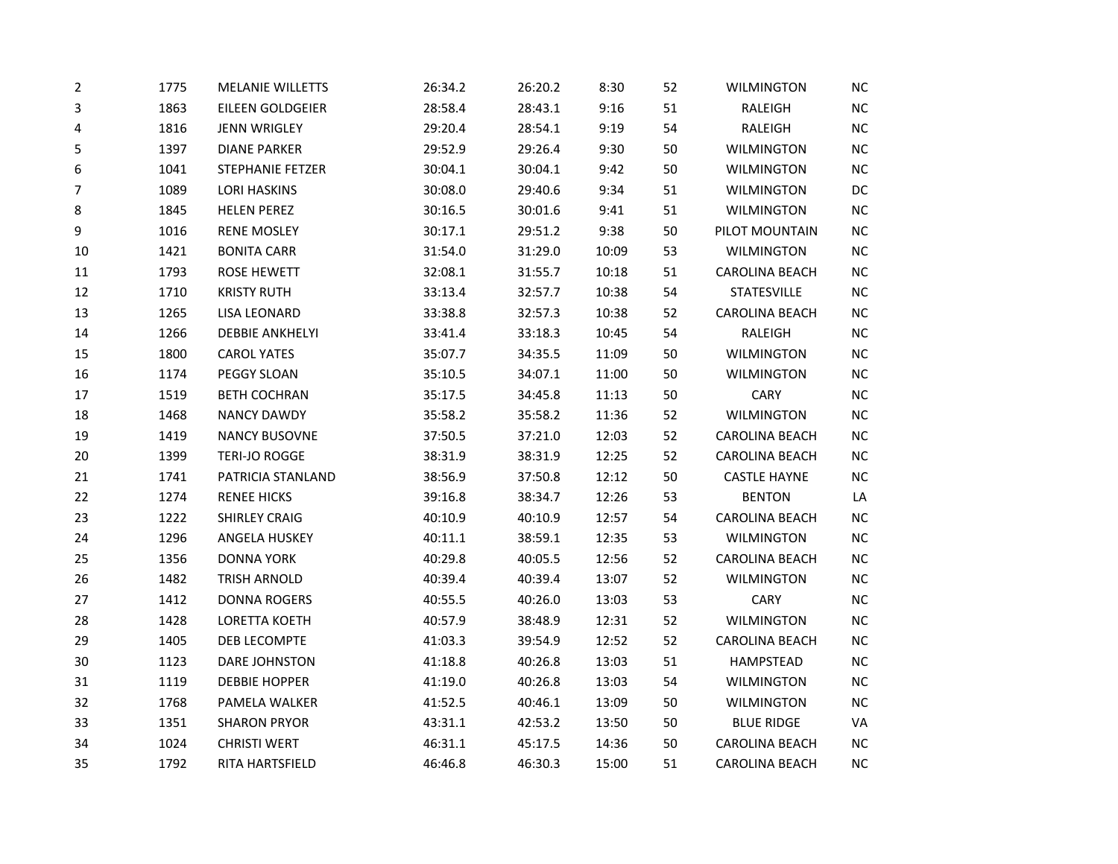| 2      | 1775 | <b>MELANIE WILLETTS</b> | 26:34.2 | 26:20.2 | 8:30  | 52 | <b>WILMINGTON</b>     | <b>NC</b> |
|--------|------|-------------------------|---------|---------|-------|----|-----------------------|-----------|
| 3      | 1863 | EILEEN GOLDGEIER        | 28:58.4 | 28:43.1 | 9:16  | 51 | RALEIGH               | $NC$      |
| 4      | 1816 | <b>JENN WRIGLEY</b>     | 29:20.4 | 28:54.1 | 9:19  | 54 | RALEIGH               | $NC$      |
| 5      | 1397 | <b>DIANE PARKER</b>     | 29:52.9 | 29:26.4 | 9:30  | 50 | <b>WILMINGTON</b>     | $NC$      |
| 6      | 1041 | <b>STEPHANIE FETZER</b> | 30:04.1 | 30:04.1 | 9:42  | 50 | <b>WILMINGTON</b>     | NC        |
| 7      | 1089 | <b>LORI HASKINS</b>     | 30:08.0 | 29:40.6 | 9:34  | 51 | <b>WILMINGTON</b>     | DC        |
| 8      | 1845 | <b>HELEN PEREZ</b>      | 30:16.5 | 30:01.6 | 9:41  | 51 | WILMINGTON            | NC        |
| 9      | 1016 | <b>RENE MOSLEY</b>      | 30:17.1 | 29:51.2 | 9:38  | 50 | PILOT MOUNTAIN        | $NC$      |
| 10     | 1421 | <b>BONITA CARR</b>      | 31:54.0 | 31:29.0 | 10:09 | 53 | <b>WILMINGTON</b>     | $NC$      |
| 11     | 1793 | <b>ROSE HEWETT</b>      | 32:08.1 | 31:55.7 | 10:18 | 51 | <b>CAROLINA BEACH</b> | $NC$      |
| 12     | 1710 | <b>KRISTY RUTH</b>      | 33:13.4 | 32:57.7 | 10:38 | 54 | <b>STATESVILLE</b>    | $NC$      |
| 13     | 1265 | <b>LISA LEONARD</b>     | 33:38.8 | 32:57.3 | 10:38 | 52 | CAROLINA BEACH        | $NC$      |
| 14     | 1266 | <b>DEBBIE ANKHELYI</b>  | 33:41.4 | 33:18.3 | 10:45 | 54 | RALEIGH               | <b>NC</b> |
| 15     | 1800 | <b>CAROL YATES</b>      | 35:07.7 | 34:35.5 | 11:09 | 50 | <b>WILMINGTON</b>     | $NC$      |
| 16     | 1174 | PEGGY SLOAN             | 35:10.5 | 34:07.1 | 11:00 | 50 | <b>WILMINGTON</b>     | $NC$      |
| 17     | 1519 | <b>BETH COCHRAN</b>     | 35:17.5 | 34:45.8 | 11:13 | 50 | CARY                  | NC        |
| 18     | 1468 | <b>NANCY DAWDY</b>      | 35:58.2 | 35:58.2 | 11:36 | 52 | <b>WILMINGTON</b>     | $NC$      |
| 19     | 1419 | <b>NANCY BUSOVNE</b>    | 37:50.5 | 37:21.0 | 12:03 | 52 | CAROLINA BEACH        | NC        |
| $20\,$ | 1399 | TERI-JO ROGGE           | 38:31.9 | 38:31.9 | 12:25 | 52 | CAROLINA BEACH        | $NC$      |
| 21     | 1741 | PATRICIA STANLAND       | 38:56.9 | 37:50.8 | 12:12 | 50 | <b>CASTLE HAYNE</b>   | $NC$      |
| 22     | 1274 | <b>RENEE HICKS</b>      | 39:16.8 | 38:34.7 | 12:26 | 53 | <b>BENTON</b>         | LA        |
| 23     | 1222 | <b>SHIRLEY CRAIG</b>    | 40:10.9 | 40:10.9 | 12:57 | 54 | CAROLINA BEACH        | $NC$      |
| 24     | 1296 | ANGELA HUSKEY           | 40:11.1 | 38:59.1 | 12:35 | 53 | <b>WILMINGTON</b>     | $NC$      |
| 25     | 1356 | <b>DONNA YORK</b>       | 40:29.8 | 40:05.5 | 12:56 | 52 | <b>CAROLINA BEACH</b> | $NC$      |
| 26     | 1482 | TRISH ARNOLD            | 40:39.4 | 40:39.4 | 13:07 | 52 | WILMINGTON            | $NC$      |
| 27     | 1412 | <b>DONNA ROGERS</b>     | 40:55.5 | 40:26.0 | 13:03 | 53 | CARY                  | $NC$      |
| 28     | 1428 | <b>LORETTA KOETH</b>    | 40:57.9 | 38:48.9 | 12:31 | 52 | <b>WILMINGTON</b>     | NC        |
| 29     | 1405 | DEB LECOMPTE            | 41:03.3 | 39:54.9 | 12:52 | 52 | CAROLINA BEACH        | $NC$      |
| 30     | 1123 | DARE JOHNSTON           | 41:18.8 | 40:26.8 | 13:03 | 51 | <b>HAMPSTEAD</b>      | $NC$      |
| 31     | 1119 | <b>DEBBIE HOPPER</b>    | 41:19.0 | 40:26.8 | 13:03 | 54 | <b>WILMINGTON</b>     | $NC$      |
| 32     | 1768 | PAMELA WALKER           | 41:52.5 | 40:46.1 | 13:09 | 50 | <b>WILMINGTON</b>     | $NC$      |
| 33     | 1351 | <b>SHARON PRYOR</b>     | 43:31.1 | 42:53.2 | 13:50 | 50 | <b>BLUE RIDGE</b>     | VA        |
| 34     | 1024 | <b>CHRISTI WERT</b>     | 46:31.1 | 45:17.5 | 14:36 | 50 | CAROLINA BEACH        | NC        |
| 35     | 1792 | RITA HARTSFIELD         | 46:46.8 | 46:30.3 | 15:00 | 51 | CAROLINA BEACH        | NC        |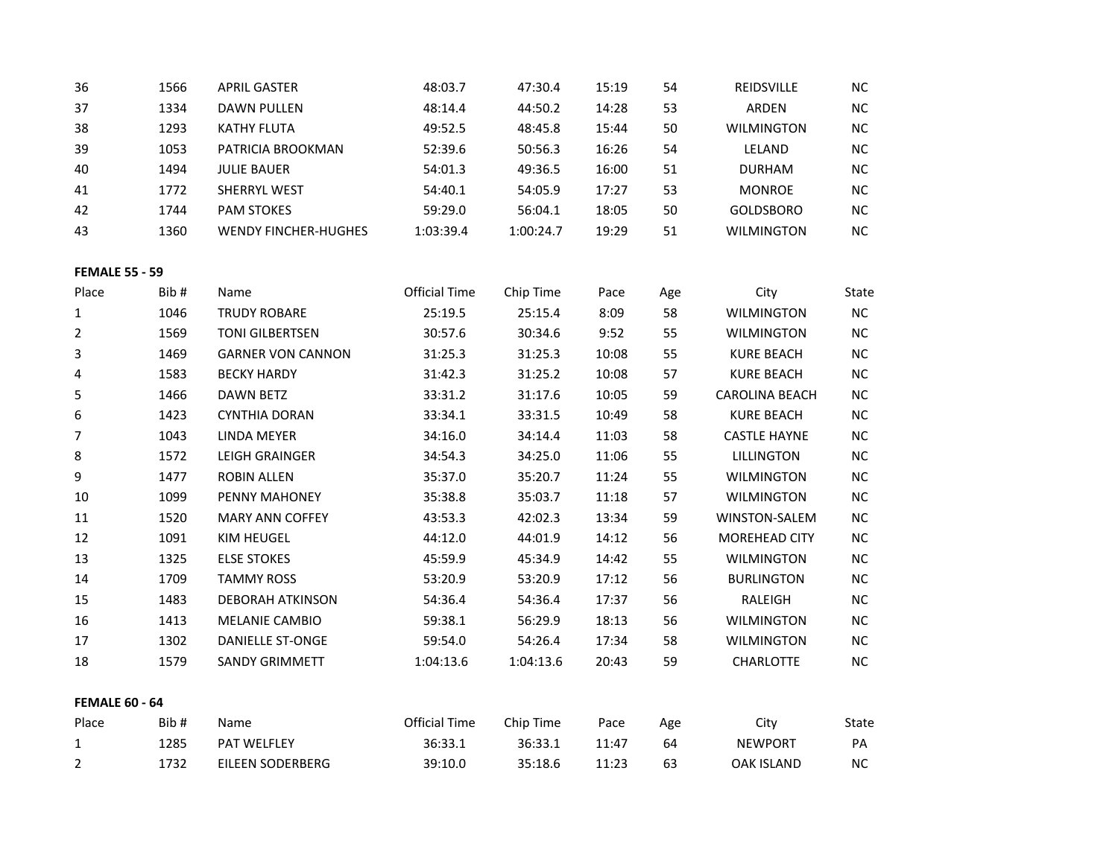| 36  | 1566 | <b>APRIL GASTER</b>         | 48:03.7   | 47:30.4   | 15:19 | 54 | <b>REIDSVILLE</b> | <b>NC</b> |
|-----|------|-----------------------------|-----------|-----------|-------|----|-------------------|-----------|
| 37  | 1334 | DAWN PULLEN                 | 48:14.4   | 44:50.2   | 14:28 | 53 | <b>ARDEN</b>      | <b>NC</b> |
| 38  | 1293 | KATHY FLUTA                 | 49:52.5   | 48:45.8   | 15:44 | 50 | <b>WILMINGTON</b> | <b>NC</b> |
| -39 | 1053 | PATRICIA BROOKMAN           | 52:39.6   | 50:56.3   | 16:26 | 54 | LELAND            | <b>NC</b> |
| 40  | 1494 | <b>JULIE BAUER</b>          | 54:01.3   | 49:36.5   | 16:00 | 51 | <b>DURHAM</b>     | <b>NC</b> |
| 41  | 1772 | <b>SHERRYL WEST</b>         | 54:40.1   | 54:05.9   | 17:27 | 53 | <b>MONROE</b>     | <b>NC</b> |
| 42  | 1744 | <b>PAM STOKES</b>           | 59:29.0   | 56:04.1   | 18:05 | 50 | <b>GOLDSBORO</b>  | <b>NC</b> |
| 43  | 1360 | <b>WENDY FINCHER-HUGHES</b> | 1:03:39.4 | 1:00:24.7 | 19:29 | 51 | <b>WILMINGTON</b> | <b>NC</b> |

## **FEMALE 55 - 59**

| Place                 | Bib# | Name                     | <b>Official Time</b> | Chip Time | Pace  | Age | City                  | State     |
|-----------------------|------|--------------------------|----------------------|-----------|-------|-----|-----------------------|-----------|
| 1                     | 1046 | <b>TRUDY ROBARE</b>      | 25:19.5              | 25:15.4   | 8:09  | 58  | <b>WILMINGTON</b>     | <b>NC</b> |
| $\overline{2}$        | 1569 | <b>TONI GILBERTSEN</b>   | 30:57.6              | 30:34.6   | 9:52  | 55  | <b>WILMINGTON</b>     | NC.       |
| 3                     | 1469 | <b>GARNER VON CANNON</b> | 31:25.3              | 31:25.3   | 10:08 | 55  | <b>KURE BEACH</b>     | <b>NC</b> |
| 4                     | 1583 | <b>BECKY HARDY</b>       | 31:42.3              | 31:25.2   | 10:08 | 57  | <b>KURE BEACH</b>     | <b>NC</b> |
| 5                     | 1466 | DAWN BETZ                | 33:31.2              | 31:17.6   | 10:05 | 59  | <b>CAROLINA BEACH</b> | <b>NC</b> |
| 6                     | 1423 | <b>CYNTHIA DORAN</b>     | 33:34.1              | 33:31.5   | 10:49 | 58  | <b>KURE BEACH</b>     | <b>NC</b> |
| 7                     | 1043 | LINDA MEYER              | 34:16.0              | 34:14.4   | 11:03 | 58  | <b>CASTLE HAYNE</b>   | <b>NC</b> |
| 8                     | 1572 | LEIGH GRAINGER           | 34:54.3              | 34:25.0   | 11:06 | 55  | <b>LILLINGTON</b>     | <b>NC</b> |
| 9                     | 1477 | ROBIN ALLEN              | 35:37.0              | 35:20.7   | 11:24 | 55  | <b>WILMINGTON</b>     | <b>NC</b> |
| 10                    | 1099 | PENNY MAHONEY            | 35:38.8              | 35:03.7   | 11:18 | 57  | <b>WILMINGTON</b>     | <b>NC</b> |
| 11                    | 1520 | <b>MARY ANN COFFEY</b>   | 43:53.3              | 42:02.3   | 13:34 | 59  | WINSTON-SALEM         | <b>NC</b> |
| 12                    | 1091 | KIM HEUGEL               | 44:12.0              | 44:01.9   | 14:12 | 56  | <b>MOREHEAD CITY</b>  | <b>NC</b> |
| 13                    | 1325 | <b>ELSE STOKES</b>       | 45:59.9              | 45:34.9   | 14:42 | 55  | <b>WILMINGTON</b>     | <b>NC</b> |
| 14                    | 1709 | <b>TAMMY ROSS</b>        | 53:20.9              | 53:20.9   | 17:12 | 56  | <b>BURLINGTON</b>     | <b>NC</b> |
| 15                    | 1483 | <b>DEBORAH ATKINSON</b>  | 54:36.4              | 54:36.4   | 17:37 | 56  | RALEIGH               | <b>NC</b> |
| 16                    | 1413 | MELANIE CAMBIO           | 59:38.1              | 56:29.9   | 18:13 | 56  | <b>WILMINGTON</b>     | <b>NC</b> |
| 17                    | 1302 | <b>DANIELLE ST-ONGE</b>  | 59:54.0              | 54:26.4   | 17:34 | 58  | <b>WILMINGTON</b>     | NC.       |
| 18                    | 1579 | <b>SANDY GRIMMETT</b>    | 1:04:13.6            | 1:04:13.6 | 20:43 | 59  | <b>CHARLOTTE</b>      | NC.       |
|                       |      |                          |                      |           |       |     |                       |           |
| <b>FEMALE 60 - 64</b> |      |                          |                      |           |       |     |                       |           |
| Place                 | Bib# | Name                     | Official Time        | Chip Time | Pace  | Age | City                  | State     |
| $\mathbf{1}$          | 1285 | <b>PAT WELFLEY</b>       | 36:33.1              | 36:33.1   | 11:47 | 64  | <b>NEWPORT</b>        | PA        |
| $\overline{2}$        | 1732 | EILEEN SODERBERG         | 39:10.0              | 35:18.6   | 11:23 | 63  | OAK ISLAND            | <b>NC</b> |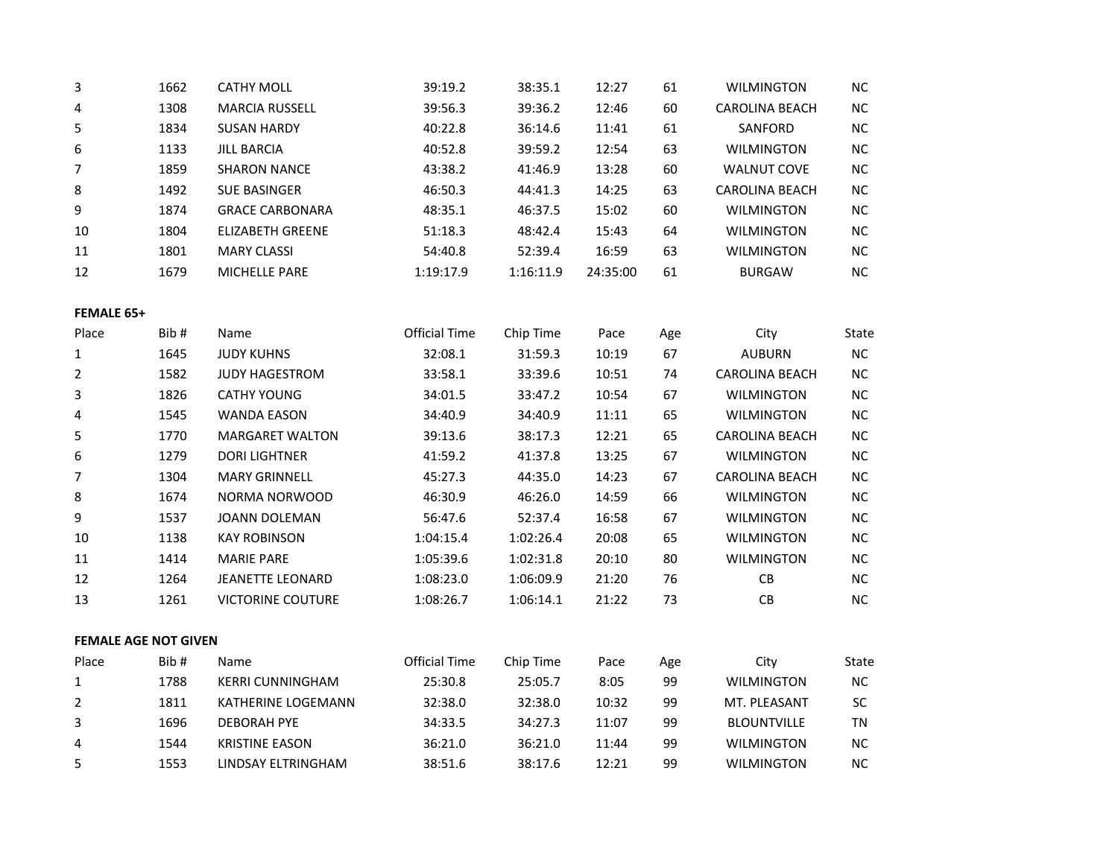| 3  | 1662 | <b>CATHY MOLL</b>       | 39:19.2   | 38:35.1   | 12:27    | 61 | <b>WILMINGTON</b>  | <b>NC</b> |
|----|------|-------------------------|-----------|-----------|----------|----|--------------------|-----------|
| 4  | 1308 | <b>MARCIA RUSSELL</b>   | 39:56.3   | 39:36.2   | 12:46    | 60 | CAROLINA BEACH     | <b>NC</b> |
| 5  | 1834 | <b>SUSAN HARDY</b>      | 40:22.8   | 36:14.6   | 11:41    | 61 | SANFORD            | <b>NC</b> |
| 6  | 1133 | <b>JILL BARCIA</b>      | 40:52.8   | 39:59.2   | 12:54    | 63 | <b>WILMINGTON</b>  | <b>NC</b> |
| 7  | 1859 | <b>SHARON NANCE</b>     | 43:38.2   | 41:46.9   | 13:28    | 60 | <b>WALNUT COVE</b> | <b>NC</b> |
| 8  | 1492 | <b>SUE BASINGER</b>     | 46:50.3   | 44:41.3   | 14:25    | 63 | CAROLINA BEACH     | <b>NC</b> |
| 9  | 1874 | <b>GRACE CARBONARA</b>  | 48:35.1   | 46:37.5   | 15:02    | 60 | <b>WILMINGTON</b>  | <b>NC</b> |
| 10 | 1804 | <b>ELIZABETH GREENE</b> | 51:18.3   | 48:42.4   | 15:43    | 64 | <b>WILMINGTON</b>  | <b>NC</b> |
| 11 | 1801 | <b>MARY CLASSI</b>      | 54:40.8   | 52:39.4   | 16:59    | 63 | <b>WILMINGTON</b>  | <b>NC</b> |
| 12 | 1679 | <b>MICHELLE PARE</b>    | 1:19:17.9 | 1:16:11.9 | 24:35:00 | 61 | <b>BURGAW</b>      | <b>NC</b> |

#### **FEMALE 65+**

| Place          | Bib # | Name                     | <b>Official Time</b> | Chip Time | Pace  | Age | City                  | State     |
|----------------|-------|--------------------------|----------------------|-----------|-------|-----|-----------------------|-----------|
| 1              | 1645  | <b>JUDY KUHNS</b>        | 32:08.1              | 31:59.3   | 10:19 | 67  | <b>AUBURN</b>         | NC        |
| $\overline{2}$ | 1582  | <b>JUDY HAGESTROM</b>    | 33:58.1              | 33:39.6   | 10:51 | 74  | <b>CAROLINA BEACH</b> | <b>NC</b> |
| 3              | 1826  | <b>CATHY YOUNG</b>       | 34:01.5              | 33:47.2   | 10:54 | 67  | <b>WILMINGTON</b>     | <b>NC</b> |
| 4              | 1545  | <b>WANDA EASON</b>       | 34:40.9              | 34:40.9   | 11:11 | 65  | <b>WILMINGTON</b>     | <b>NC</b> |
| 5              | 1770  | <b>MARGARET WALTON</b>   | 39:13.6              | 38:17.3   | 12:21 | 65  | <b>CAROLINA BEACH</b> | <b>NC</b> |
| 6              | 1279  | <b>DORI LIGHTNER</b>     | 41:59.2              | 41:37.8   | 13:25 | 67  | <b>WILMINGTON</b>     | NC.       |
| 7              | 1304  | <b>MARY GRINNELL</b>     | 45:27.3              | 44:35.0   | 14:23 | 67  | CAROLINA BEACH        | NC.       |
| 8              | 1674  | NORMA NORWOOD            | 46:30.9              | 46:26.0   | 14:59 | 66  | <b>WILMINGTON</b>     | NC        |
| 9              | 1537  | JOANN DOLEMAN            | 56:47.6              | 52:37.4   | 16:58 | 67  | <b>WILMINGTON</b>     | NC.       |
| 10             | 1138  | <b>KAY ROBINSON</b>      | 1:04:15.4            | 1:02:26.4 | 20:08 | 65  | <b>WILMINGTON</b>     | <b>NC</b> |
| 11             | 1414  | <b>MARIE PARE</b>        | 1:05:39.6            | 1:02:31.8 | 20:10 | 80  | <b>WILMINGTON</b>     | NC.       |
| 12             | 1264  | JEANETTE LEONARD         | 1:08:23.0            | 1:06:09.9 | 21:20 | 76  | <b>CB</b>             | NC.       |
| 13             | 1261  | <b>VICTORINE COUTURE</b> | 1:08:26.7            | 1:06:14.1 | 21:22 | 73  | <b>CB</b>             | NC.       |
|                |       |                          |                      |           |       |     |                       |           |

### **FEMALE AGE NOT GIVEN**

| Place | Bib# | <b>Name</b>             | Official Time | Chip Time | Pace  | Age | Citv               | State |
|-------|------|-------------------------|---------------|-----------|-------|-----|--------------------|-------|
|       | 1788 | <b>KERRI CUNNINGHAM</b> | 25:30.8       | 25:05.7   | 8:05  | 99  | <b>WILMINGTON</b>  | NС    |
|       | 1811 | KATHERINE LOGEMANN      | 32:38.0       | 32:38.0   | 10:32 | 99  | MT. PLFASANT       | SC    |
| 3     | 1696 | <b>DEBORAH PYE</b>      | 34:33.5       | 34:27.3   | 11:07 | 99  | <b>BLOUNTVILLE</b> | ΤN    |
| 4     | 1544 | <b>KRISTINE EASON</b>   | 36:21.0       | 36:21.0   | 11:44 | 99  | <b>WILMINGTON</b>  | ΝC    |
|       | 1553 | LINDSAY ELTRINGHAM      | 38:51.6       | 38:17.6   | 12:21 | 99  | <b>WILMINGTON</b>  | ΝC    |